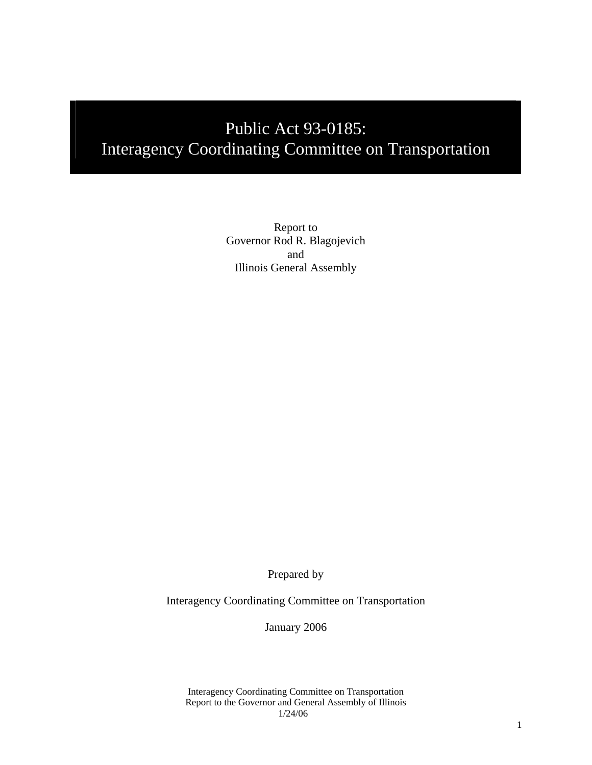# Public Act 93-0185: Interagency Coordinating Committee on Transportation

Report to Governor Rod R. Blagojevich and Illinois General Assembly

Prepared by

Interagency Coordinating Committee on Transportation

January 2006

Interagency Coordinating Committee on Transportation Report to the Governor and General Assembly of Illinois 1/24/06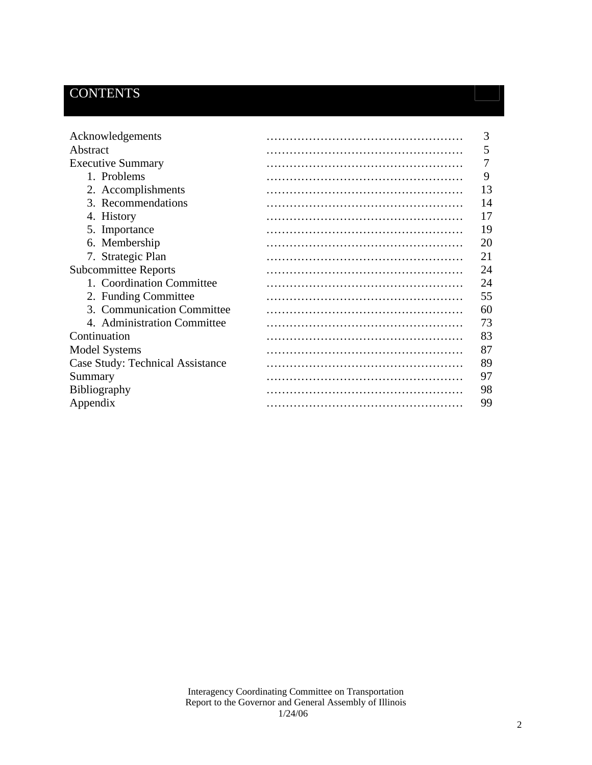# **CONTENTS**

| Acknowledgements                 | 3  |
|----------------------------------|----|
| Abstract                         | 5  |
| <b>Executive Summary</b>         |    |
| 1. Problems                      | 9  |
| 2. Accomplishments               | 13 |
| 3. Recommendations               | 14 |
| 4. History                       | 17 |
| 5. Importance                    | 19 |
| 6. Membership                    | 20 |
| 7. Strategic Plan                | 21 |
| <b>Subcommittee Reports</b>      | 24 |
| 1. Coordination Committee        | 24 |
| 2. Funding Committee             | 55 |
| 3. Communication Committee       | 60 |
| 4. Administration Committee      | 73 |
| Continuation                     | 83 |
| <b>Model Systems</b>             | 87 |
| Case Study: Technical Assistance | 89 |
| Summary                          | 97 |
| <b>Bibliography</b>              | 98 |
| Appendix                         | 99 |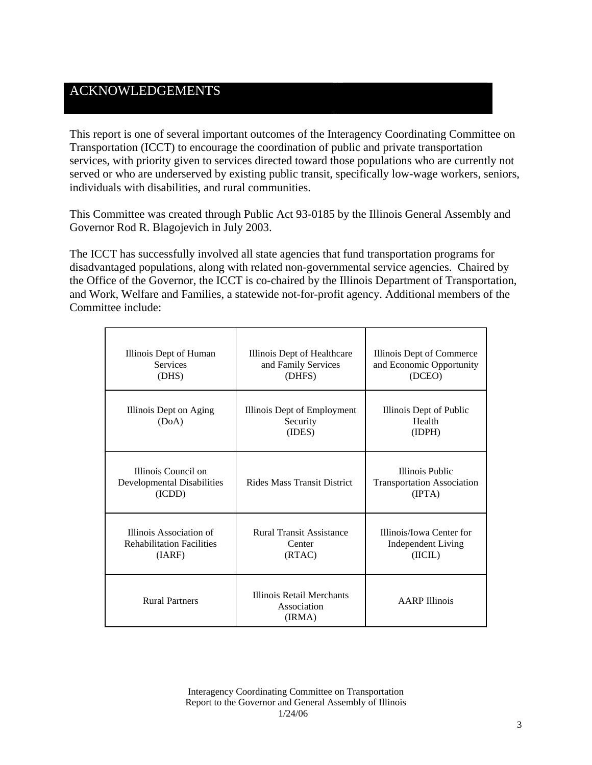## ACKNOWLEDGEMENTS

This report is one of several important outcomes of the Interagency Coordinating Committee on Transportation (ICCT) to encourage the coordination of public and private transportation services, with priority given to services directed toward those populations who are currently not served or who are underserved by existing public transit, specifically low-wage workers, seniors, individuals with disabilities, and rural communities.

This Committee was created through Public Act 93-0185 by the Illinois General Assembly and Governor Rod R. Blagojevich in July 2003.

The ICCT has successfully involved all state agencies that fund transportation programs for disadvantaged populations, along with related non-governmental service agencies. Chaired by the Office of the Governor, the ICCT is co-chaired by the Illinois Department of Transportation, and Work, Welfare and Families, a statewide not-for-profit agency. Additional members of the Committee include:

| Illinois Dept of Human<br><b>Services</b><br>(DHS)                    | Illinois Dept of Healthcare<br>and Family Services<br>(DHFS) | Illinois Dept of Commerce<br>and Economic Opportunity<br>(DCEO) |
|-----------------------------------------------------------------------|--------------------------------------------------------------|-----------------------------------------------------------------|
| Illinois Dept on Aging<br>(DoA)                                       | Illinois Dept of Employment<br>Security<br>(IDES)            | Illinois Dept of Public<br>Health<br>(IDPH)                     |
| Illinois Council on<br><b>Developmental Disabilities</b><br>(ICDD)    | <b>Rides Mass Transit District</b>                           | Illinois Public<br><b>Transportation Association</b><br>(IPTA)  |
| Illinois Association of<br><b>Rehabilitation Facilities</b><br>(IARF) | <b>Rural Transit Assistance</b><br>Center<br>(RTAC)          | Illinois/Iowa Center for<br><b>Independent Living</b><br>(IICL) |
| <b>Rural Partners</b>                                                 | Illinois Retail Merchants<br>Association<br>(IRMA)           | <b>AARP</b> Illinois                                            |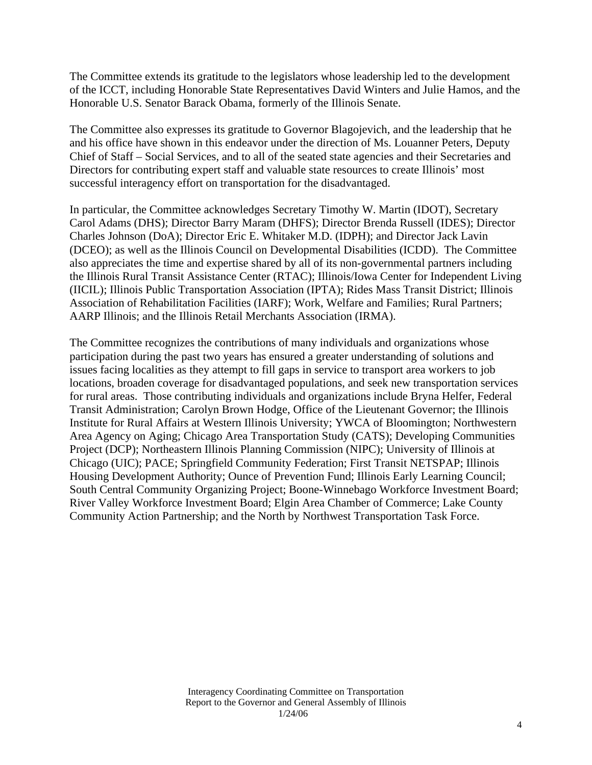The Committee extends its gratitude to the legislators whose leadership led to the development of the ICCT, including Honorable State Representatives David Winters and Julie Hamos, and the Honorable U.S. Senator Barack Obama, formerly of the Illinois Senate.

The Committee also expresses its gratitude to Governor Blagojevich, and the leadership that he and his office have shown in this endeavor under the direction of Ms. Louanner Peters, Deputy Chief of Staff – Social Services, and to all of the seated state agencies and their Secretaries and Directors for contributing expert staff and valuable state resources to create Illinois' most successful interagency effort on transportation for the disadvantaged.

In particular, the Committee acknowledges Secretary Timothy W. Martin (IDOT), Secretary Carol Adams (DHS); Director Barry Maram (DHFS); Director Brenda Russell (IDES); Director Charles Johnson (DoA); Director Eric E. Whitaker M.D. (IDPH); and Director Jack Lavin (DCEO); as well as the Illinois Council on Developmental Disabilities (ICDD). The Committee also appreciates the time and expertise shared by all of its non-governmental partners including the Illinois Rural Transit Assistance Center (RTAC); Illinois/Iowa Center for Independent Living (IICIL); Illinois Public Transportation Association (IPTA); Rides Mass Transit District; Illinois Association of Rehabilitation Facilities (IARF); Work, Welfare and Families; Rural Partners; AARP Illinois; and the Illinois Retail Merchants Association (IRMA).

The Committee recognizes the contributions of many individuals and organizations whose participation during the past two years has ensured a greater understanding of solutions and issues facing localities as they attempt to fill gaps in service to transport area workers to job locations, broaden coverage for disadvantaged populations, and seek new transportation services for rural areas. Those contributing individuals and organizations include Bryna Helfer, Federal Transit Administration; Carolyn Brown Hodge, Office of the Lieutenant Governor; the Illinois Institute for Rural Affairs at Western Illinois University; YWCA of Bloomington; Northwestern Area Agency on Aging; Chicago Area Transportation Study (CATS); Developing Communities Project (DCP); Northeastern Illinois Planning Commission (NIPC); University of Illinois at Chicago (UIC); PACE; Springfield Community Federation; First Transit NETSPAP; Illinois Housing Development Authority; Ounce of Prevention Fund; Illinois Early Learning Council; South Central Community Organizing Project; Boone-Winnebago Workforce Investment Board; River Valley Workforce Investment Board; Elgin Area Chamber of Commerce; Lake County Community Action Partnership; and the North by Northwest Transportation Task Force.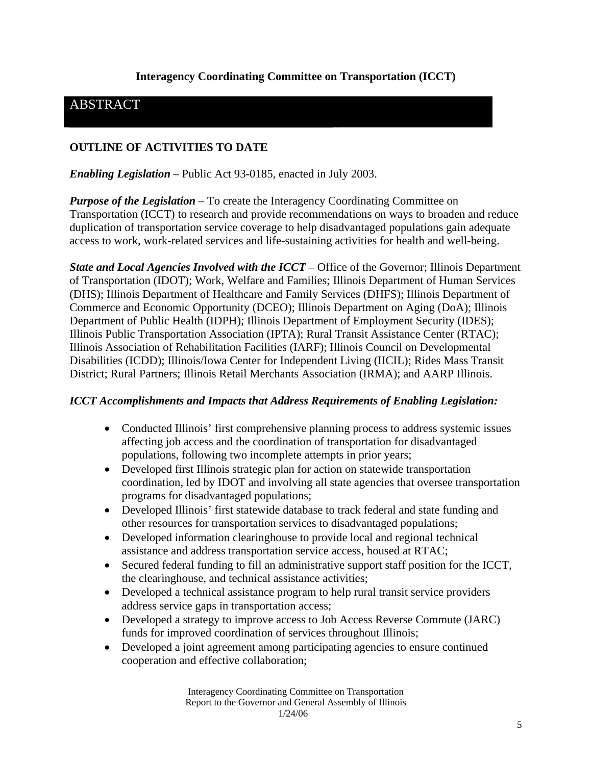## **Interagency Coordinating Committee on Transportation (ICCT)**

## ABSTRACT

#### **OUTLINE OF ACTIVITIES TO DATE**

*Enabling Legislation* – Public Act 93-0185, enacted in July 2003.

*Purpose of the Legislation* – To create the Interagency Coordinating Committee on Transportation (ICCT) to research and provide recommendations on ways to broaden and reduce duplication of transportation service coverage to help disadvantaged populations gain adequate access to work, work-related services and life-sustaining activities for health and well-being.

*State and Local Agencies Involved with the ICCT* – Office of the Governor; Illinois Department of Transportation (IDOT); Work, Welfare and Families; Illinois Department of Human Services (DHS); Illinois Department of Healthcare and Family Services (DHFS); Illinois Department of Commerce and Economic Opportunity (DCEO); Illinois Department on Aging (DoA); Illinois Department of Public Health (IDPH); Illinois Department of Employment Security (IDES); Illinois Public Transportation Association (IPTA); Rural Transit Assistance Center (RTAC); Illinois Association of Rehabilitation Facilities (IARF); Illinois Council on Developmental Disabilities (ICDD); Illinois/Iowa Center for Independent Living (IICIL); Rides Mass Transit District; Rural Partners; Illinois Retail Merchants Association (IRMA); and AARP Illinois.

#### *ICCT Accomplishments and Impacts that Address Requirements of Enabling Legislation:*

- Conducted Illinois' first comprehensive planning process to address systemic issues affecting job access and the coordination of transportation for disadvantaged populations, following two incomplete attempts in prior years;
- Developed first Illinois strategic plan for action on statewide transportation coordination, led by IDOT and involving all state agencies that oversee transportation programs for disadvantaged populations;
- Developed Illinois' first statewide database to track federal and state funding and other resources for transportation services to disadvantaged populations;
- Developed information clearinghouse to provide local and regional technical assistance and address transportation service access, housed at RTAC;
- Secured federal funding to fill an administrative support staff position for the ICCT, the clearinghouse, and technical assistance activities;
- Developed a technical assistance program to help rural transit service providers address service gaps in transportation access;
- Developed a strategy to improve access to Job Access Reverse Commute (JARC) funds for improved coordination of services throughout Illinois;
- Developed a joint agreement among participating agencies to ensure continued cooperation and effective collaboration;

Interagency Coordinating Committee on Transportation Report to the Governor and General Assembly of Illinois 1/24/06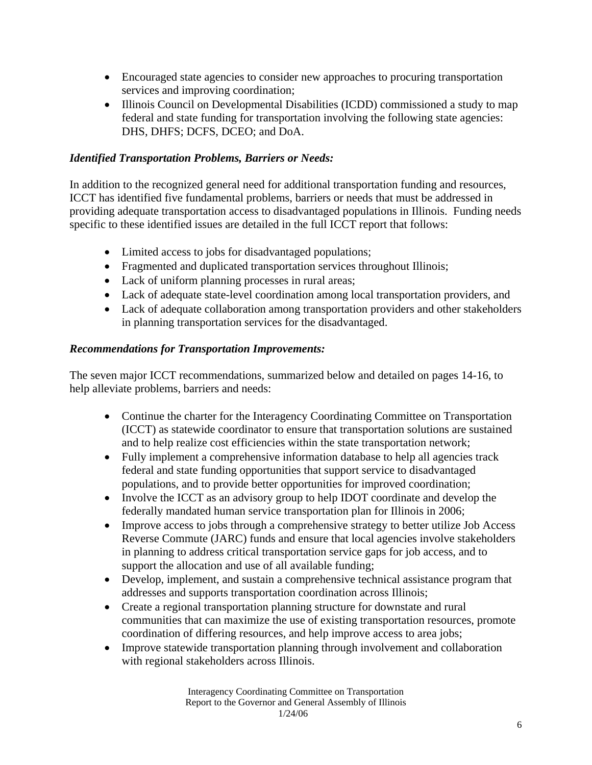- Encouraged state agencies to consider new approaches to procuring transportation services and improving coordination;
- Illinois Council on Developmental Disabilities (ICDD) commissioned a study to map federal and state funding for transportation involving the following state agencies: DHS, DHFS; DCFS, DCEO; and DoA.

### *Identified Transportation Problems, Barriers or Needs:*

In addition to the recognized general need for additional transportation funding and resources, ICCT has identified five fundamental problems, barriers or needs that must be addressed in providing adequate transportation access to disadvantaged populations in Illinois. Funding needs specific to these identified issues are detailed in the full ICCT report that follows:

- Limited access to jobs for disadvantaged populations;
- Fragmented and duplicated transportation services throughout Illinois;
- Lack of uniform planning processes in rural areas;
- Lack of adequate state-level coordination among local transportation providers, and
- Lack of adequate collaboration among transportation providers and other stakeholders in planning transportation services for the disadvantaged.

#### *Recommendations for Transportation Improvements:*

The seven major ICCT recommendations, summarized below and detailed on pages 14-16, to help alleviate problems, barriers and needs:

- Continue the charter for the Interagency Coordinating Committee on Transportation (ICCT) as statewide coordinator to ensure that transportation solutions are sustained and to help realize cost efficiencies within the state transportation network;
- Fully implement a comprehensive information database to help all agencies track federal and state funding opportunities that support service to disadvantaged populations, and to provide better opportunities for improved coordination;
- Involve the ICCT as an advisory group to help IDOT coordinate and develop the federally mandated human service transportation plan for Illinois in 2006;
- Improve access to jobs through a comprehensive strategy to better utilize Job Access Reverse Commute (JARC) funds and ensure that local agencies involve stakeholders in planning to address critical transportation service gaps for job access, and to support the allocation and use of all available funding;
- Develop, implement, and sustain a comprehensive technical assistance program that addresses and supports transportation coordination across Illinois;
- Create a regional transportation planning structure for downstate and rural communities that can maximize the use of existing transportation resources, promote coordination of differing resources, and help improve access to area jobs;
- Improve statewide transportation planning through involvement and collaboration with regional stakeholders across Illinois.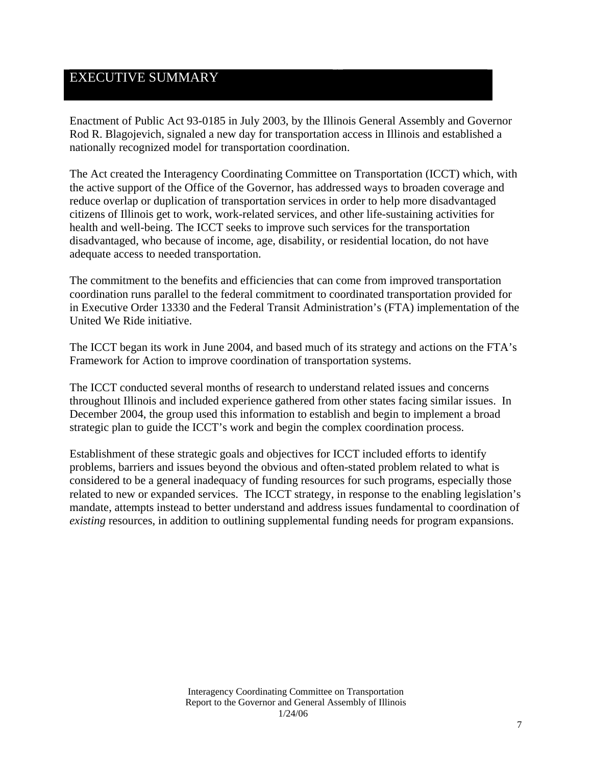## EXECUTIVE SUMMARY

Enactment of Public Act 93-0185 in July 2003, by the Illinois General Assembly and Governor Rod R. Blagojevich, signaled a new day for transportation access in Illinois and established a nationally recognized model for transportation coordination.

The Act created the Interagency Coordinating Committee on Transportation (ICCT) which, with the active support of the Office of the Governor, has addressed ways to broaden coverage and reduce overlap or duplication of transportation services in order to help more disadvantaged citizens of Illinois get to work, work-related services, and other life-sustaining activities for health and well-being. The ICCT seeks to improve such services for the transportation disadvantaged, who because of income, age, disability, or residential location, do not have adequate access to needed transportation.

The commitment to the benefits and efficiencies that can come from improved transportation coordination runs parallel to the federal commitment to coordinated transportation provided for in Executive Order 13330 and the Federal Transit Administration's (FTA) implementation of the United We Ride initiative.

The ICCT began its work in June 2004, and based much of its strategy and actions on the FTA's Framework for Action to improve coordination of transportation systems.

The ICCT conducted several months of research to understand related issues and concerns throughout Illinois and included experience gathered from other states facing similar issues. In December 2004, the group used this information to establish and begin to implement a broad strategic plan to guide the ICCT's work and begin the complex coordination process.

Establishment of these strategic goals and objectives for ICCT included efforts to identify problems, barriers and issues beyond the obvious and often-stated problem related to what is considered to be a general inadequacy of funding resources for such programs, especially those related to new or expanded services. The ICCT strategy, in response to the enabling legislation's mandate, attempts instead to better understand and address issues fundamental to coordination of *existing* resources, in addition to outlining supplemental funding needs for program expansions.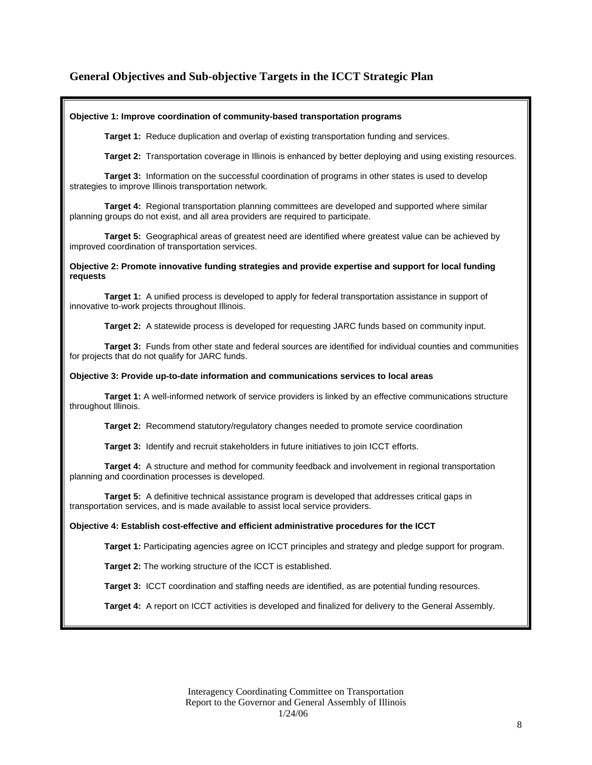### **General Objectives and Sub-objective Targets in the ICCT Strategic Plan**

#### **Objective 1: Improve coordination of community-based transportation programs**

**Target 1:** Reduce duplication and overlap of existing transportation funding and services.

**Target 2:** Transportation coverage in Illinois is enhanced by better deploying and using existing resources.

**Target 3:** Information on the successful coordination of programs in other states is used to develop strategies to improve Illinois transportation network.

**Target 4:** Regional transportation planning committees are developed and supported where similar planning groups do not exist, and all area providers are required to participate.

**Target 5:** Geographical areas of greatest need are identified where greatest value can be achieved by improved coordination of transportation services.

**Objective 2: Promote innovative funding strategies and provide expertise and support for local funding requests** 

**Target 1:** A unified process is developed to apply for federal transportation assistance in support of innovative to-work projects throughout Illinois.

**Target 2:** A statewide process is developed for requesting JARC funds based on community input.

**Target 3:** Funds from other state and federal sources are identified for individual counties and communities for projects that do not qualify for JARC funds.

#### **Objective 3: Provide up-to-date information and communications services to local areas**

**Target 1:** A well-informed network of service providers is linked by an effective communications structure throughout Illinois.

**Target 2:** Recommend statutory/regulatory changes needed to promote service coordination

**Target 3:** Identify and recruit stakeholders in future initiatives to join ICCT efforts.

**Target 4:** A structure and method for community feedback and involvement in regional transportation planning and coordination processes is developed.

**Target 5:** A definitive technical assistance program is developed that addresses critical gaps in transportation services, and is made available to assist local service providers.

#### **Objective 4: Establish cost-effective and efficient administrative procedures for the ICCT**

**Target 1:** Participating agencies agree on ICCT principles and strategy and pledge support for program.

**Target 2:** The working structure of the ICCT is established.

**Target 3:** ICCT coordination and staffing needs are identified, as are potential funding resources.

**Target 4:** A report on ICCT activities is developed and finalized for delivery to the General Assembly.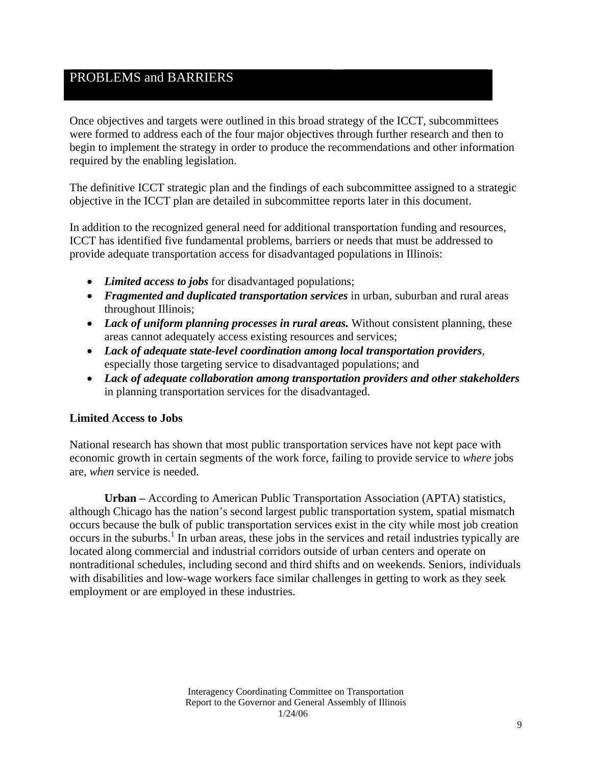## PROBLEMS and BARRIERS

Once objectives and targets were outlined in this broad strategy of the ICCT, subcommittees were formed to address each of the four major objectives through further research and then to begin to implement the strategy in order to produce the recommendations and other information required by the enabling legislation.

The definitive ICCT strategic plan and the findings of each subcommittee assigned to a strategic objective in the ICCT plan are detailed in subcommittee reports later in this document.

In addition to the recognized general need for additional transportation funding and resources, ICCT has identified five fundamental problems, barriers or needs that must be addressed to provide adequate transportation access for disadvantaged populations in Illinois:

- *Limited access to jobs* for disadvantaged populations;
- *Fragmented and duplicated transportation services* in urban, suburban and rural areas throughout Illinois;
- *Lack of uniform planning processes in rural areas.* Without consistent planning, these areas cannot adequately access existing resources and services;
- *Lack of adequate state-level coordination among local transportation providers*, especially those targeting service to disadvantaged populations; and
- *Lack of adequate collaboration among transportation providers and other stakeholders* in planning transportation services for the disadvantaged.

#### **Limited Access to Jobs**

National research has shown that most public transportation services have not kept pace with economic growth in certain segments of the work force, failing to provide service to *where* jobs are, *when* service is needed.

**Urban –** According to American Public Transportation Association (APTA) statistics, although Chicago has the nation's second largest public transportation system, spatial mismatch occurs because the bulk of public transportation services exist in the city while most job creation occurs in the suburbs.<sup>1</sup> In urban areas, these jobs in the services and retail industries typically are located along commercial and industrial corridors outside of urban centers and operate on nontraditional schedules, including second and third shifts and on weekends. Seniors, individuals with disabilities and low-wage workers face similar challenges in getting to work as they seek employment or are employed in these industries.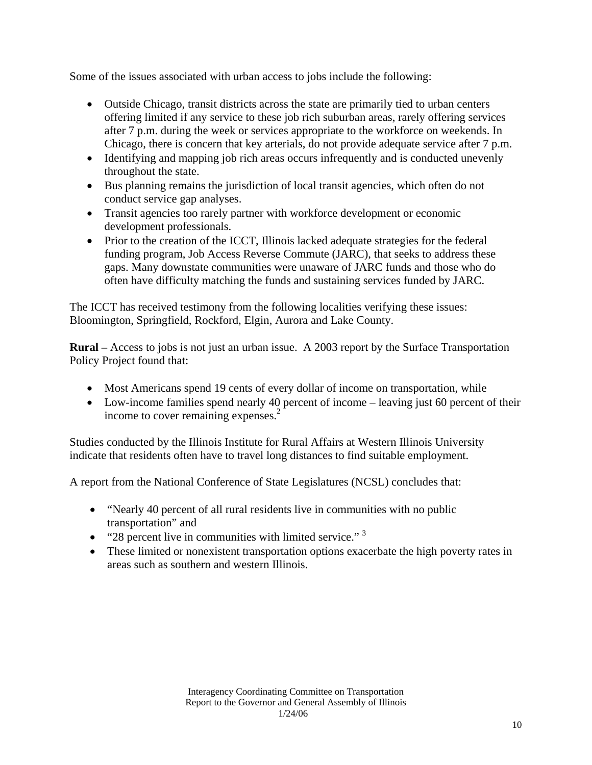Some of the issues associated with urban access to jobs include the following:

- Outside Chicago, transit districts across the state are primarily tied to urban centers offering limited if any service to these job rich suburban areas, rarely offering services after 7 p.m. during the week or services appropriate to the workforce on weekends. In Chicago, there is concern that key arterials, do not provide adequate service after 7 p.m.
- Identifying and mapping job rich areas occurs infrequently and is conducted unevenly throughout the state.
- Bus planning remains the jurisdiction of local transit agencies, which often do not conduct service gap analyses.
- Transit agencies too rarely partner with workforce development or economic development professionals.
- Prior to the creation of the ICCT, Illinois lacked adequate strategies for the federal funding program, Job Access Reverse Commute (JARC), that seeks to address these gaps. Many downstate communities were unaware of JARC funds and those who do often have difficulty matching the funds and sustaining services funded by JARC.

The ICCT has received testimony from the following localities verifying these issues: Bloomington, Springfield, Rockford, Elgin, Aurora and Lake County.

**Rural –** Access to jobs is not just an urban issue. A 2003 report by the Surface Transportation Policy Project found that:

- Most Americans spend 19 cents of every dollar of income on transportation, while
- Low-income families spend nearly 40 percent of income leaving just 60 percent of their income to cover remaining expenses.<sup>2</sup>

Studies conducted by the Illinois Institute for Rural Affairs at Western Illinois University indicate that residents often have to travel long distances to find suitable employment.

A report from the National Conference of State Legislatures (NCSL) concludes that:

- "Nearly 40 percent of all rural residents live in communities with no public transportation" and
- "28 percent live in communities with limited service."<sup>3</sup>
- These limited or nonexistent transportation options exacerbate the high poverty rates in areas such as southern and western Illinois.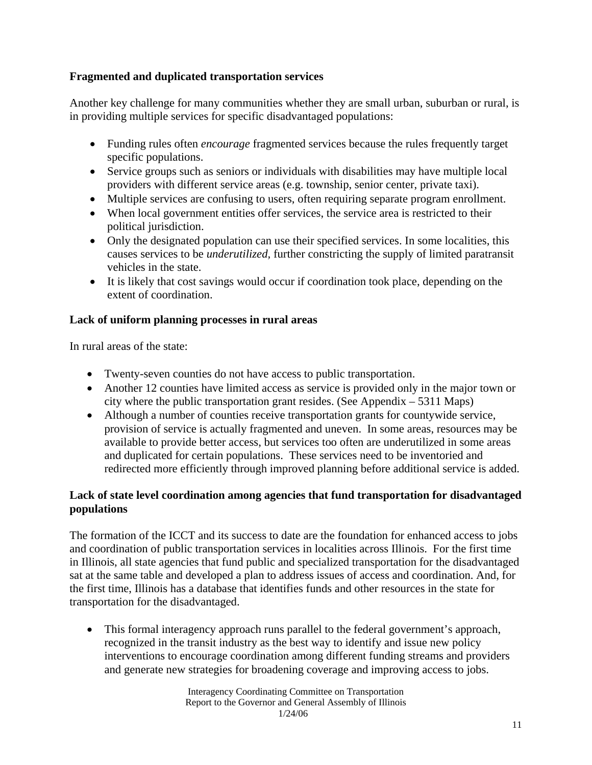### **Fragmented and duplicated transportation services**

Another key challenge for many communities whether they are small urban, suburban or rural, is in providing multiple services for specific disadvantaged populations:

- Funding rules often *encourage* fragmented services because the rules frequently target specific populations.
- Service groups such as seniors or individuals with disabilities may have multiple local providers with different service areas (e.g. township, senior center, private taxi).
- Multiple services are confusing to users, often requiring separate program enrollment.
- When local government entities offer services, the service area is restricted to their political jurisdiction.
- Only the designated population can use their specified services. In some localities, this causes services to be *underutilized,* further constricting the supply of limited paratransit vehicles in the state.
- It is likely that cost savings would occur if coordination took place, depending on the extent of coordination.

#### **Lack of uniform planning processes in rural areas**

In rural areas of the state:

- Twenty-seven counties do not have access to public transportation.
- Another 12 counties have limited access as service is provided only in the major town or city where the public transportation grant resides. (See Appendix – 5311 Maps)
- Although a number of counties receive transportation grants for countywide service, provision of service is actually fragmented and uneven. In some areas, resources may be available to provide better access, but services too often are underutilized in some areas and duplicated for certain populations. These services need to be inventoried and redirected more efficiently through improved planning before additional service is added.

## **Lack of state level coordination among agencies that fund transportation for disadvantaged populations**

The formation of the ICCT and its success to date are the foundation for enhanced access to jobs and coordination of public transportation services in localities across Illinois. For the first time in Illinois, all state agencies that fund public and specialized transportation for the disadvantaged sat at the same table and developed a plan to address issues of access and coordination. And, for the first time, Illinois has a database that identifies funds and other resources in the state for transportation for the disadvantaged.

This formal interagency approach runs parallel to the federal government's approach, recognized in the transit industry as the best way to identify and issue new policy interventions to encourage coordination among different funding streams and providers and generate new strategies for broadening coverage and improving access to jobs.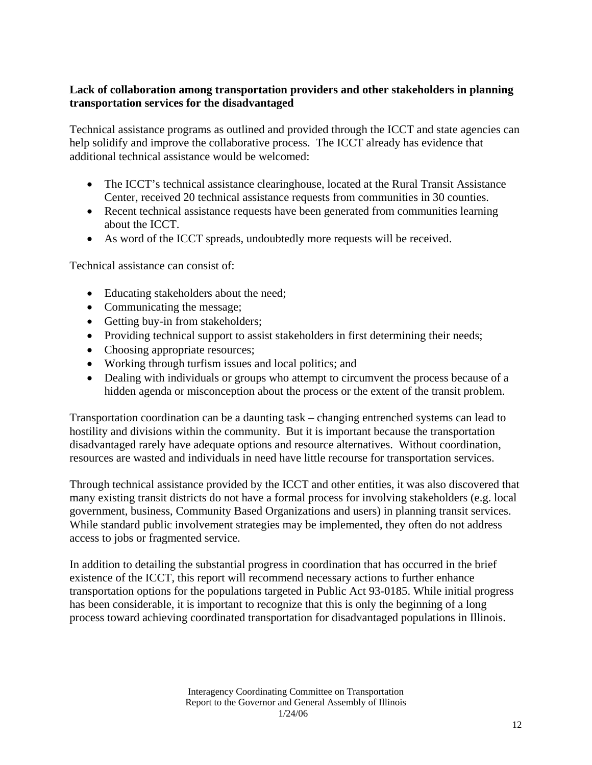### **Lack of collaboration among transportation providers and other stakeholders in planning transportation services for the disadvantaged**

Technical assistance programs as outlined and provided through the ICCT and state agencies can help solidify and improve the collaborative process. The ICCT already has evidence that additional technical assistance would be welcomed:

- The ICCT's technical assistance clearinghouse, located at the Rural Transit Assistance Center, received 20 technical assistance requests from communities in 30 counties.
- Recent technical assistance requests have been generated from communities learning about the ICCT.
- As word of the ICCT spreads, undoubtedly more requests will be received.

Technical assistance can consist of:

- Educating stakeholders about the need;
- Communicating the message;
- Getting buy-in from stakeholders;
- Providing technical support to assist stakeholders in first determining their needs;
- Choosing appropriate resources;
- Working through turfism issues and local politics; and
- Dealing with individuals or groups who attempt to circumvent the process because of a hidden agenda or misconception about the process or the extent of the transit problem.

Transportation coordination can be a daunting task – changing entrenched systems can lead to hostility and divisions within the community. But it is important because the transportation disadvantaged rarely have adequate options and resource alternatives. Without coordination, resources are wasted and individuals in need have little recourse for transportation services.

Through technical assistance provided by the ICCT and other entities, it was also discovered that many existing transit districts do not have a formal process for involving stakeholders (e.g. local government, business, Community Based Organizations and users) in planning transit services. While standard public involvement strategies may be implemented, they often do not address access to jobs or fragmented service.

In addition to detailing the substantial progress in coordination that has occurred in the brief existence of the ICCT, this report will recommend necessary actions to further enhance transportation options for the populations targeted in Public Act 93-0185. While initial progress has been considerable, it is important to recognize that this is only the beginning of a long process toward achieving coordinated transportation for disadvantaged populations in Illinois.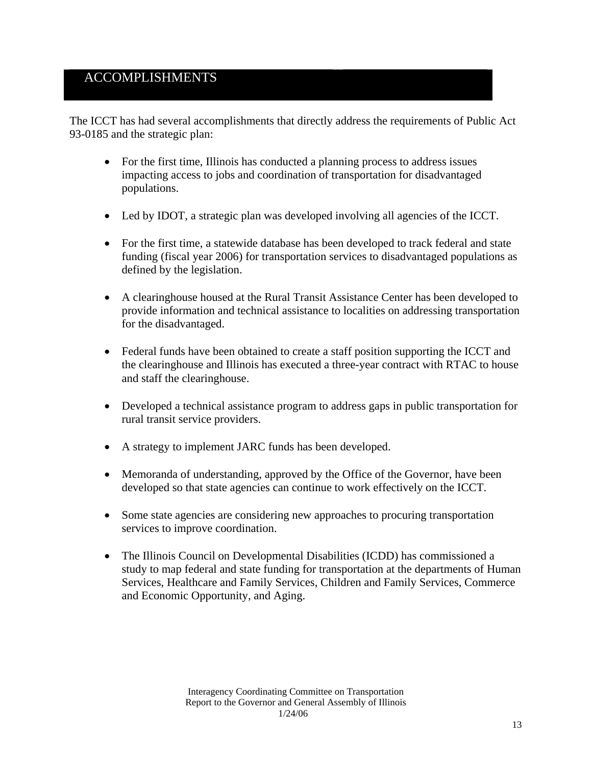## ACCOMPLISHMENTS

The ICCT has had several accomplishments that directly address the requirements of Public Act 93-0185 and the strategic plan:

- For the first time, Illinois has conducted a planning process to address issues impacting access to jobs and coordination of transportation for disadvantaged populations.
- Led by IDOT, a strategic plan was developed involving all agencies of the ICCT.
- For the first time, a statewide database has been developed to track federal and state funding (fiscal year 2006) for transportation services to disadvantaged populations as defined by the legislation.
- A clearinghouse housed at the Rural Transit Assistance Center has been developed to provide information and technical assistance to localities on addressing transportation for the disadvantaged.
- Federal funds have been obtained to create a staff position supporting the ICCT and the clearinghouse and Illinois has executed a three-year contract with RTAC to house and staff the clearinghouse.
- Developed a technical assistance program to address gaps in public transportation for rural transit service providers.
- A strategy to implement JARC funds has been developed.
- Memoranda of understanding, approved by the Office of the Governor, have been developed so that state agencies can continue to work effectively on the ICCT.
- Some state agencies are considering new approaches to procuring transportation services to improve coordination.
- The Illinois Council on Developmental Disabilities (ICDD) has commissioned a study to map federal and state funding for transportation at the departments of Human Services, Healthcare and Family Services, Children and Family Services, Commerce and Economic Opportunity, and Aging.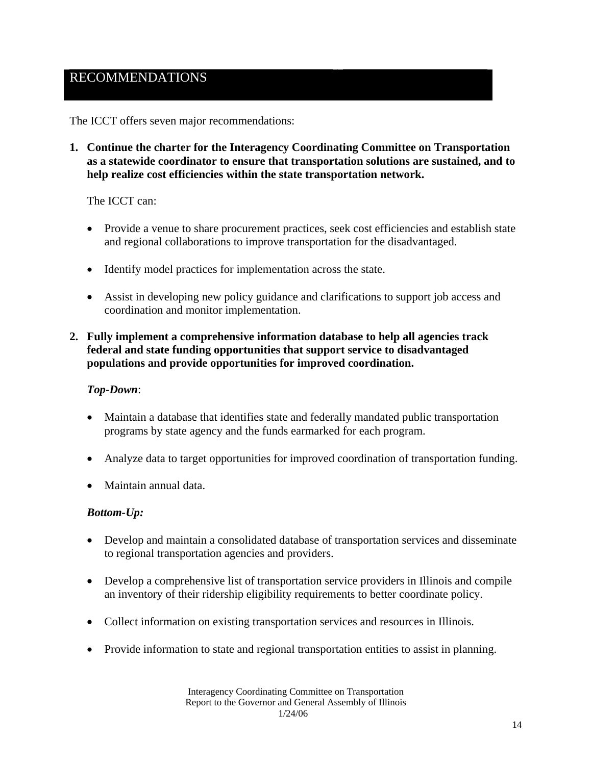## RECOMMENDATIONS

The ICCT offers seven major recommendations:

**1. Continue the charter for the Interagency Coordinating Committee on Transportation as a statewide coordinator to ensure that transportation solutions are sustained, and to help realize cost efficiencies within the state transportation network.** 

The ICCT can:

- Provide a venue to share procurement practices, seek cost efficiencies and establish state and regional collaborations to improve transportation for the disadvantaged.
- Identify model practices for implementation across the state.
- Assist in developing new policy guidance and clarifications to support job access and coordination and monitor implementation.
- **2. Fully implement a comprehensive information database to help all agencies track federal and state funding opportunities that support service to disadvantaged populations and provide opportunities for improved coordination.**

#### *Top-Down*:

- Maintain a database that identifies state and federally mandated public transportation programs by state agency and the funds earmarked for each program.
- Analyze data to target opportunities for improved coordination of transportation funding.
- Maintain annual data.

#### *Bottom-Up:*

- Develop and maintain a consolidated database of transportation services and disseminate to regional transportation agencies and providers.
- Develop a comprehensive list of transportation service providers in Illinois and compile an inventory of their ridership eligibility requirements to better coordinate policy.
- Collect information on existing transportation services and resources in Illinois.
- Provide information to state and regional transportation entities to assist in planning.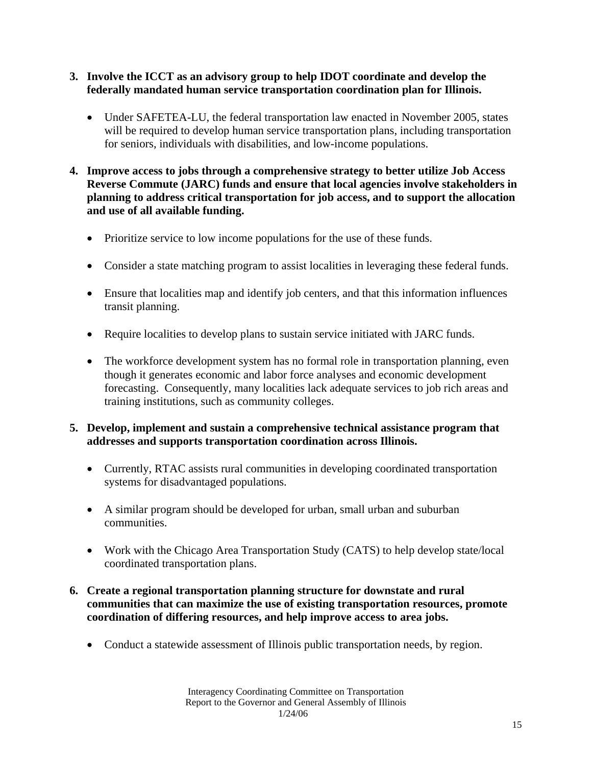- **3. Involve the ICCT as an advisory group to help IDOT coordinate and develop the federally mandated human service transportation coordination plan for Illinois.** 
	- Under SAFETEA-LU, the federal transportation law enacted in November 2005, states will be required to develop human service transportation plans, including transportation for seniors, individuals with disabilities, and low-income populations.
- **4. Improve access to jobs through a comprehensive strategy to better utilize Job Access Reverse Commute (JARC) funds and ensure that local agencies involve stakeholders in planning to address critical transportation for job access, and to support the allocation and use of all available funding.** 
	- Prioritize service to low income populations for the use of these funds.
	- Consider a state matching program to assist localities in leveraging these federal funds.
	- Ensure that localities map and identify job centers, and that this information influences transit planning.
	- Require localities to develop plans to sustain service initiated with JARC funds.
	- The workforce development system has no formal role in transportation planning, even though it generates economic and labor force analyses and economic development forecasting. Consequently, many localities lack adequate services to job rich areas and training institutions, such as community colleges.

#### **5. Develop, implement and sustain a comprehensive technical assistance program that addresses and supports transportation coordination across Illinois.**

- Currently, RTAC assists rural communities in developing coordinated transportation systems for disadvantaged populations.
- A similar program should be developed for urban, small urban and suburban communities.
- Work with the Chicago Area Transportation Study (CATS) to help develop state/local coordinated transportation plans.

#### **6. Create a regional transportation planning structure for downstate and rural communities that can maximize the use of existing transportation resources, promote coordination of differing resources, and help improve access to area jobs.**

• Conduct a statewide assessment of Illinois public transportation needs, by region.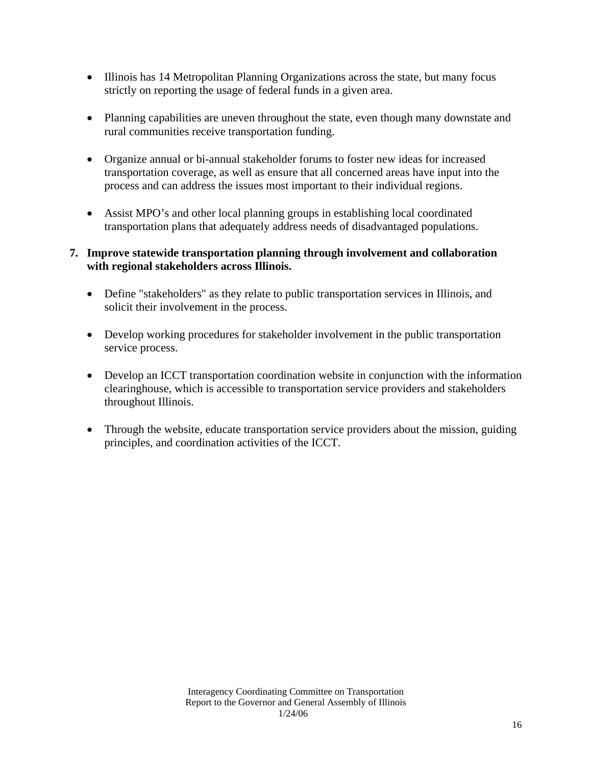- Illinois has 14 Metropolitan Planning Organizations across the state, but many focus strictly on reporting the usage of federal funds in a given area.
- Planning capabilities are uneven throughout the state, even though many downstate and rural communities receive transportation funding.
- Organize annual or bi-annual stakeholder forums to foster new ideas for increased transportation coverage, as well as ensure that all concerned areas have input into the process and can address the issues most important to their individual regions.
- Assist MPO's and other local planning groups in establishing local coordinated transportation plans that adequately address needs of disadvantaged populations.

#### **7. Improve statewide transportation planning through involvement and collaboration with regional stakeholders across Illinois.**

- Define "stakeholders" as they relate to public transportation services in Illinois, and solicit their involvement in the process.
- Develop working procedures for stakeholder involvement in the public transportation service process.
- Develop an ICCT transportation coordination website in conjunction with the information clearinghouse, which is accessible to transportation service providers and stakeholders throughout Illinois.
- Through the website, educate transportation service providers about the mission, guiding principles, and coordination activities of the ICCT.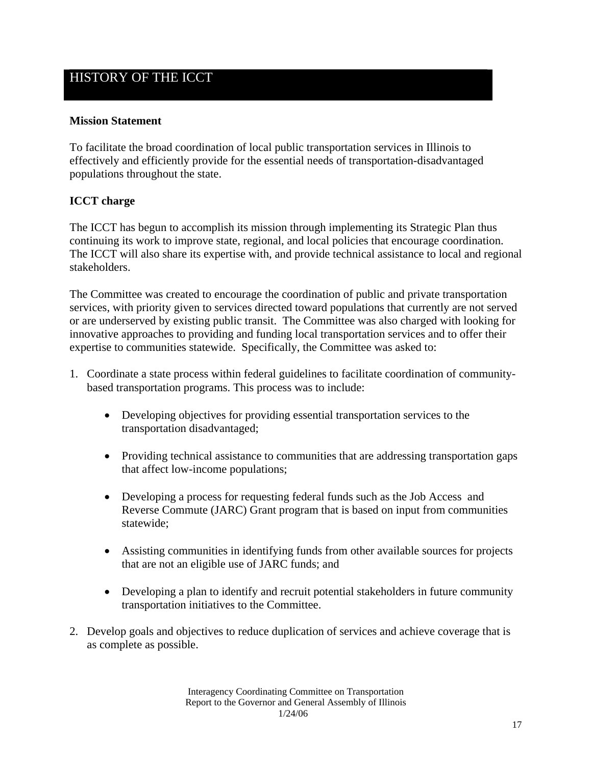## HISTORY OF THE ICCT

#### **Mission Statement**

To facilitate the broad coordination of local public transportation services in Illinois to effectively and efficiently provide for the essential needs of transportation-disadvantaged populations throughout the state.

#### **ICCT charge**

The ICCT has begun to accomplish its mission through implementing its Strategic Plan thus continuing its work to improve state, regional, and local policies that encourage coordination. The ICCT will also share its expertise with, and provide technical assistance to local and regional stakeholders.

The Committee was created to encourage the coordination of public and private transportation services, with priority given to services directed toward populations that currently are not served or are underserved by existing public transit. The Committee was also charged with looking for innovative approaches to providing and funding local transportation services and to offer their expertise to communities statewide. Specifically, the Committee was asked to:

- 1. Coordinate a state process within federal guidelines to facilitate coordination of communitybased transportation programs. This process was to include:
	- Developing objectives for providing essential transportation services to the transportation disadvantaged;
	- Providing technical assistance to communities that are addressing transportation gaps that affect low-income populations;
	- Developing a process for requesting federal funds such as the Job Access and Reverse Commute (JARC) Grant program that is based on input from communities statewide;
	- Assisting communities in identifying funds from other available sources for projects that are not an eligible use of JARC funds; and
	- Developing a plan to identify and recruit potential stakeholders in future community transportation initiatives to the Committee.
- 2. Develop goals and objectives to reduce duplication of services and achieve coverage that is as complete as possible.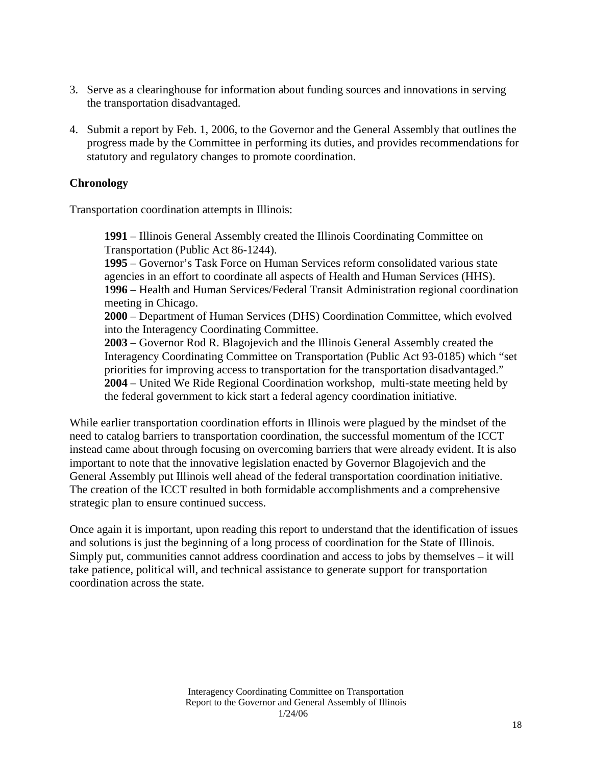- 3. Serve as a clearinghouse for information about funding sources and innovations in serving the transportation disadvantaged.
- 4. Submit a report by Feb. 1, 2006, to the Governor and the General Assembly that outlines the progress made by the Committee in performing its duties, and provides recommendations for statutory and regulatory changes to promote coordination.

#### **Chronology**

Transportation coordination attempts in Illinois:

**1991** – Illinois General Assembly created the Illinois Coordinating Committee on Transportation (Public Act 86-1244).

**1995** – Governor's Task Force on Human Services reform consolidated various state agencies in an effort to coordinate all aspects of Health and Human Services (HHS). **1996** – Health and Human Services/Federal Transit Administration regional coordination meeting in Chicago.

**2000** – Department of Human Services (DHS) Coordination Committee, which evolved into the Interagency Coordinating Committee.

**2003** – Governor Rod R. Blagojevich and the Illinois General Assembly created the Interagency Coordinating Committee on Transportation (Public Act 93-0185) which "set priorities for improving access to transportation for the transportation disadvantaged." **2004** – United We Ride Regional Coordination workshop, multi-state meeting held by the federal government to kick start a federal agency coordination initiative.

While earlier transportation coordination efforts in Illinois were plagued by the mindset of the need to catalog barriers to transportation coordination, the successful momentum of the ICCT instead came about through focusing on overcoming barriers that were already evident. It is also important to note that the innovative legislation enacted by Governor Blagojevich and the General Assembly put Illinois well ahead of the federal transportation coordination initiative. The creation of the ICCT resulted in both formidable accomplishments and a comprehensive strategic plan to ensure continued success.

Once again it is important, upon reading this report to understand that the identification of issues and solutions is just the beginning of a long process of coordination for the State of Illinois. Simply put, communities cannot address coordination and access to jobs by themselves – it will take patience, political will, and technical assistance to generate support for transportation coordination across the state.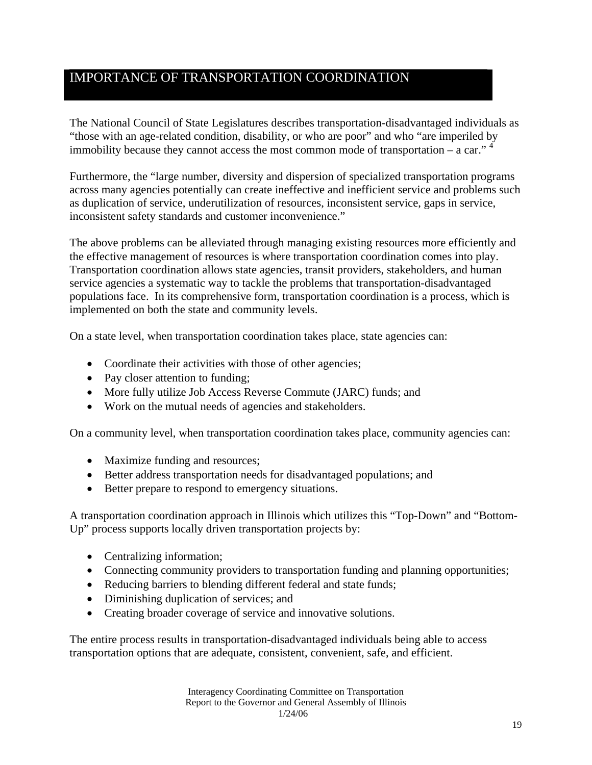## IMPORTANCE OF TRANSPORTATION COORDINATION

The National Council of State Legislatures describes transportation-disadvantaged individuals as "those with an age-related condition, disability, or who are poor" and who "are imperiled by immobility because they cannot access the most common mode of transportation – a car."  $4^{\circ}$ 

Furthermore, the "large number, diversity and dispersion of specialized transportation programs across many agencies potentially can create ineffective and inefficient service and problems such as duplication of service, underutilization of resources, inconsistent service, gaps in service, inconsistent safety standards and customer inconvenience."

The above problems can be alleviated through managing existing resources more efficiently and the effective management of resources is where transportation coordination comes into play. Transportation coordination allows state agencies, transit providers, stakeholders, and human service agencies a systematic way to tackle the problems that transportation-disadvantaged populations face. In its comprehensive form, transportation coordination is a process, which is implemented on both the state and community levels.

On a state level, when transportation coordination takes place, state agencies can:

- Coordinate their activities with those of other agencies;
- Pay closer attention to funding;
- More fully utilize Job Access Reverse Commute (JARC) funds; and
- Work on the mutual needs of agencies and stakeholders.

On a community level, when transportation coordination takes place, community agencies can:

- Maximize funding and resources;
- Better address transportation needs for disadvantaged populations; and
- Better prepare to respond to emergency situations.

A transportation coordination approach in Illinois which utilizes this "Top-Down" and "Bottom-Up" process supports locally driven transportation projects by:

- Centralizing information;
- Connecting community providers to transportation funding and planning opportunities;
- Reducing barriers to blending different federal and state funds;
- Diminishing duplication of services; and
- Creating broader coverage of service and innovative solutions.

The entire process results in transportation-disadvantaged individuals being able to access transportation options that are adequate, consistent, convenient, safe, and efficient.

> Interagency Coordinating Committee on Transportation Report to the Governor and General Assembly of Illinois 1/24/06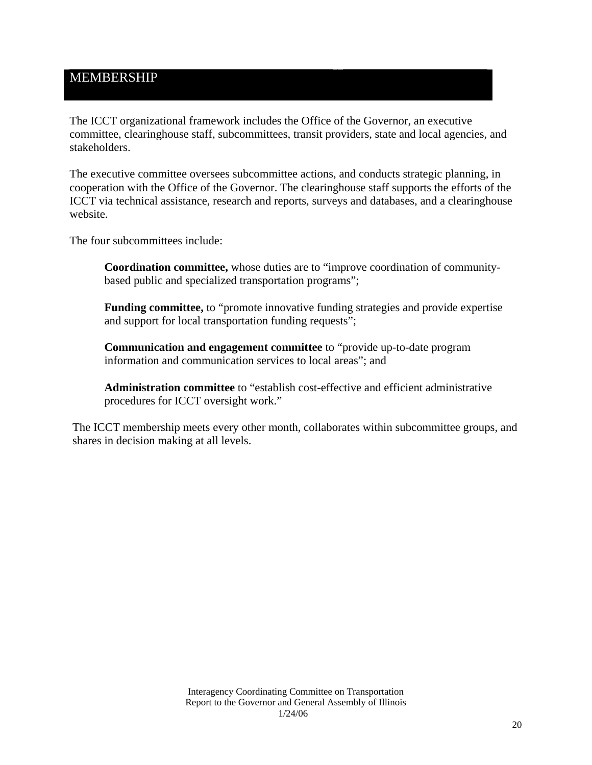## MEMBERSHIP

The ICCT organizational framework includes the Office of the Governor, an executive committee, clearinghouse staff, subcommittees, transit providers, state and local agencies, and stakeholders.

The executive committee oversees subcommittee actions, and conducts strategic planning, in cooperation with the Office of the Governor. The clearinghouse staff supports the efforts of the ICCT via technical assistance, research and reports, surveys and databases, and a clearinghouse website.

The four subcommittees include:

**Coordination committee,** whose duties are to "improve coordination of communitybased public and specialized transportation programs";

**Funding committee,** to "promote innovative funding strategies and provide expertise and support for local transportation funding requests";

**Communication and engagement committee** to "provide up-to-date program information and communication services to local areas"; and

**Administration committee** to "establish cost-effective and efficient administrative procedures for ICCT oversight work."

The ICCT membership meets every other month, collaborates within subcommittee groups, and shares in decision making at all levels.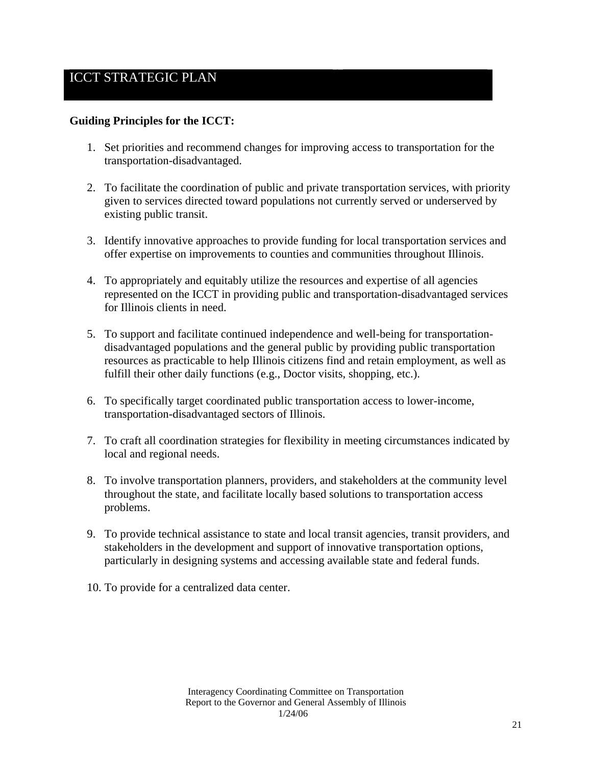## ICCT STRATEGIC PLAN

#### **Guiding Principles for the ICCT:**

- 1. Set priorities and recommend changes for improving access to transportation for the transportation-disadvantaged.
- 2. To facilitate the coordination of public and private transportation services, with priority given to services directed toward populations not currently served or underserved by existing public transit.
- 3. Identify innovative approaches to provide funding for local transportation services and offer expertise on improvements to counties and communities throughout Illinois.
- 4. To appropriately and equitably utilize the resources and expertise of all agencies represented on the ICCT in providing public and transportation-disadvantaged services for Illinois clients in need.
- 5. To support and facilitate continued independence and well-being for transportationdisadvantaged populations and the general public by providing public transportation resources as practicable to help Illinois citizens find and retain employment, as well as fulfill their other daily functions (e.g., Doctor visits, shopping, etc.).
- 6. To specifically target coordinated public transportation access to lower-income, transportation-disadvantaged sectors of Illinois.
- 7. To craft all coordination strategies for flexibility in meeting circumstances indicated by local and regional needs.
- 8. To involve transportation planners, providers, and stakeholders at the community level throughout the state, and facilitate locally based solutions to transportation access problems.
- 9. To provide technical assistance to state and local transit agencies, transit providers, and stakeholders in the development and support of innovative transportation options, particularly in designing systems and accessing available state and federal funds.
- 10. To provide for a centralized data center.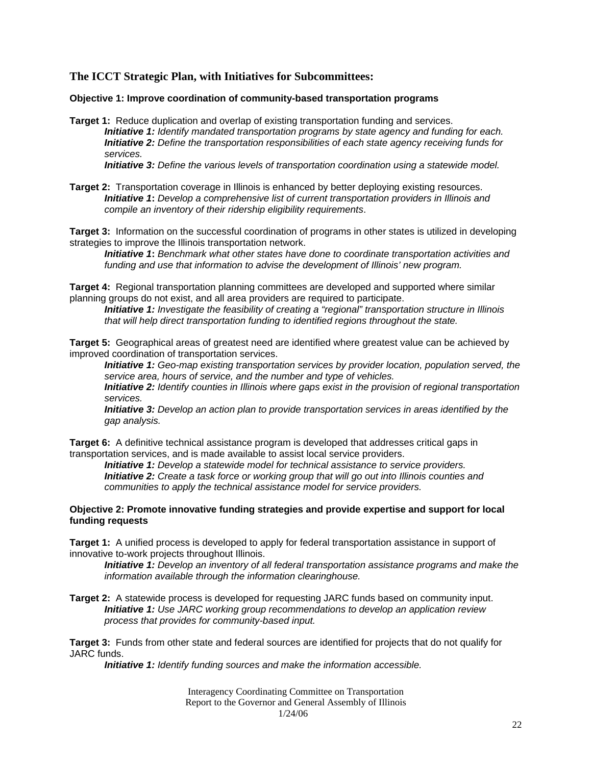#### **The ICCT Strategic Plan, with Initiatives for Subcommittees:**

#### **Objective 1: Improve coordination of community-based transportation programs**

**Target 1:** Reduce duplication and overlap of existing transportation funding and services. *Initiative 1: Identify mandated transportation programs by state agency and funding for each. Initiative 2: Define the transportation responsibilities of each state agency receiving funds for services.* 

*Initiative 3: Define the various levels of transportation coordination using a statewide model.* 

**Target 2:** Transportation coverage in Illinois is enhanced by better deploying existing resources. *Initiative 1***:** *Develop a comprehensive list of current transportation providers in Illinois and compile an inventory of their ridership eligibility requirements*.

**Target 3:** Information on the successful coordination of programs in other states is utilized in developing strategies to improve the Illinois transportation network.

*Initiative 1***:** *Benchmark what other states have done to coordinate transportation activities and funding and use that information to advise the development of Illinois' new program.* 

**Target 4:** Regional transportation planning committees are developed and supported where similar planning groups do not exist, and all area providers are required to participate.

*Initiative 1: Investigate the feasibility of creating a "regional" transportation structure in Illinois that will help direct transportation funding to identified regions throughout the state.* 

**Target 5:** Geographical areas of greatest need are identified where greatest value can be achieved by improved coordination of transportation services.

*Initiative 1: Geo-map existing transportation services by provider location, population served, the service area, hours of service, and the number and type of vehicles.* 

*Initiative 2: Identify counties in Illinois where gaps exist in the provision of regional transportation services.* 

*Initiative 3: Develop an action plan to provide transportation services in areas identified by the gap analysis.* 

**Target 6:** A definitive technical assistance program is developed that addresses critical gaps in transportation services, and is made available to assist local service providers.

*Initiative 1: Develop a statewide model for technical assistance to service providers. Initiative 2: Create a task force or working group that will go out into Illinois counties and communities to apply the technical assistance model for service providers.* 

#### **Objective 2: Promote innovative funding strategies and provide expertise and support for local funding requests**

**Target 1:** A unified process is developed to apply for federal transportation assistance in support of innovative to-work projects throughout Illinois.

*Initiative 1: Develop an inventory of all federal transportation assistance programs and make the information available through the information clearinghouse.* 

**Target 2:** A statewide process is developed for requesting JARC funds based on community input. *Initiative 1: Use JARC working group recommendations to develop an application review process that provides for community-based input.*

**Target 3:** Funds from other state and federal sources are identified for projects that do not qualify for JARC funds.

*Initiative 1: Identify funding sources and make the information accessible.* 

Interagency Coordinating Committee on Transportation Report to the Governor and General Assembly of Illinois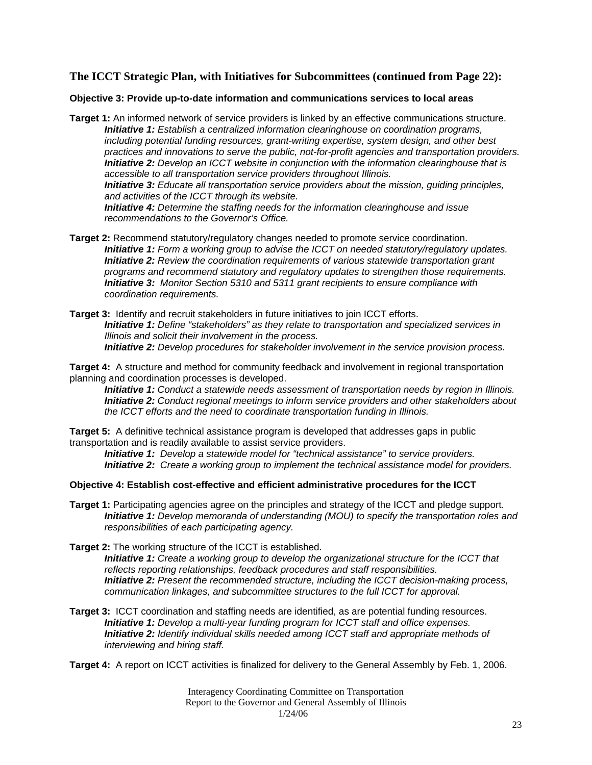#### **The ICCT Strategic Plan, with Initiatives for Subcommittees (continued from Page 22):**

#### **Objective 3: Provide up-to-date information and communications services to local areas**

- **Target 1:** An informed network of service providers is linked by an effective communications structure. *Initiative 1: Establish a centralized information clearinghouse on coordination programs, including potential funding resources, grant-writing expertise, system design, and other best practices and innovations to serve the public, not-for-profit agencies and transportation providers. Initiative 2: Develop an ICCT website in conjunction with the information clearinghouse that is accessible to all transportation service providers throughout Illinois. Initiative 3: Educate all transportation service providers about the mission, guiding principles, and activities of the ICCT through its website. Initiative 4: Determine the staffing needs for the information clearinghouse and issue recommendations to the Governor's Office.*
- **Target 2:** Recommend statutory/regulatory changes needed to promote service coordination. *Initiative 1: Form a working group to advise the ICCT on needed statutory/regulatory updates. Initiative 2: Review the coordination requirements of various statewide transportation grant programs and recommend statutory and regulatory updates to strengthen those requirements. Initiative 3: Monitor Section 5310 and 5311 grant recipients to ensure compliance with coordination requirements.*
- **Target 3:** Identify and recruit stakeholders in future initiatives to join ICCT efforts. *Initiative 1: Define "stakeholders" as they relate to transportation and specialized services in Illinois and solicit their involvement in the process. Initiative 2: Develop procedures for stakeholder involvement in the service provision process.*
- **Target 4:** A structure and method for community feedback and involvement in regional transportation planning and coordination processes is developed.
	- *Initiative 1: Conduct a statewide needs assessment of transportation needs by region in Illinois. Initiative 2: Conduct regional meetings to inform service providers and other stakeholders about the ICCT efforts and the need to coordinate transportation funding in Illinois.*

**Target 5:** A definitive technical assistance program is developed that addresses gaps in public transportation and is readily available to assist service providers.

*Initiative 1: Develop a statewide model for "technical assistance" to service providers. Initiative 2: Create a working group to implement the technical assistance model for providers.* 

#### **Objective 4: Establish cost-effective and efficient administrative procedures for the ICCT**

- **Target 1:** Participating agencies agree on the principles and strategy of the ICCT and pledge support. *Initiative 1: Develop memoranda of understanding (MOU) to specify the transportation roles and responsibilities of each participating agency.*
- **Target 2:** The working structure of the ICCT is established. *Initiative 1: Create a working group to develop the organizational structure for the ICCT that reflects reporting relationships, feedback procedures and staff responsibilities. Initiative 2: Present the recommended structure, including the ICCT decision-making process, communication linkages, and subcommittee structures to the full ICCT for approval.*
- **Target 3:** ICCT coordination and staffing needs are identified, as are potential funding resources. *Initiative 1: Develop a multi-year funding program for ICCT staff and office expenses. Initiative 2: Identify individual skills needed among ICCT staff and appropriate methods of interviewing and hiring staff.*

**Target 4:** A report on ICCT activities is finalized for delivery to the General Assembly by Feb. 1, 2006.

Interagency Coordinating Committee on Transportation Report to the Governor and General Assembly of Illinois 1/24/06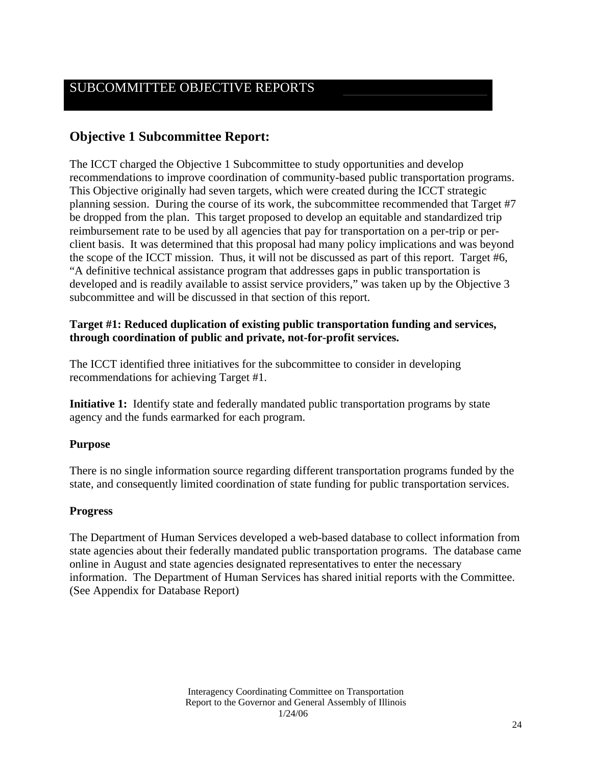## SUBCOMMITTEE OBJECTIVE REPORTS

## **Objective 1 Subcommittee Report:**

The ICCT charged the Objective 1 Subcommittee to study opportunities and develop recommendations to improve coordination of community-based public transportation programs. This Objective originally had seven targets, which were created during the ICCT strategic planning session. During the course of its work, the subcommittee recommended that Target #7 be dropped from the plan. This target proposed to develop an equitable and standardized trip reimbursement rate to be used by all agencies that pay for transportation on a per-trip or perclient basis. It was determined that this proposal had many policy implications and was beyond the scope of the ICCT mission. Thus, it will not be discussed as part of this report. Target #6, "A definitive technical assistance program that addresses gaps in public transportation is developed and is readily available to assist service providers," was taken up by the Objective 3 subcommittee and will be discussed in that section of this report.

#### **Target #1: Reduced duplication of existing public transportation funding and services, through coordination of public and private, not-for-profit services.**

The ICCT identified three initiatives for the subcommittee to consider in developing recommendations for achieving Target #1.

**Initiative 1:** Identify state and federally mandated public transportation programs by state agency and the funds earmarked for each program.

#### **Purpose**

There is no single information source regarding different transportation programs funded by the state, and consequently limited coordination of state funding for public transportation services.

#### **Progress**

The Department of Human Services developed a web-based database to collect information from state agencies about their federally mandated public transportation programs. The database came online in August and state agencies designated representatives to enter the necessary information. The Department of Human Services has shared initial reports with the Committee. (See Appendix for Database Report)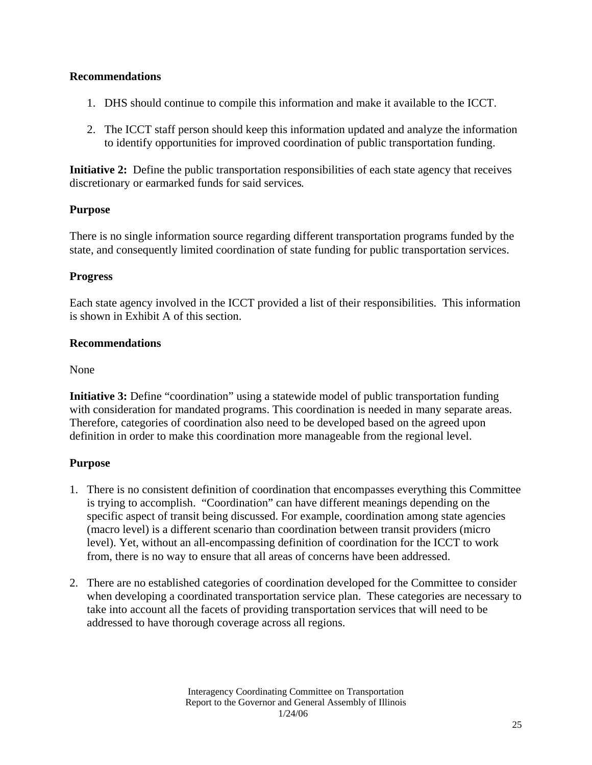- 1. DHS should continue to compile this information and make it available to the ICCT.
- 2. The ICCT staff person should keep this information updated and analyze the information to identify opportunities for improved coordination of public transportation funding.

**Initiative 2:** Define the public transportation responsibilities of each state agency that receives discretionary or earmarked funds for said services*.* 

#### **Purpose**

There is no single information source regarding different transportation programs funded by the state, and consequently limited coordination of state funding for public transportation services.

#### **Progress**

Each state agency involved in the ICCT provided a list of their responsibilities. This information is shown in Exhibit A of this section.

#### **Recommendations**

None

**Initiative 3:** Define "coordination" using a statewide model of public transportation funding with consideration for mandated programs. This coordination is needed in many separate areas. Therefore, categories of coordination also need to be developed based on the agreed upon definition in order to make this coordination more manageable from the regional level.

#### **Purpose**

- 1. There is no consistent definition of coordination that encompasses everything this Committee is trying to accomplish. "Coordination" can have different meanings depending on the specific aspect of transit being discussed. For example, coordination among state agencies (macro level) is a different scenario than coordination between transit providers (micro level). Yet, without an all-encompassing definition of coordination for the ICCT to work from, there is no way to ensure that all areas of concerns have been addressed.
- 2. There are no established categories of coordination developed for the Committee to consider when developing a coordinated transportation service plan. These categories are necessary to take into account all the facets of providing transportation services that will need to be addressed to have thorough coverage across all regions.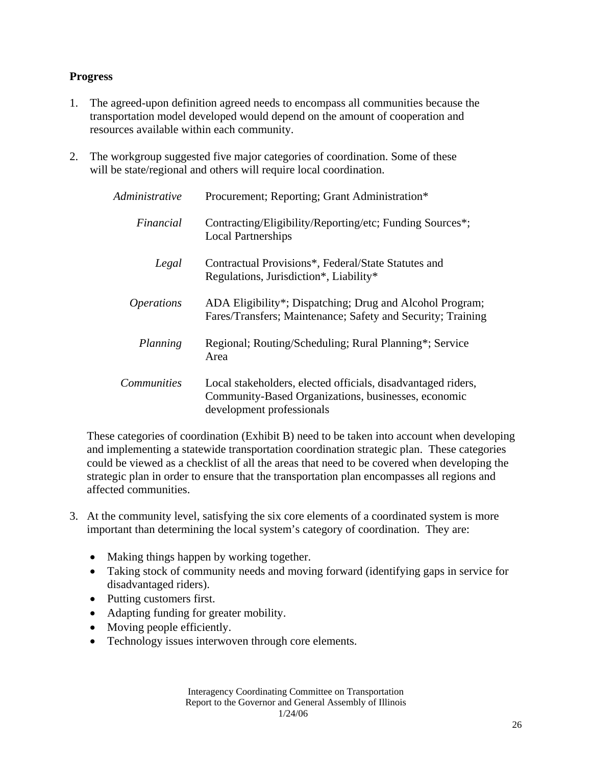#### **Progress**

- 1. The agreed-upon definition agreed needs to encompass all communities because the transportation model developed would depend on the amount of cooperation and resources available within each community.
- 2. The workgroup suggested five major categories of coordination. Some of these will be state/regional and others will require local coordination.

| Administrative           | Procurement; Reporting; Grant Administration*                                                                                                    |
|--------------------------|--------------------------------------------------------------------------------------------------------------------------------------------------|
| Financial                | Contracting/Eligibility/Reporting/etc; Funding Sources*;<br><b>Local Partnerships</b>                                                            |
| Legal                    | Contractual Provisions*, Federal/State Statutes and<br>Regulations, Jurisdiction*, Liability*                                                    |
| <i><b>Operations</b></i> | ADA Eligibility*; Dispatching; Drug and Alcohol Program;<br>Fares/Transfers; Maintenance; Safety and Security; Training                          |
| Planning                 | Regional; Routing/Scheduling; Rural Planning*; Service<br>Area                                                                                   |
| <i>Communities</i>       | Local stakeholders, elected officials, disadvantaged riders,<br>Community-Based Organizations, businesses, economic<br>development professionals |

These categories of coordination (Exhibit B) need to be taken into account when developing and implementing a statewide transportation coordination strategic plan. These categories could be viewed as a checklist of all the areas that need to be covered when developing the strategic plan in order to ensure that the transportation plan encompasses all regions and affected communities.

- 3. At the community level, satisfying the six core elements of a coordinated system is more important than determining the local system's category of coordination. They are:
	- Making things happen by working together.
	- Taking stock of community needs and moving forward (identifying gaps in service for disadvantaged riders).
	- Putting customers first.
	- Adapting funding for greater mobility.
	- Moving people efficiently.
	- Technology issues interwoven through core elements.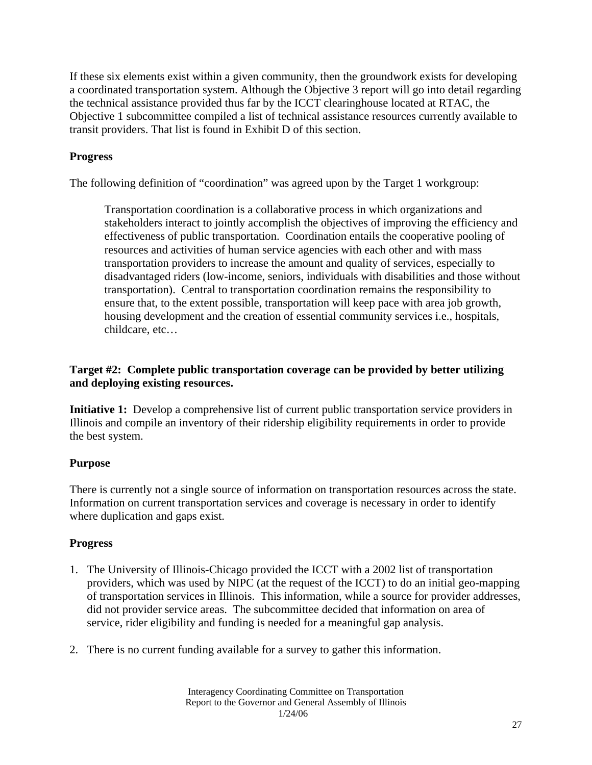If these six elements exist within a given community, then the groundwork exists for developing a coordinated transportation system. Although the Objective 3 report will go into detail regarding the technical assistance provided thus far by the ICCT clearinghouse located at RTAC, the Objective 1 subcommittee compiled a list of technical assistance resources currently available to transit providers. That list is found in Exhibit D of this section.

### **Progress**

The following definition of "coordination" was agreed upon by the Target 1 workgroup:

Transportation coordination is a collaborative process in which organizations and stakeholders interact to jointly accomplish the objectives of improving the efficiency and effectiveness of public transportation. Coordination entails the cooperative pooling of resources and activities of human service agencies with each other and with mass transportation providers to increase the amount and quality of services, especially to disadvantaged riders (low-income, seniors, individuals with disabilities and those without transportation). Central to transportation coordination remains the responsibility to ensure that, to the extent possible, transportation will keep pace with area job growth, housing development and the creation of essential community services i.e., hospitals, childcare, etc…

#### **Target #2: Complete public transportation coverage can be provided by better utilizing and deploying existing resources.**

**Initiative 1:** Develop a comprehensive list of current public transportation service providers in Illinois and compile an inventory of their ridership eligibility requirements in order to provide the best system.

#### **Purpose**

There is currently not a single source of information on transportation resources across the state. Information on current transportation services and coverage is necessary in order to identify where duplication and gaps exist.

#### **Progress**

- 1. The University of Illinois-Chicago provided the ICCT with a 2002 list of transportation providers, which was used by NIPC (at the request of the ICCT) to do an initial geo-mapping of transportation services in Illinois. This information, while a source for provider addresses, did not provider service areas. The subcommittee decided that information on area of service, rider eligibility and funding is needed for a meaningful gap analysis.
- 2. There is no current funding available for a survey to gather this information.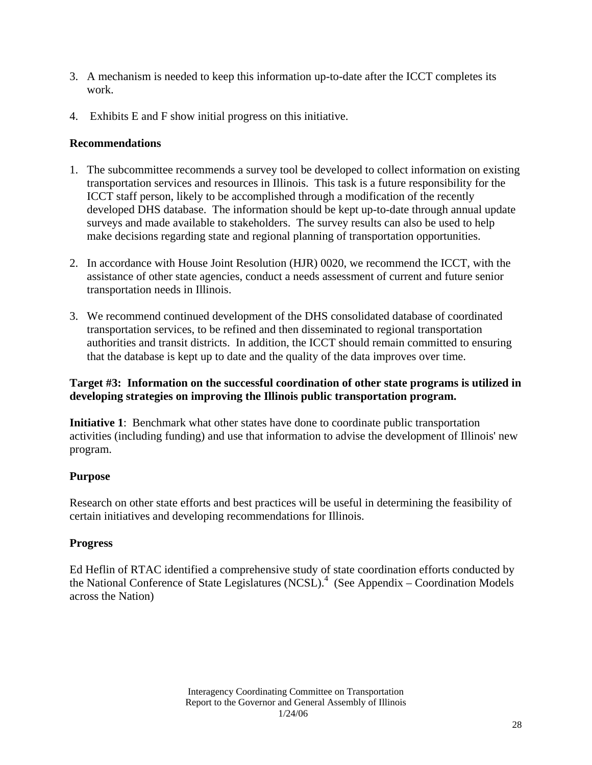- 3. A mechanism is needed to keep this information up-to-date after the ICCT completes its work.
- 4. Exhibits E and F show initial progress on this initiative.

- 1. The subcommittee recommends a survey tool be developed to collect information on existing transportation services and resources in Illinois. This task is a future responsibility for the ICCT staff person, likely to be accomplished through a modification of the recently developed DHS database. The information should be kept up-to-date through annual update surveys and made available to stakeholders. The survey results can also be used to help make decisions regarding state and regional planning of transportation opportunities.
- 2. In accordance with House Joint Resolution (HJR) 0020, we recommend the ICCT, with the assistance of other state agencies, conduct a needs assessment of current and future senior transportation needs in Illinois.
- 3. We recommend continued development of the DHS consolidated database of coordinated transportation services, to be refined and then disseminated to regional transportation authorities and transit districts. In addition, the ICCT should remain committed to ensuring that the database is kept up to date and the quality of the data improves over time.

#### **Target #3: Information on the successful coordination of other state programs is utilized in developing strategies on improving the Illinois public transportation program.**

**Initiative 1**: Benchmark what other states have done to coordinate public transportation activities (including funding) and use that information to advise the development of Illinois' new program.

#### **Purpose**

Research on other state efforts and best practices will be useful in determining the feasibility of certain initiatives and developing recommendations for Illinois.

#### **Progress**

Ed Heflin of RTAC identified a comprehensive study of state coordination efforts conducted by the National Conference of State Legislatures  $(NCSL)^4$  (See Appendix – Coordination Models across the Nation)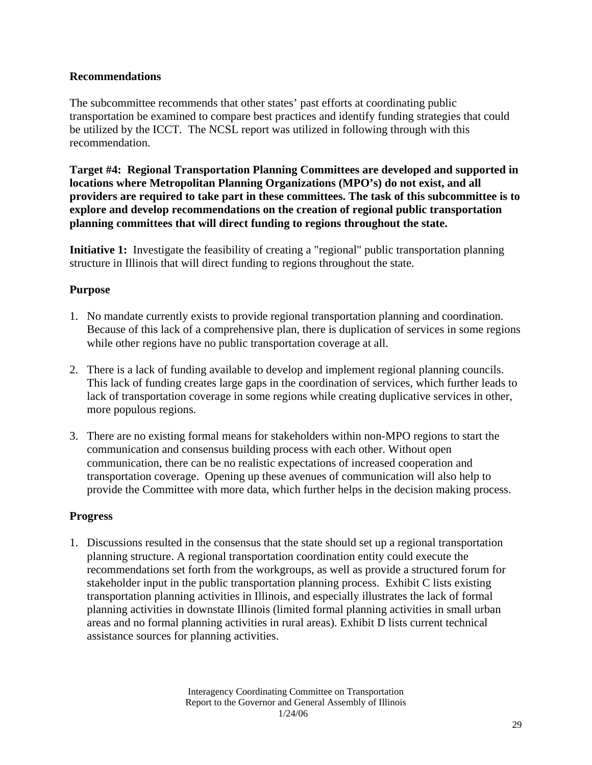The subcommittee recommends that other states' past efforts at coordinating public transportation be examined to compare best practices and identify funding strategies that could be utilized by the ICCT. The NCSL report was utilized in following through with this recommendation.

**Target #4: Regional Transportation Planning Committees are developed and supported in locations where Metropolitan Planning Organizations (MPO's) do not exist, and all providers are required to take part in these committees. The task of this subcommittee is to explore and develop recommendations on the creation of regional public transportation planning committees that will direct funding to regions throughout the state.** 

**Initiative 1:** Investigate the feasibility of creating a "regional" public transportation planning structure in Illinois that will direct funding to regions throughout the state.

#### **Purpose**

- 1. No mandate currently exists to provide regional transportation planning and coordination. Because of this lack of a comprehensive plan, there is duplication of services in some regions while other regions have no public transportation coverage at all.
- 2. There is a lack of funding available to develop and implement regional planning councils. This lack of funding creates large gaps in the coordination of services, which further leads to lack of transportation coverage in some regions while creating duplicative services in other, more populous regions.
- 3. There are no existing formal means for stakeholders within non-MPO regions to start the communication and consensus building process with each other. Without open communication, there can be no realistic expectations of increased cooperation and transportation coverage. Opening up these avenues of communication will also help to provide the Committee with more data, which further helps in the decision making process.

#### **Progress**

1. Discussions resulted in the consensus that the state should set up a regional transportation planning structure. A regional transportation coordination entity could execute the recommendations set forth from the workgroups, as well as provide a structured forum for stakeholder input in the public transportation planning process. Exhibit C lists existing transportation planning activities in Illinois, and especially illustrates the lack of formal planning activities in downstate Illinois (limited formal planning activities in small urban areas and no formal planning activities in rural areas). Exhibit D lists current technical assistance sources for planning activities.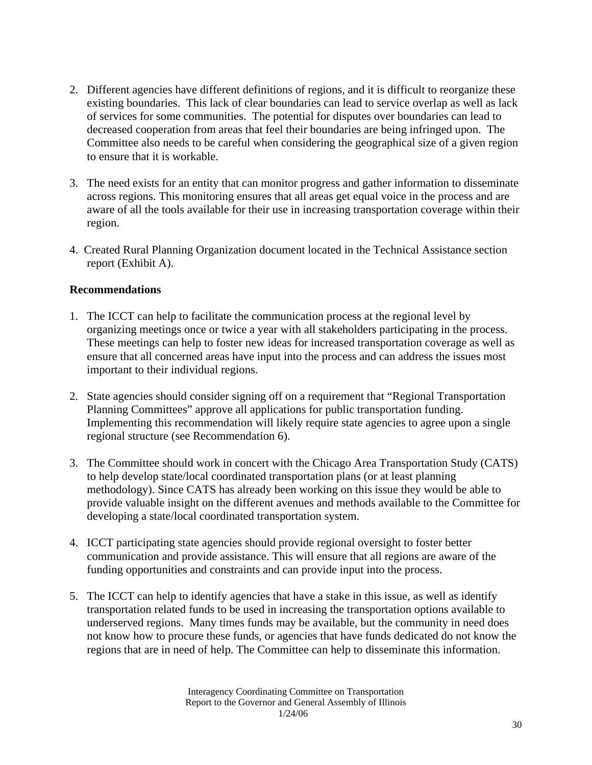- 2. Different agencies have different definitions of regions, and it is difficult to reorganize these existing boundaries. This lack of clear boundaries can lead to service overlap as well as lack of services for some communities. The potential for disputes over boundaries can lead to decreased cooperation from areas that feel their boundaries are being infringed upon. The Committee also needs to be careful when considering the geographical size of a given region to ensure that it is workable.
- 3. The need exists for an entity that can monitor progress and gather information to disseminate across regions. This monitoring ensures that all areas get equal voice in the process and are aware of all the tools available for their use in increasing transportation coverage within their region.
- 4. Created Rural Planning Organization document located in the Technical Assistance section report (Exhibit A).

- 1. The ICCT can help to facilitate the communication process at the regional level by organizing meetings once or twice a year with all stakeholders participating in the process. These meetings can help to foster new ideas for increased transportation coverage as well as ensure that all concerned areas have input into the process and can address the issues most important to their individual regions.
- 2. State agencies should consider signing off on a requirement that "Regional Transportation Planning Committees" approve all applications for public transportation funding. Implementing this recommendation will likely require state agencies to agree upon a single regional structure (see Recommendation 6).
- 3. The Committee should work in concert with the Chicago Area Transportation Study (CATS) to help develop state/local coordinated transportation plans (or at least planning methodology). Since CATS has already been working on this issue they would be able to provide valuable insight on the different avenues and methods available to the Committee for developing a state/local coordinated transportation system.
- 4. ICCT participating state agencies should provide regional oversight to foster better communication and provide assistance. This will ensure that all regions are aware of the funding opportunities and constraints and can provide input into the process.
- 5. The ICCT can help to identify agencies that have a stake in this issue, as well as identify transportation related funds to be used in increasing the transportation options available to underserved regions. Many times funds may be available, but the community in need does not know how to procure these funds, or agencies that have funds dedicated do not know the regions that are in need of help. The Committee can help to disseminate this information.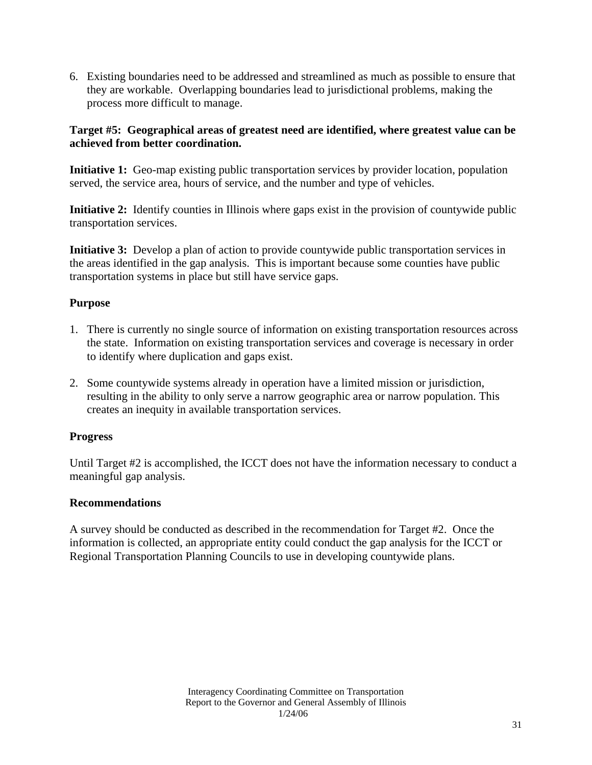6. Existing boundaries need to be addressed and streamlined as much as possible to ensure that they are workable. Overlapping boundaries lead to jurisdictional problems, making the process more difficult to manage.

### **Target #5: Geographical areas of greatest need are identified, where greatest value can be achieved from better coordination.**

**Initiative 1:** Geo-map existing public transportation services by provider location, population served, the service area, hours of service, and the number and type of vehicles.

**Initiative 2:** Identify counties in Illinois where gaps exist in the provision of countywide public transportation services.

**Initiative 3:** Develop a plan of action to provide countywide public transportation services in the areas identified in the gap analysis. This is important because some counties have public transportation systems in place but still have service gaps.

### **Purpose**

- 1. There is currently no single source of information on existing transportation resources across the state. Information on existing transportation services and coverage is necessary in order to identify where duplication and gaps exist.
- 2. Some countywide systems already in operation have a limited mission or jurisdiction, resulting in the ability to only serve a narrow geographic area or narrow population. This creates an inequity in available transportation services.

#### **Progress**

Until Target #2 is accomplished, the ICCT does not have the information necessary to conduct a meaningful gap analysis.

#### **Recommendations**

A survey should be conducted as described in the recommendation for Target #2. Once the information is collected, an appropriate entity could conduct the gap analysis for the ICCT or Regional Transportation Planning Councils to use in developing countywide plans.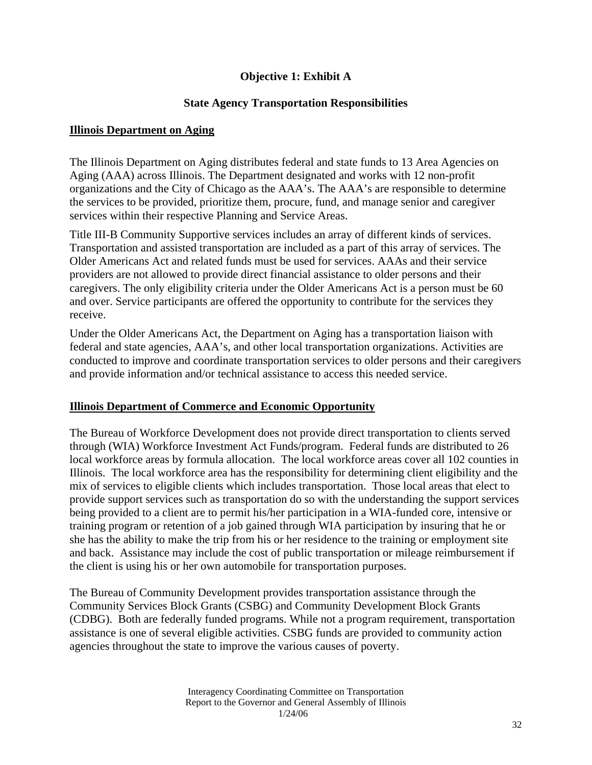### **Objective 1: Exhibit A**

#### **State Agency Transportation Responsibilities**

#### **Illinois Department on Aging**

The Illinois Department on Aging distributes federal and state funds to 13 Area Agencies on Aging (AAA) across Illinois. The Department designated and works with 12 non-profit organizations and the City of Chicago as the AAA's. The AAA's are responsible to determine the services to be provided, prioritize them, procure, fund, and manage senior and caregiver services within their respective Planning and Service Areas.

Title III-B Community Supportive services includes an array of different kinds of services. Transportation and assisted transportation are included as a part of this array of services. The Older Americans Act and related funds must be used for services. AAAs and their service providers are not allowed to provide direct financial assistance to older persons and their caregivers. The only eligibility criteria under the Older Americans Act is a person must be 60 and over. Service participants are offered the opportunity to contribute for the services they receive.

Under the Older Americans Act, the Department on Aging has a transportation liaison with federal and state agencies, AAA's, and other local transportation organizations. Activities are conducted to improve and coordinate transportation services to older persons and their caregivers and provide information and/or technical assistance to access this needed service.

#### **Illinois Department of Commerce and Economic Opportunity**

The Bureau of Workforce Development does not provide direct transportation to clients served through (WIA) Workforce Investment Act Funds/program. Federal funds are distributed to 26 local workforce areas by formula allocation. The local workforce areas cover all 102 counties in Illinois. The local workforce area has the responsibility for determining client eligibility and the mix of services to eligible clients which includes transportation. Those local areas that elect to provide support services such as transportation do so with the understanding the support services being provided to a client are to permit his/her participation in a WIA-funded core, intensive or training program or retention of a job gained through WIA participation by insuring that he or she has the ability to make the trip from his or her residence to the training or employment site and back. Assistance may include the cost of public transportation or mileage reimbursement if the client is using his or her own automobile for transportation purposes.

The Bureau of Community Development provides transportation assistance through the Community Services Block Grants (CSBG) and Community Development Block Grants (CDBG). Both are federally funded programs. While not a program requirement, transportation assistance is one of several eligible activities. CSBG funds are provided to community action agencies throughout the state to improve the various causes of poverty.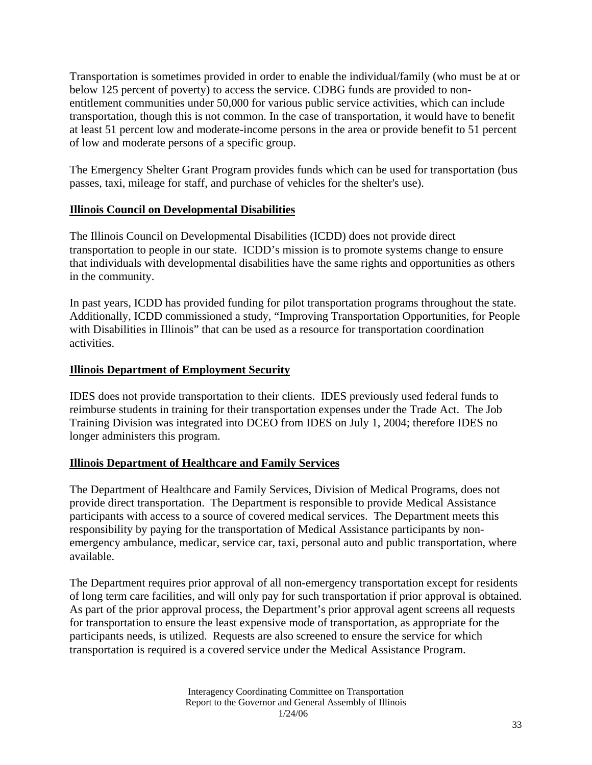Transportation is sometimes provided in order to enable the individual/family (who must be at or below 125 percent of poverty) to access the service. CDBG funds are provided to nonentitlement communities under 50,000 for various public service activities, which can include transportation, though this is not common. In the case of transportation, it would have to benefit at least 51 percent low and moderate-income persons in the area or provide benefit to 51 percent of low and moderate persons of a specific group.

The Emergency Shelter Grant Program provides funds which can be used for transportation (bus passes, taxi, mileage for staff, and purchase of vehicles for the shelter's use).

#### **Illinois Council on Developmental Disabilities**

The Illinois Council on Developmental Disabilities (ICDD) does not provide direct transportation to people in our state. ICDD's mission is to promote systems change to ensure that individuals with developmental disabilities have the same rights and opportunities as others in the community.

In past years, ICDD has provided funding for pilot transportation programs throughout the state. Additionally, ICDD commissioned a study, "Improving Transportation Opportunities, for People with Disabilities in Illinois" that can be used as a resource for transportation coordination activities.

### **Illinois Department of Employment Security**

IDES does not provide transportation to their clients. IDES previously used federal funds to reimburse students in training for their transportation expenses under the Trade Act. The Job Training Division was integrated into DCEO from IDES on July 1, 2004; therefore IDES no longer administers this program.

#### **Illinois Department of Healthcare and Family Services**

The Department of Healthcare and Family Services, Division of Medical Programs, does not provide direct transportation. The Department is responsible to provide Medical Assistance participants with access to a source of covered medical services. The Department meets this responsibility by paying for the transportation of Medical Assistance participants by nonemergency ambulance, medicar, service car, taxi, personal auto and public transportation, where available.

The Department requires prior approval of all non-emergency transportation except for residents of long term care facilities, and will only pay for such transportation if prior approval is obtained. As part of the prior approval process, the Department's prior approval agent screens all requests for transportation to ensure the least expensive mode of transportation, as appropriate for the participants needs, is utilized. Requests are also screened to ensure the service for which transportation is required is a covered service under the Medical Assistance Program.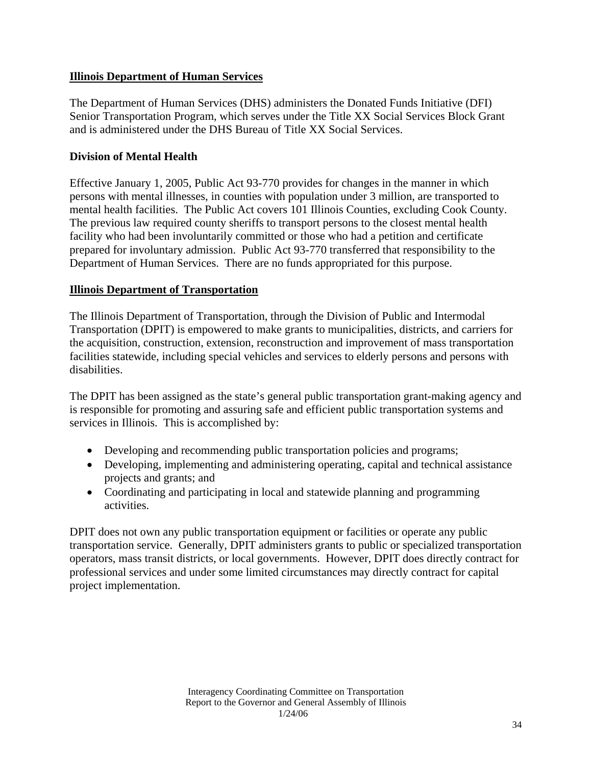#### **Illinois Department of Human Services**

The Department of Human Services (DHS) administers the Donated Funds Initiative (DFI) Senior Transportation Program, which serves under the Title XX Social Services Block Grant and is administered under the DHS Bureau of Title XX Social Services.

### **Division of Mental Health**

Effective January 1, 2005, Public Act 93-770 provides for changes in the manner in which persons with mental illnesses, in counties with population under 3 million, are transported to mental health facilities. The Public Act covers 101 Illinois Counties, excluding Cook County. The previous law required county sheriffs to transport persons to the closest mental health facility who had been involuntarily committed or those who had a petition and certificate prepared for involuntary admission. Public Act 93-770 transferred that responsibility to the Department of Human Services. There are no funds appropriated for this purpose.

### **Illinois Department of Transportation**

The Illinois Department of Transportation, through the Division of Public and Intermodal Transportation (DPIT) is empowered to make grants to municipalities, districts, and carriers for the acquisition, construction, extension, reconstruction and improvement of mass transportation facilities statewide, including special vehicles and services to elderly persons and persons with disabilities.

The DPIT has been assigned as the state's general public transportation grant-making agency and is responsible for promoting and assuring safe and efficient public transportation systems and services in Illinois. This is accomplished by:

- Developing and recommending public transportation policies and programs;
- Developing, implementing and administering operating, capital and technical assistance projects and grants; and
- Coordinating and participating in local and statewide planning and programming activities.

DPIT does not own any public transportation equipment or facilities or operate any public transportation service. Generally, DPIT administers grants to public or specialized transportation operators, mass transit districts, or local governments. However, DPIT does directly contract for professional services and under some limited circumstances may directly contract for capital project implementation.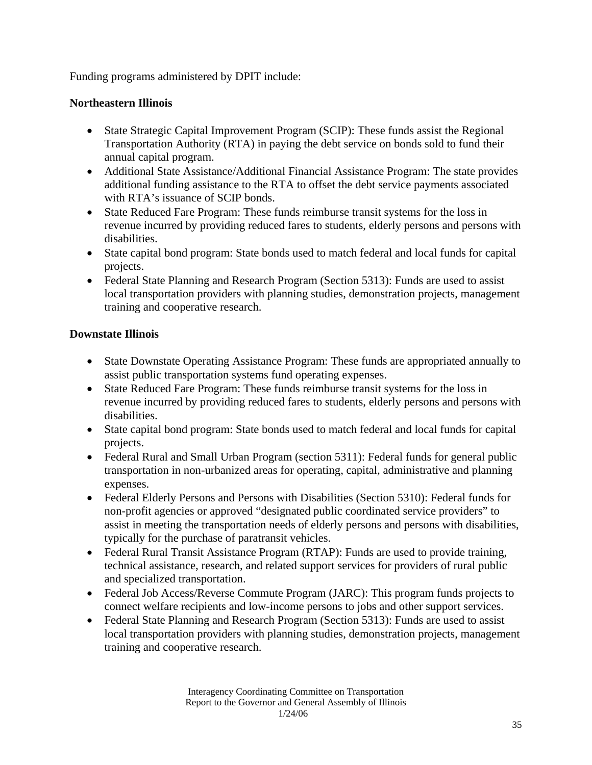Funding programs administered by DPIT include:

### **Northeastern Illinois**

- State Strategic Capital Improvement Program (SCIP): These funds assist the Regional Transportation Authority (RTA) in paying the debt service on bonds sold to fund their annual capital program.
- Additional State Assistance/Additional Financial Assistance Program: The state provides additional funding assistance to the RTA to offset the debt service payments associated with RTA's issuance of SCIP bonds.
- State Reduced Fare Program: These funds reimburse transit systems for the loss in revenue incurred by providing reduced fares to students, elderly persons and persons with disabilities.
- State capital bond program: State bonds used to match federal and local funds for capital projects.
- Federal State Planning and Research Program (Section 5313): Funds are used to assist local transportation providers with planning studies, demonstration projects, management training and cooperative research.

### **Downstate Illinois**

- State Downstate Operating Assistance Program: These funds are appropriated annually to assist public transportation systems fund operating expenses.
- State Reduced Fare Program: These funds reimburse transit systems for the loss in revenue incurred by providing reduced fares to students, elderly persons and persons with disabilities.
- State capital bond program: State bonds used to match federal and local funds for capital projects.
- Federal Rural and Small Urban Program (section 5311): Federal funds for general public transportation in non-urbanized areas for operating, capital, administrative and planning expenses.
- Federal Elderly Persons and Persons with Disabilities (Section 5310): Federal funds for non-profit agencies or approved "designated public coordinated service providers" to assist in meeting the transportation needs of elderly persons and persons with disabilities, typically for the purchase of paratransit vehicles.
- Federal Rural Transit Assistance Program (RTAP): Funds are used to provide training, technical assistance, research, and related support services for providers of rural public and specialized transportation.
- Federal Job Access/Reverse Commute Program (JARC): This program funds projects to connect welfare recipients and low-income persons to jobs and other support services.
- Federal State Planning and Research Program (Section 5313): Funds are used to assist local transportation providers with planning studies, demonstration projects, management training and cooperative research.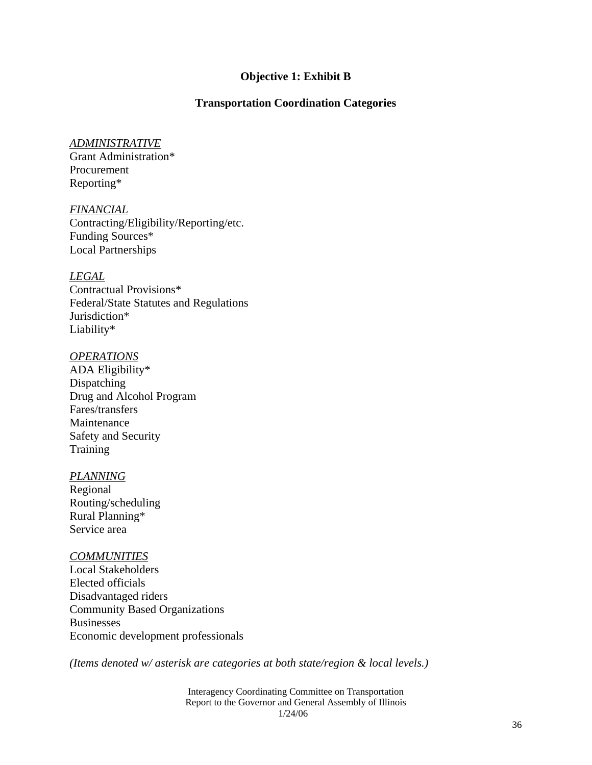#### **Objective 1: Exhibit B**

#### **Transportation Coordination Categories**

#### *ADMINISTRATIVE*

Grant Administration\* Procurement Reporting\*

*FINANCIAL* Contracting/Eligibility/Reporting/etc. Funding Sources\* Local Partnerships

*LEGAL*

Contractual Provisions\* Federal/State Statutes and Regulations Jurisdiction\* Liability\*

#### *OPERATIONS*

ADA Eligibility\* Dispatching Drug and Alcohol Program Fares/transfers Maintenance Safety and Security **Training** 

#### *PLANNING*

Regional Routing/scheduling Rural Planning\* Service area

#### *COMMUNITIES*

Local Stakeholders Elected officials Disadvantaged riders Community Based Organizations Businesses Economic development professionals

*(Items denoted w/ asterisk are categories at both state/region & local levels.)* 

Interagency Coordinating Committee on Transportation Report to the Governor and General Assembly of Illinois 1/24/06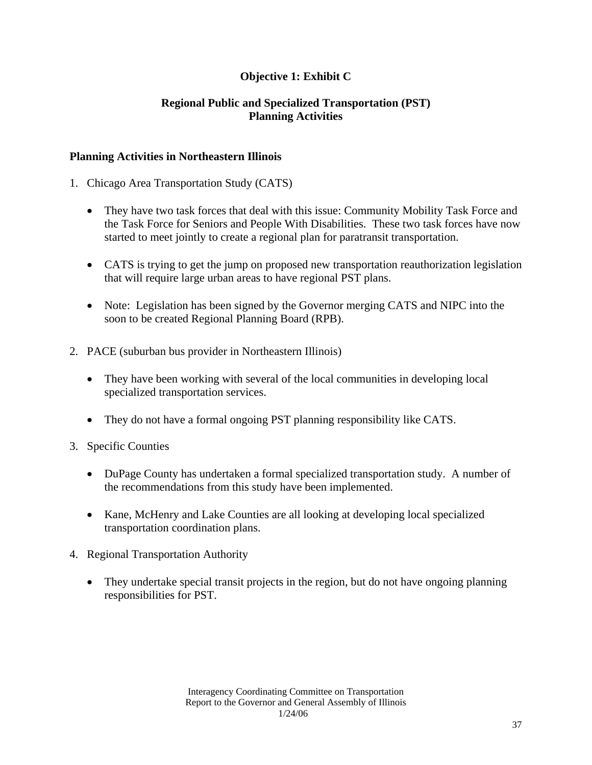## **Objective 1: Exhibit C**

## **Regional Public and Specialized Transportation (PST) Planning Activities**

#### **Planning Activities in Northeastern Illinois**

- 1. Chicago Area Transportation Study (CATS)
	- They have two task forces that deal with this issue: Community Mobility Task Force and the Task Force for Seniors and People With Disabilities. These two task forces have now started to meet jointly to create a regional plan for paratransit transportation.
	- CATS is trying to get the jump on proposed new transportation reauthorization legislation that will require large urban areas to have regional PST plans.
	- Note: Legislation has been signed by the Governor merging CATS and NIPC into the soon to be created Regional Planning Board (RPB).
- 2. PACE (suburban bus provider in Northeastern Illinois)
	- They have been working with several of the local communities in developing local specialized transportation services.
	- They do not have a formal ongoing PST planning responsibility like CATS.
- 3. Specific Counties
	- DuPage County has undertaken a formal specialized transportation study. A number of the recommendations from this study have been implemented.
	- Kane, McHenry and Lake Counties are all looking at developing local specialized transportation coordination plans.
- 4. Regional Transportation Authority
	- They undertake special transit projects in the region, but do not have ongoing planning responsibilities for PST.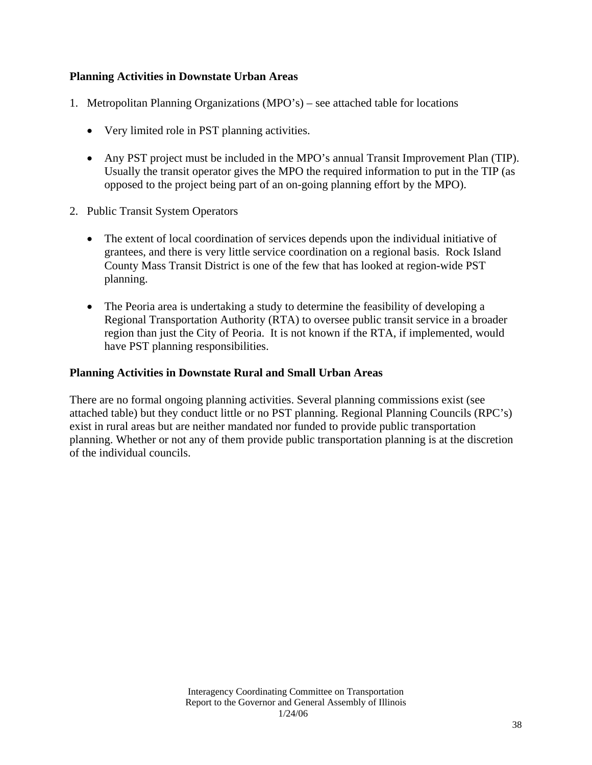#### **Planning Activities in Downstate Urban Areas**

- 1. Metropolitan Planning Organizations (MPO's) see attached table for locations
	- Very limited role in PST planning activities.
	- Any PST project must be included in the MPO's annual Transit Improvement Plan (TIP). Usually the transit operator gives the MPO the required information to put in the TIP (as opposed to the project being part of an on-going planning effort by the MPO).
- 2. Public Transit System Operators
	- The extent of local coordination of services depends upon the individual initiative of grantees, and there is very little service coordination on a regional basis. Rock Island County Mass Transit District is one of the few that has looked at region-wide PST planning.
	- The Peoria area is undertaking a study to determine the feasibility of developing a Regional Transportation Authority (RTA) to oversee public transit service in a broader region than just the City of Peoria. It is not known if the RTA, if implemented, would have PST planning responsibilities.

#### **Planning Activities in Downstate Rural and Small Urban Areas**

There are no formal ongoing planning activities. Several planning commissions exist (see attached table) but they conduct little or no PST planning. Regional Planning Councils (RPC's) exist in rural areas but are neither mandated nor funded to provide public transportation planning. Whether or not any of them provide public transportation planning is at the discretion of the individual councils.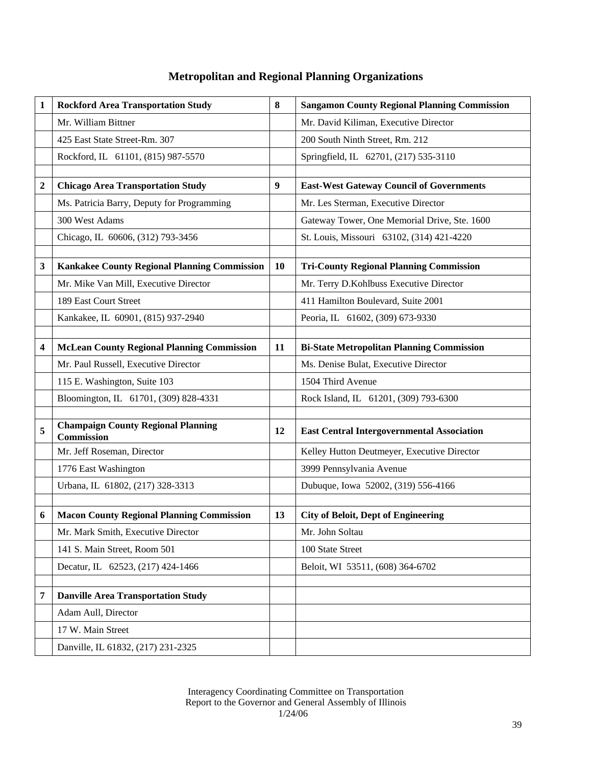# **Metropolitan and Regional Planning Organizations**

| 1              | <b>Rockford Area Transportation Study</b>               | 8  | <b>Sangamon County Regional Planning Commission</b> |
|----------------|---------------------------------------------------------|----|-----------------------------------------------------|
|                | Mr. William Bittner                                     |    | Mr. David Kiliman, Executive Director               |
|                | 425 East State Street-Rm. 307                           |    | 200 South Ninth Street, Rm. 212                     |
|                | Rockford, IL 61101, (815) 987-5570                      |    | Springfield, IL 62701, (217) 535-3110               |
|                |                                                         |    |                                                     |
| $\overline{2}$ | <b>Chicago Area Transportation Study</b>                | 9  | <b>East-West Gateway Council of Governments</b>     |
|                | Ms. Patricia Barry, Deputy for Programming              |    | Mr. Les Sterman, Executive Director                 |
|                | 300 West Adams                                          |    | Gateway Tower, One Memorial Drive, Ste. 1600        |
|                | Chicago, IL 60606, (312) 793-3456                       |    | St. Louis, Missouri 63102, (314) 421-4220           |
|                |                                                         |    |                                                     |
| 3              | <b>Kankakee County Regional Planning Commission</b>     | 10 | <b>Tri-County Regional Planning Commission</b>      |
|                | Mr. Mike Van Mill, Executive Director                   |    | Mr. Terry D.Kohlbuss Executive Director             |
|                | 189 East Court Street                                   |    | 411 Hamilton Boulevard, Suite 2001                  |
|                | Kankakee, IL 60901, (815) 937-2940                      |    | Peoria, IL 61602, (309) 673-9330                    |
|                |                                                         |    |                                                     |
| 4              | <b>McLean County Regional Planning Commission</b>       | 11 | <b>Bi-State Metropolitan Planning Commission</b>    |
|                | Mr. Paul Russell, Executive Director                    |    | Ms. Denise Bulat, Executive Director                |
|                | 115 E. Washington, Suite 103                            |    | 1504 Third Avenue                                   |
|                | Bloomington, IL 61701, (309) 828-4331                   |    | Rock Island, IL 61201, (309) 793-6300               |
|                |                                                         |    |                                                     |
| 5              | <b>Champaign County Regional Planning</b><br>Commission | 12 | <b>East Central Intergovernmental Association</b>   |
|                | Mr. Jeff Roseman, Director                              |    | Kelley Hutton Deutmeyer, Executive Director         |
|                | 1776 East Washington                                    |    | 3999 Pennsylvania Avenue                            |
|                | Urbana, IL 61802, (217) 328-3313                        |    | Dubuque, Iowa 52002, (319) 556-4166                 |
|                |                                                         |    |                                                     |
| 6              | <b>Macon County Regional Planning Commission</b>        | 13 | <b>City of Beloit, Dept of Engineering</b>          |
|                | Mr. Mark Smith, Executive Director                      |    | Mr. John Soltau                                     |
|                | 141 S. Main Street, Room 501                            |    | 100 State Street                                    |
|                | Decatur, IL 62523, (217) 424-1466                       |    | Beloit, WI 53511, (608) 364-6702                    |
|                |                                                         |    |                                                     |
| 7              | <b>Danville Area Transportation Study</b>               |    |                                                     |
|                | Adam Aull, Director                                     |    |                                                     |
|                | 17 W. Main Street                                       |    |                                                     |
|                | Danville, IL 61832, (217) 231-2325                      |    |                                                     |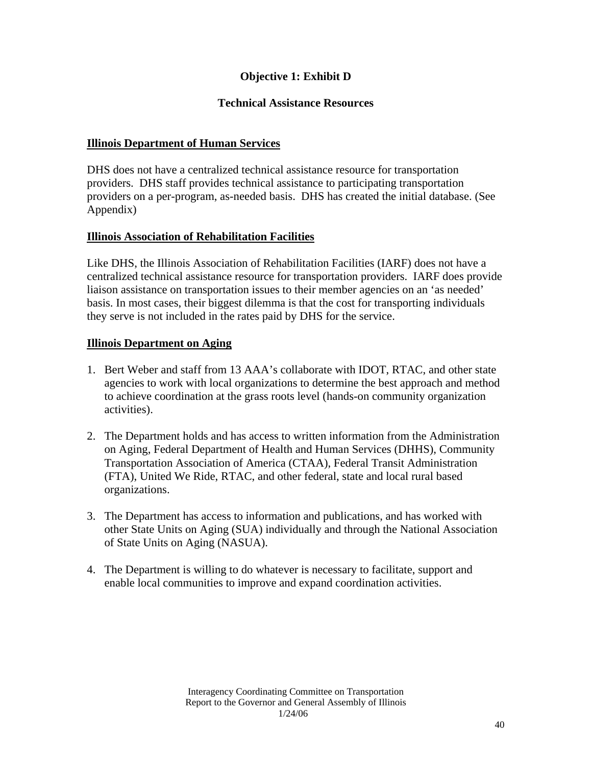## **Objective 1: Exhibit D**

## **Technical Assistance Resources**

## **Illinois Department of Human Services**

DHS does not have a centralized technical assistance resource for transportation providers. DHS staff provides technical assistance to participating transportation providers on a per-program, as-needed basis. DHS has created the initial database. (See Appendix)

#### **Illinois Association of Rehabilitation Facilities**

Like DHS, the Illinois Association of Rehabilitation Facilities (IARF) does not have a centralized technical assistance resource for transportation providers. IARF does provide liaison assistance on transportation issues to their member agencies on an 'as needed' basis. In most cases, their biggest dilemma is that the cost for transporting individuals they serve is not included in the rates paid by DHS for the service.

#### **Illinois Department on Aging**

- 1. Bert Weber and staff from 13 AAA's collaborate with IDOT, RTAC, and other state agencies to work with local organizations to determine the best approach and method to achieve coordination at the grass roots level (hands-on community organization activities).
- 2. The Department holds and has access to written information from the Administration on Aging, Federal Department of Health and Human Services (DHHS), Community Transportation Association of America (CTAA), Federal Transit Administration (FTA), United We Ride, RTAC, and other federal, state and local rural based organizations.
- 3. The Department has access to information and publications, and has worked with other State Units on Aging (SUA) individually and through the National Association of State Units on Aging (NASUA).
- 4. The Department is willing to do whatever is necessary to facilitate, support and enable local communities to improve and expand coordination activities.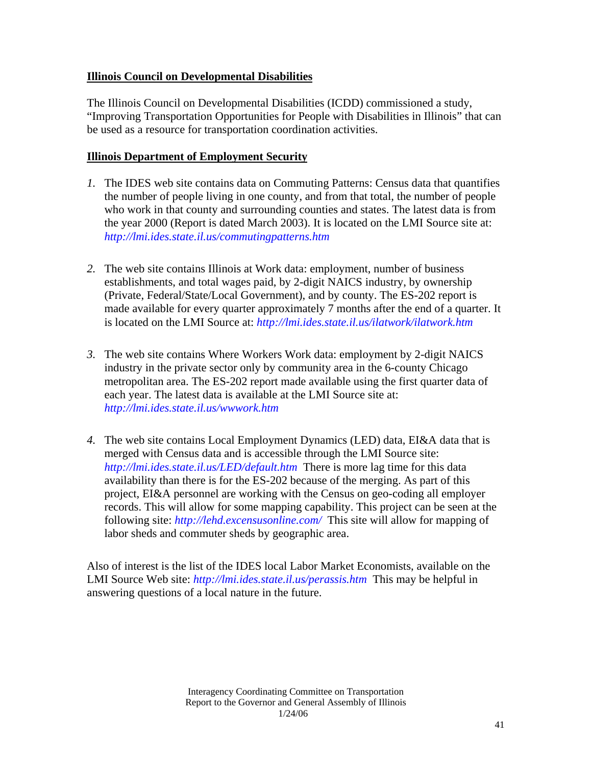## **Illinois Council on Developmental Disabilities**

The Illinois Council on Developmental Disabilities (ICDD) commissioned a study, "Improving Transportation Opportunities for People with Disabilities in Illinois" that can be used as a resource for transportation coordination activities.

## **Illinois Department of Employment Security**

- *1.* The IDES web site contains data on Commuting Patterns: Census data that quantifies the number of people living in one county, and from that total, the number of people who work in that county and surrounding counties and states. The latest data is from the year 2000 (Report is dated March 2003). It is located on the LMI Source site at: *http://lmi.ides.state.il.us/commutingpatterns.htm*
- *2.* The web site contains Illinois at Work data: employment, number of business establishments, and total wages paid, by 2-digit NAICS industry, by ownership (Private, Federal/State/Local Government), and by county. The ES-202 report is made available for every quarter approximately 7 months after the end of a quarter. It is located on the LMI Source at: *http://lmi.ides.state.il.us/ilatwork/ilatwork.htm*
- *3.* The web site contains Where Workers Work data: employment by 2-digit NAICS industry in the private sector only by community area in the 6-county Chicago metropolitan area. The ES-202 report made available using the first quarter data of each year. The latest data is available at the LMI Source site at: *http://lmi.ides.state.il.us/wwwork.htm*
- *4.* The web site contains Local Employment Dynamics (LED) data, EI&A data that is merged with Census data and is accessible through the LMI Source site: *http://lmi.ides.state.il.us/LED/default.htm* There is more lag time for this data availability than there is for the ES-202 because of the merging. As part of this project, EI&A personnel are working with the Census on geo-coding all employer records. This will allow for some mapping capability. This project can be seen at the following site: *http://lehd.excensusonline.com/* This site will allow for mapping of labor sheds and commuter sheds by geographic area.

Also of interest is the list of the IDES local Labor Market Economists, available on the LMI Source Web site: *http://lmi.ides.state.il.us/perassis.htm* This may be helpful in answering questions of a local nature in the future.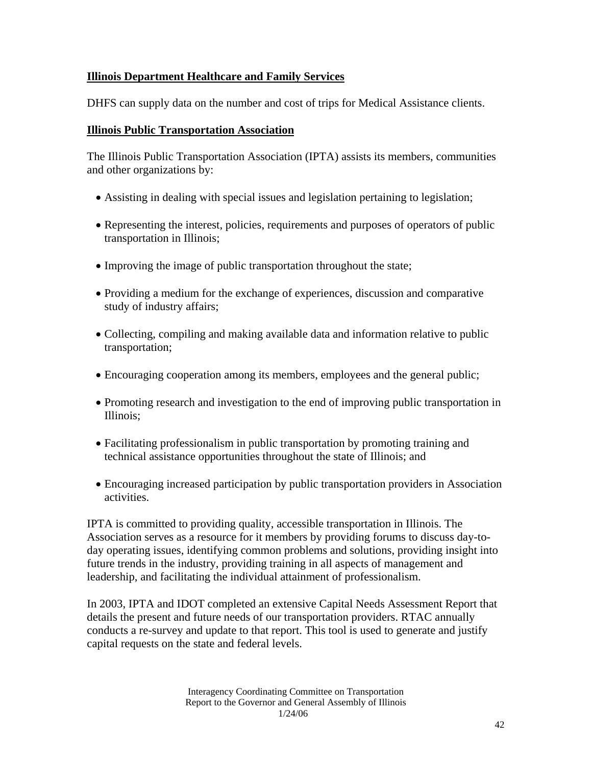## **Illinois Department Healthcare and Family Services**

DHFS can supply data on the number and cost of trips for Medical Assistance clients.

## **Illinois Public Transportation Association**

The Illinois Public Transportation Association (IPTA) assists its members, communities and other organizations by:

- Assisting in dealing with special issues and legislation pertaining to legislation;
- Representing the interest, policies, requirements and purposes of operators of public transportation in Illinois;
- Improving the image of public transportation throughout the state;
- Providing a medium for the exchange of experiences, discussion and comparative study of industry affairs;
- Collecting, compiling and making available data and information relative to public transportation;
- Encouraging cooperation among its members, employees and the general public;
- Promoting research and investigation to the end of improving public transportation in Illinois;
- Facilitating professionalism in public transportation by promoting training and technical assistance opportunities throughout the state of Illinois; and
- Encouraging increased participation by public transportation providers in Association activities.

IPTA is committed to providing quality, accessible transportation in Illinois. The Association serves as a resource for it members by providing forums to discuss day-today operating issues, identifying common problems and solutions, providing insight into future trends in the industry, providing training in all aspects of management and leadership, and facilitating the individual attainment of professionalism.

In 2003, IPTA and IDOT completed an extensive Capital Needs Assessment Report that details the present and future needs of our transportation providers. RTAC annually conducts a re-survey and update to that report. This tool is used to generate and justify capital requests on the state and federal levels.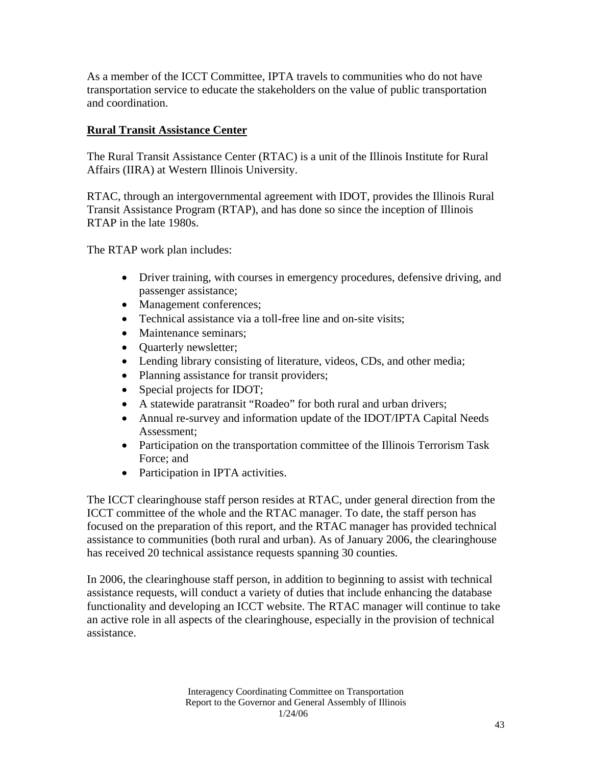As a member of the ICCT Committee, IPTA travels to communities who do not have transportation service to educate the stakeholders on the value of public transportation and coordination.

## **Rural Transit Assistance Center**

The Rural Transit Assistance Center (RTAC) is a unit of the Illinois Institute for Rural Affairs (IIRA) at Western Illinois University.

RTAC, through an intergovernmental agreement with IDOT, provides the Illinois Rural Transit Assistance Program (RTAP), and has done so since the inception of Illinois RTAP in the late 1980s.

The RTAP work plan includes:

- Driver training, with courses in emergency procedures, defensive driving, and passenger assistance;
- Management conferences;
- Technical assistance via a toll-free line and on-site visits;
- Maintenance seminars;
- Ouarterly newsletter;
- Lending library consisting of literature, videos, CDs, and other media;
- Planning assistance for transit providers;
- Special projects for IDOT;
- A statewide paratransit "Roadeo" for both rural and urban drivers;
- Annual re-survey and information update of the IDOT/IPTA Capital Needs Assessment;
- Participation on the transportation committee of the Illinois Terrorism Task Force; and
- Participation in IPTA activities.

The ICCT clearinghouse staff person resides at RTAC, under general direction from the ICCT committee of the whole and the RTAC manager. To date, the staff person has focused on the preparation of this report, and the RTAC manager has provided technical assistance to communities (both rural and urban). As of January 2006, the clearinghouse has received 20 technical assistance requests spanning 30 counties.

In 2006, the clearinghouse staff person, in addition to beginning to assist with technical assistance requests, will conduct a variety of duties that include enhancing the database functionality and developing an ICCT website. The RTAC manager will continue to take an active role in all aspects of the clearinghouse, especially in the provision of technical assistance.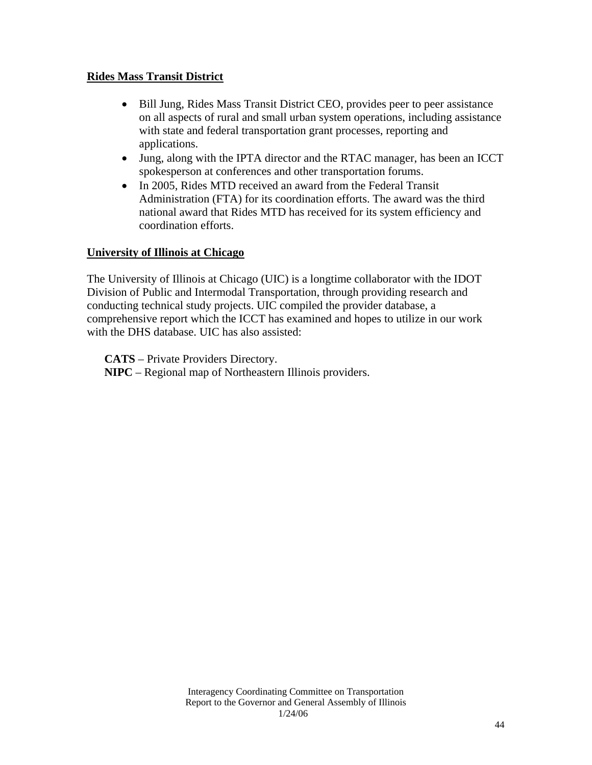## **Rides Mass Transit District**

- Bill Jung, Rides Mass Transit District CEO, provides peer to peer assistance on all aspects of rural and small urban system operations, including assistance with state and federal transportation grant processes, reporting and applications.
- Jung, along with the IPTA director and the RTAC manager, has been an ICCT spokesperson at conferences and other transportation forums.
- In 2005, Rides MTD received an award from the Federal Transit Administration (FTA) for its coordination efforts. The award was the third national award that Rides MTD has received for its system efficiency and coordination efforts.

#### **University of Illinois at Chicago**

The University of Illinois at Chicago (UIC) is a longtime collaborator with the IDOT Division of Public and Intermodal Transportation, through providing research and conducting technical study projects. UIC compiled the provider database, a comprehensive report which the ICCT has examined and hopes to utilize in our work with the DHS database. UIC has also assisted:

**CATS** – Private Providers Directory. **NIPC** – Regional map of Northeastern Illinois providers.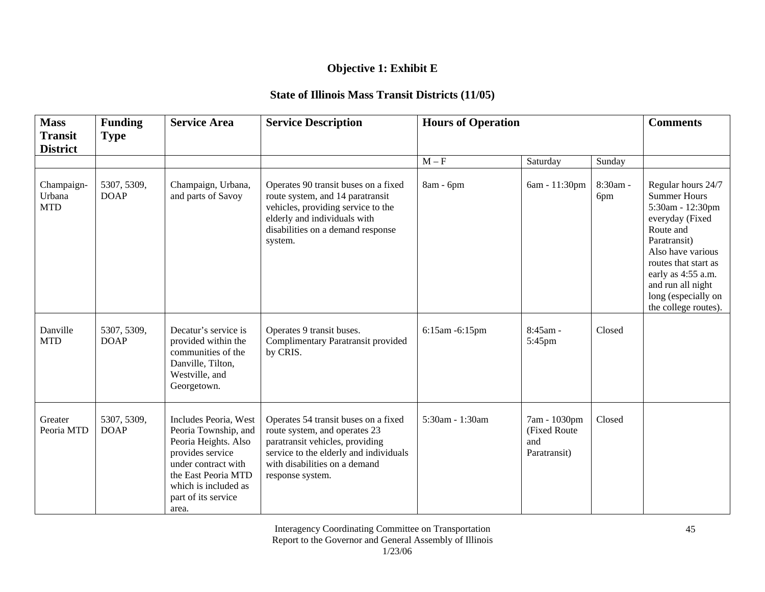# **Objective 1: Exhibit E**

# **State of Illinois Mass Transit Districts (11/05)**

| <b>Mass</b>                        | <b>Funding</b>             | <b>Service Area</b>                                                                                                                                                                             | <b>Service Description</b>                                                                                                                                                                              | <b>Hours of Operation</b> |                                                      |                 | <b>Comments</b>                                                                                                                                                                                                                                      |
|------------------------------------|----------------------------|-------------------------------------------------------------------------------------------------------------------------------------------------------------------------------------------------|---------------------------------------------------------------------------------------------------------------------------------------------------------------------------------------------------------|---------------------------|------------------------------------------------------|-----------------|------------------------------------------------------------------------------------------------------------------------------------------------------------------------------------------------------------------------------------------------------|
| <b>Transit</b><br><b>District</b>  | <b>Type</b>                |                                                                                                                                                                                                 |                                                                                                                                                                                                         |                           |                                                      |                 |                                                                                                                                                                                                                                                      |
|                                    |                            |                                                                                                                                                                                                 |                                                                                                                                                                                                         | $M - F$                   | Saturday                                             | Sunday          |                                                                                                                                                                                                                                                      |
| Champaign-<br>Urbana<br><b>MTD</b> | 5307, 5309,<br><b>DOAP</b> | Champaign, Urbana,<br>and parts of Savoy                                                                                                                                                        | Operates 90 transit buses on a fixed<br>route system, and 14 paratransit<br>vehicles, providing service to the<br>elderly and individuals with<br>disabilities on a demand response<br>system.          | 8am - 6pm                 | 6am - 11:30pm                                        | 8:30am -<br>6pm | Regular hours 24/7<br><b>Summer Hours</b><br>5:30am - 12:30pm<br>everyday (Fixed<br>Route and<br>Paratransit)<br>Also have various<br>routes that start as<br>early as 4:55 a.m.<br>and run all night<br>long (especially on<br>the college routes). |
| Danville<br><b>MTD</b>             | 5307, 5309,<br><b>DOAP</b> | Decatur's service is<br>provided within the<br>communities of the<br>Danville, Tilton,<br>Westville, and<br>Georgetown.                                                                         | Operates 9 transit buses.<br>Complimentary Paratransit provided<br>by CRIS.                                                                                                                             | 6:15am -6:15pm            | $8:45$ am -<br>5:45pm                                | Closed          |                                                                                                                                                                                                                                                      |
| Greater<br>Peoria MTD              | 5307, 5309,<br><b>DOAP</b> | Includes Peoria, West<br>Peoria Township, and<br>Peoria Heights. Also<br>provides service<br>under contract with<br>the East Peoria MTD<br>which is included as<br>part of its service<br>area. | Operates 54 transit buses on a fixed<br>route system, and operates 23<br>paratransit vehicles, providing<br>service to the elderly and individuals<br>with disabilities on a demand<br>response system. | 5:30am - 1:30am           | 7am - 1030pm<br>(Fixed Route)<br>and<br>Paratransit) | Closed          |                                                                                                                                                                                                                                                      |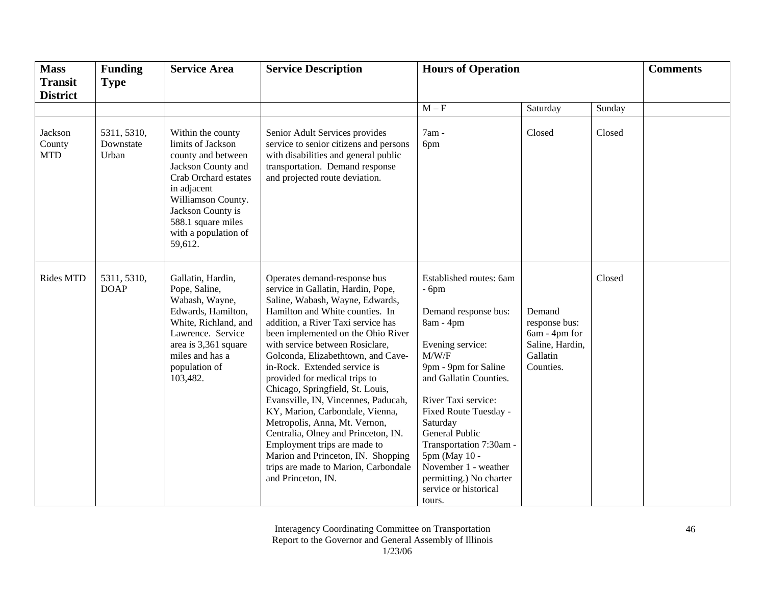| <b>Mass</b><br><b>Transit</b>   | <b>Funding</b><br><b>Type</b>     | <b>Service Area</b>                                                                                                                                                                                                           | <b>Service Description</b>                                                                                                                                                                                                                                                                                                                                                                                                                                                                                                                                                                                                                                                               | <b>Hours of Operation</b>                                                                                                                                                                                                                                                                                                                                             |                                                                                      | <b>Comments</b> |  |
|---------------------------------|-----------------------------------|-------------------------------------------------------------------------------------------------------------------------------------------------------------------------------------------------------------------------------|------------------------------------------------------------------------------------------------------------------------------------------------------------------------------------------------------------------------------------------------------------------------------------------------------------------------------------------------------------------------------------------------------------------------------------------------------------------------------------------------------------------------------------------------------------------------------------------------------------------------------------------------------------------------------------------|-----------------------------------------------------------------------------------------------------------------------------------------------------------------------------------------------------------------------------------------------------------------------------------------------------------------------------------------------------------------------|--------------------------------------------------------------------------------------|-----------------|--|
| <b>District</b>                 |                                   |                                                                                                                                                                                                                               |                                                                                                                                                                                                                                                                                                                                                                                                                                                                                                                                                                                                                                                                                          |                                                                                                                                                                                                                                                                                                                                                                       |                                                                                      |                 |  |
|                                 |                                   |                                                                                                                                                                                                                               |                                                                                                                                                                                                                                                                                                                                                                                                                                                                                                                                                                                                                                                                                          | $\mathbf{M}-\mathbf{F}$                                                                                                                                                                                                                                                                                                                                               | Saturday                                                                             | Sunday          |  |
| Jackson<br>County<br><b>MTD</b> | 5311, 5310,<br>Downstate<br>Urban | Within the county<br>limits of Jackson<br>county and between<br>Jackson County and<br>Crab Orchard estates<br>in adjacent<br>Williamson County.<br>Jackson County is<br>588.1 square miles<br>with a population of<br>59,612. | Senior Adult Services provides<br>service to senior citizens and persons<br>with disabilities and general public<br>transportation. Demand response<br>and projected route deviation.                                                                                                                                                                                                                                                                                                                                                                                                                                                                                                    | 7am -<br>6pm                                                                                                                                                                                                                                                                                                                                                          | Closed                                                                               | Closed          |  |
| <b>Rides MTD</b>                | 5311, 5310,<br><b>DOAP</b>        | Gallatin, Hardin,<br>Pope, Saline,<br>Wabash, Wayne,<br>Edwards, Hamilton,<br>White, Richland, and<br>Lawrence. Service<br>area is 3,361 square<br>miles and has a<br>population of<br>103,482.                               | Operates demand-response bus<br>service in Gallatin, Hardin, Pope,<br>Saline, Wabash, Wayne, Edwards,<br>Hamilton and White counties. In<br>addition, a River Taxi service has<br>been implemented on the Ohio River<br>with service between Rosiclare,<br>Golconda, Elizabethtown, and Cave-<br>in-Rock. Extended service is<br>provided for medical trips to<br>Chicago, Springfield, St. Louis,<br>Evansville, IN, Vincennes, Paducah,<br>KY, Marion, Carbondale, Vienna,<br>Metropolis, Anna, Mt. Vernon,<br>Centralia, Olney and Princeton, IN.<br>Employment trips are made to<br>Marion and Princeton, IN. Shopping<br>trips are made to Marion, Carbondale<br>and Princeton, IN. | Established routes: 6am<br>$-6pm$<br>Demand response bus:<br>8am - 4pm<br>Evening service:<br>M/W/F<br>9pm - 9pm for Saline<br>and Gallatin Counties.<br>River Taxi service:<br>Fixed Route Tuesday -<br>Saturday<br>General Public<br>Transportation 7:30am -<br>5pm (May 10 -<br>November 1 - weather<br>permitting.) No charter<br>service or historical<br>tours. | Demand<br>response bus:<br>6am - 4pm for<br>Saline, Hardin,<br>Gallatin<br>Counties. | Closed          |  |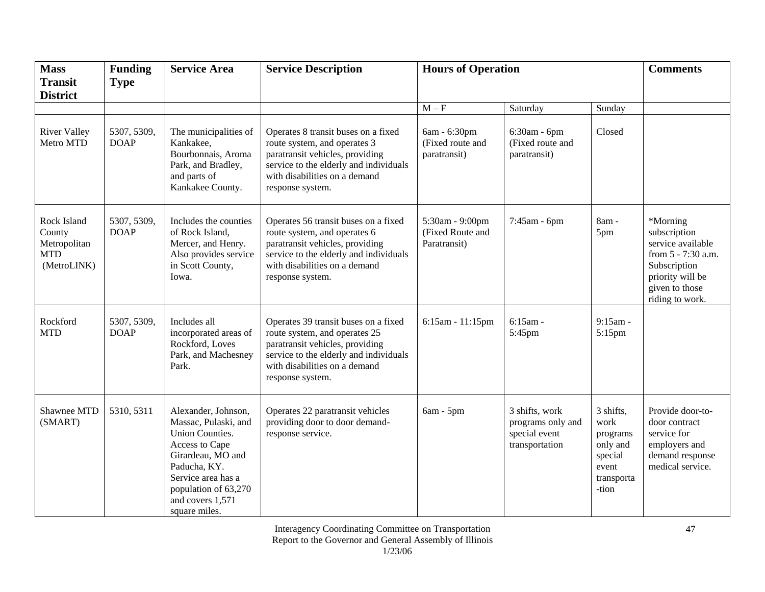| <b>Mass</b><br><b>Transit</b>                                      | <b>Funding</b><br><b>Type</b> | <b>Service Area</b>                                                                                                                                                                                      | <b>Service Description</b>                                                                                                                                                                              | <b>Hours of Operation</b>                           |                                                                        |                                                                                      | <b>Comments</b>                                                                                                                              |
|--------------------------------------------------------------------|-------------------------------|----------------------------------------------------------------------------------------------------------------------------------------------------------------------------------------------------------|---------------------------------------------------------------------------------------------------------------------------------------------------------------------------------------------------------|-----------------------------------------------------|------------------------------------------------------------------------|--------------------------------------------------------------------------------------|----------------------------------------------------------------------------------------------------------------------------------------------|
| <b>District</b>                                                    |                               |                                                                                                                                                                                                          |                                                                                                                                                                                                         |                                                     |                                                                        |                                                                                      |                                                                                                                                              |
|                                                                    |                               |                                                                                                                                                                                                          |                                                                                                                                                                                                         | $M - \overline{F}$                                  | Saturday                                                               | Sunday                                                                               |                                                                                                                                              |
| <b>River Valley</b><br>Metro MTD                                   | 5307, 5309,<br><b>DOAP</b>    | The municipalities of<br>Kankakee,<br>Bourbonnais, Aroma<br>Park, and Bradley,<br>and parts of<br>Kankakee County.                                                                                       | Operates 8 transit buses on a fixed<br>route system, and operates 3<br>paratransit vehicles, providing<br>service to the elderly and individuals<br>with disabilities on a demand<br>response system.   | 6am - 6:30pm<br>(Fixed route and<br>paratransit)    | 6:30am - 6pm<br>(Fixed route and<br>paratransit)                       | Closed                                                                               |                                                                                                                                              |
| Rock Island<br>County<br>Metropolitan<br><b>MTD</b><br>(MetroLINK) | 5307, 5309,<br><b>DOAP</b>    | Includes the counties<br>of Rock Island,<br>Mercer, and Henry.<br>Also provides service<br>in Scott County,<br>Iowa.                                                                                     | Operates 56 transit buses on a fixed<br>route system, and operates 6<br>paratransit vehicles, providing<br>service to the elderly and individuals<br>with disabilities on a demand<br>response system.  | 5:30am - 9:00pm<br>(Fixed Route and<br>Paratransit) | 7:45am - 6pm                                                           | 8am -<br>5pm                                                                         | *Morning<br>subscription<br>service available<br>from 5 - 7:30 a.m.<br>Subscription<br>priority will be<br>given to those<br>riding to work. |
| Rockford<br><b>MTD</b>                                             | 5307, 5309,<br><b>DOAP</b>    | Includes all<br>incorporated areas of<br>Rockford, Loves<br>Park, and Machesney<br>Park.                                                                                                                 | Operates 39 transit buses on a fixed<br>route system, and operates 25<br>paratransit vehicles, providing<br>service to the elderly and individuals<br>with disabilities on a demand<br>response system. | 6:15am - 11:15pm                                    | 6:15am -<br>5:45pm                                                     | $9:15$ am -<br>5:15pm                                                                |                                                                                                                                              |
| Shawnee MTD<br>(SMART)                                             | 5310, 5311                    | Alexander, Johnson,<br>Massac, Pulaski, and<br>Union Counties.<br>Access to Cape<br>Girardeau, MO and<br>Paducha, KY.<br>Service area has a<br>population of 63,270<br>and covers 1,571<br>square miles. | Operates 22 paratransit vehicles<br>providing door to door demand-<br>response service.                                                                                                                 | $6am - 5pm$                                         | 3 shifts, work<br>programs only and<br>special event<br>transportation | 3 shifts,<br>work<br>programs<br>only and<br>special<br>event<br>transporta<br>-tion | Provide door-to-<br>door contract<br>service for<br>employers and<br>demand response<br>medical service.                                     |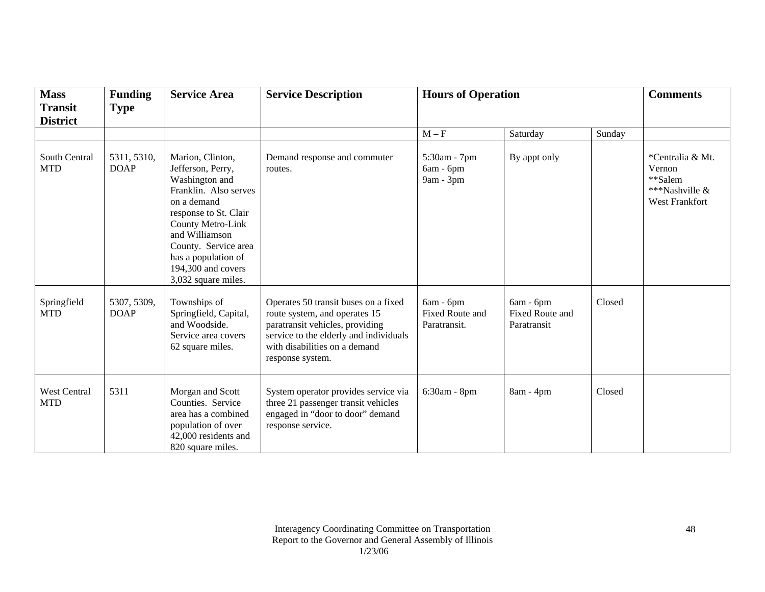| <b>Mass</b><br><b>Transit</b>     | <b>Funding</b><br><b>Type</b> | <b>Service Area</b>                                                                                                                                                                                                                                         | <b>Service Description</b>                                                                                                                                                                              | <b>Hours of Operation</b>                    |                                                    |        | <b>Comments</b>                                                                  |
|-----------------------------------|-------------------------------|-------------------------------------------------------------------------------------------------------------------------------------------------------------------------------------------------------------------------------------------------------------|---------------------------------------------------------------------------------------------------------------------------------------------------------------------------------------------------------|----------------------------------------------|----------------------------------------------------|--------|----------------------------------------------------------------------------------|
| <b>District</b>                   |                               |                                                                                                                                                                                                                                                             |                                                                                                                                                                                                         |                                              |                                                    |        |                                                                                  |
|                                   |                               |                                                                                                                                                                                                                                                             |                                                                                                                                                                                                         | $M - F$                                      | Saturday                                           | Sunday |                                                                                  |
| South Central<br><b>MTD</b>       | 5311, 5310,<br><b>DOAP</b>    | Marion, Clinton,<br>Jefferson, Perry,<br>Washington and<br>Franklin. Also serves<br>on a demand<br>response to St. Clair<br>County Metro-Link<br>and Williamson<br>County. Service area<br>has a population of<br>194,300 and covers<br>3,032 square miles. | Demand response and commuter<br>routes.                                                                                                                                                                 | 5:30am - 7pm<br>6am - 6pm<br>9am - 3pm       | By appt only                                       |        | *Centralia & Mt.<br>Vernon<br>**Salem<br>***Nashville &<br><b>West Frankfort</b> |
| Springfield<br><b>MTD</b>         | 5307, 5309,<br><b>DOAP</b>    | Townships of<br>Springfield, Capital,<br>and Woodside.<br>Service area covers<br>62 square miles.                                                                                                                                                           | Operates 50 transit buses on a fixed<br>route system, and operates 15<br>paratransit vehicles, providing<br>service to the elderly and individuals<br>with disabilities on a demand<br>response system. | 6am - 6pm<br>Fixed Route and<br>Paratransit. | 6am - 6pm<br><b>Fixed Route and</b><br>Paratransit | Closed |                                                                                  |
| <b>West Central</b><br><b>MTD</b> | 5311                          | Morgan and Scott<br>Counties. Service<br>area has a combined<br>population of over<br>42,000 residents and<br>820 square miles.                                                                                                                             | System operator provides service via<br>three 21 passenger transit vehicles<br>engaged in "door to door" demand<br>response service.                                                                    | 6:30am - 8pm                                 | 8am - 4pm                                          | Closed |                                                                                  |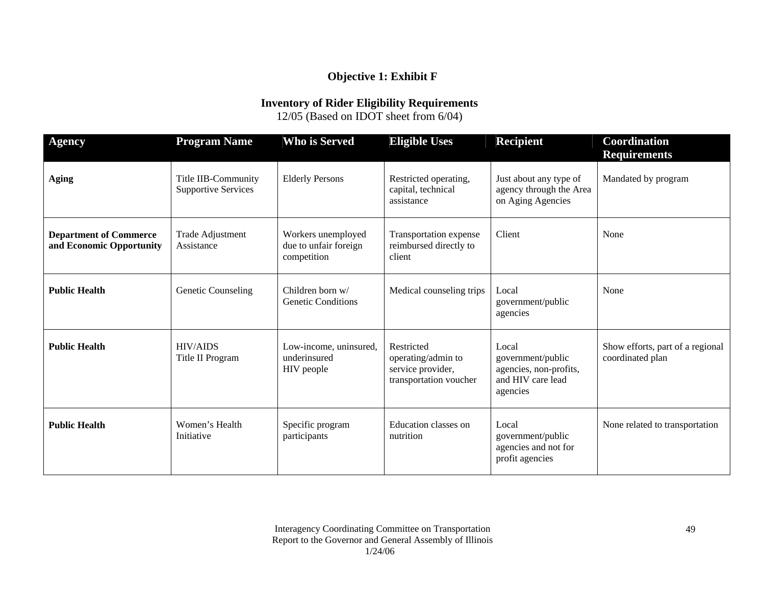# **Objective 1: Exhibit F**

# **Inventory of Rider Eligibility Requirements**

12/05 (Based on IDOT sheet from 6/04)

| <b>Agency</b>                                             | <b>Program Name</b>                               | Who is Served                                              | <b>Eligible Uses</b>                                                            | <b>Recipient</b>                                                                      | <b>Coordination</b><br><b>Requirements</b>           |
|-----------------------------------------------------------|---------------------------------------------------|------------------------------------------------------------|---------------------------------------------------------------------------------|---------------------------------------------------------------------------------------|------------------------------------------------------|
| <b>Aging</b>                                              | Title IIB-Community<br><b>Supportive Services</b> | <b>Elderly Persons</b>                                     | Restricted operating,<br>capital, technical<br>assistance                       | Just about any type of<br>agency through the Area<br>on Aging Agencies                | Mandated by program                                  |
| <b>Department of Commerce</b><br>and Economic Opportunity | Trade Adjustment<br>Assistance                    | Workers unemployed<br>due to unfair foreign<br>competition | Transportation expense<br>reimbursed directly to<br>client                      | Client                                                                                | None                                                 |
| <b>Public Health</b>                                      | <b>Genetic Counseling</b>                         | Children born $w/$<br><b>Genetic Conditions</b>            | Medical counseling trips                                                        | Local<br>government/public<br>agencies                                                | None                                                 |
| <b>Public Health</b>                                      | <b>HIV/AIDS</b><br>Title II Program               | Low-income, uninsured,<br>underinsured<br>HIV people       | Restricted<br>operating/admin to<br>service provider,<br>transportation voucher | Local<br>government/public<br>agencies, non-profits,<br>and HIV care lead<br>agencies | Show efforts, part of a regional<br>coordinated plan |
| <b>Public Health</b>                                      | Women's Health<br>Initiative                      | Specific program<br>participants                           | Education classes on<br>nutrition                                               | Local<br>government/public<br>agencies and not for<br>profit agencies                 | None related to transportation                       |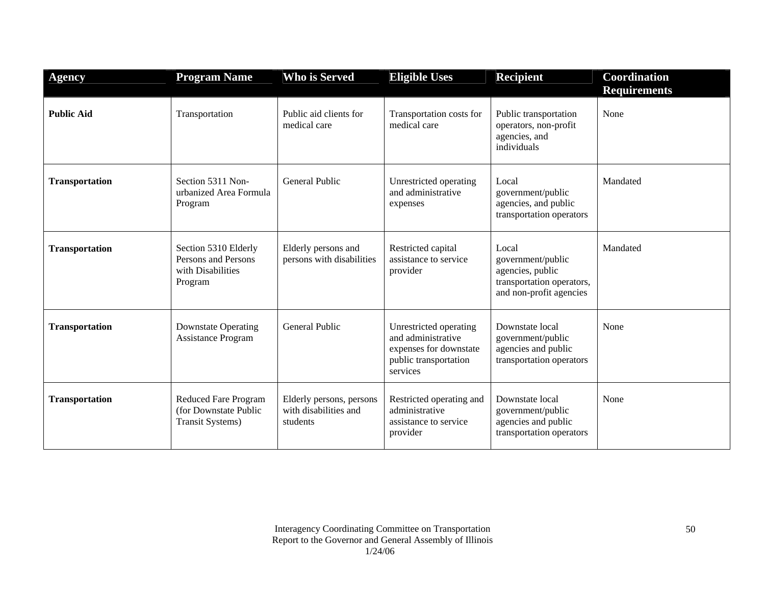| <b>Agency</b>         | <b>Program Name</b>                                                             | <b>Who is Served</b>                                          | <b>Eligible Uses</b>                                                                                        | <b>Recipient</b>                                                                                       | <b>Coordination</b><br><b>Requirements</b> |
|-----------------------|---------------------------------------------------------------------------------|---------------------------------------------------------------|-------------------------------------------------------------------------------------------------------------|--------------------------------------------------------------------------------------------------------|--------------------------------------------|
| <b>Public Aid</b>     | Transportation                                                                  | Public aid clients for<br>medical care                        | Transportation costs for<br>medical care                                                                    | Public transportation<br>operators, non-profit<br>agencies, and<br>individuals                         | None                                       |
| <b>Transportation</b> | Section 5311 Non-<br>urbanized Area Formula<br>Program                          | <b>General Public</b>                                         | Unrestricted operating<br>and administrative<br>expenses                                                    | Local<br>government/public<br>agencies, and public<br>transportation operators                         | Mandated                                   |
| <b>Transportation</b> | Section 5310 Elderly<br>Persons and Persons<br>with Disabilities<br>Program     | Elderly persons and<br>persons with disabilities              | Restricted capital<br>assistance to service<br>provider                                                     | Local<br>government/public<br>agencies, public<br>transportation operators,<br>and non-profit agencies | Mandated                                   |
| <b>Transportation</b> | <b>Downstate Operating</b><br><b>Assistance Program</b>                         | <b>General Public</b>                                         | Unrestricted operating<br>and administrative<br>expenses for downstate<br>public transportation<br>services | Downstate local<br>government/public<br>agencies and public<br>transportation operators                | None                                       |
| <b>Transportation</b> | <b>Reduced Fare Program</b><br>(for Downstate Public<br><b>Transit Systems)</b> | Elderly persons, persons<br>with disabilities and<br>students | Restricted operating and<br>administrative<br>assistance to service<br>provider                             | Downstate local<br>government/public<br>agencies and public<br>transportation operators                | None                                       |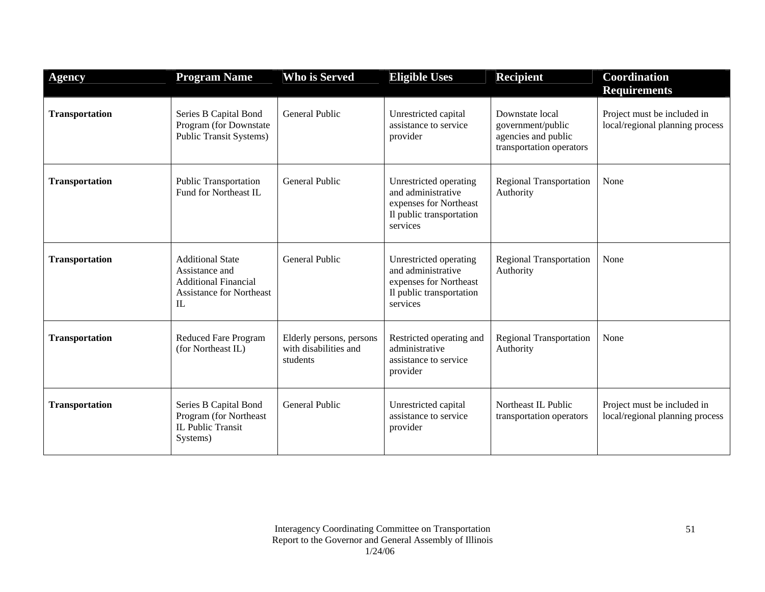| <b>Agency</b>         | <b>Program Name</b>                                                                                               | <b>Who is Served</b>                                          | <b>Eligible Uses</b>                                                                                           | <b>Recipient</b>                                                                        | Coordination<br><b>Requirements</b>                            |
|-----------------------|-------------------------------------------------------------------------------------------------------------------|---------------------------------------------------------------|----------------------------------------------------------------------------------------------------------------|-----------------------------------------------------------------------------------------|----------------------------------------------------------------|
| <b>Transportation</b> | Series B Capital Bond<br>Program (for Downstate<br><b>Public Transit Systems)</b>                                 | <b>General Public</b>                                         | Unrestricted capital<br>assistance to service<br>provider                                                      | Downstate local<br>government/public<br>agencies and public<br>transportation operators | Project must be included in<br>local/regional planning process |
| <b>Transportation</b> | <b>Public Transportation</b><br>Fund for Northeast IL                                                             | General Public                                                | Unrestricted operating<br>and administrative<br>expenses for Northeast<br>Il public transportation<br>services | <b>Regional Transportation</b><br>Authority                                             | None                                                           |
| <b>Transportation</b> | <b>Additional State</b><br>Assistance and<br><b>Additional Financial</b><br><b>Assistance for Northeast</b><br>IL | <b>General Public</b>                                         | Unrestricted operating<br>and administrative<br>expenses for Northeast<br>Il public transportation<br>services | <b>Regional Transportation</b><br>Authority                                             | None                                                           |
| <b>Transportation</b> | <b>Reduced Fare Program</b><br>(for Northeast IL)                                                                 | Elderly persons, persons<br>with disabilities and<br>students | Restricted operating and<br>administrative<br>assistance to service<br>provider                                | <b>Regional Transportation</b><br>Authority                                             | None                                                           |
| <b>Transportation</b> | Series B Capital Bond<br>Program (for Northeast<br>IL Public Transit<br>Systems)                                  | General Public                                                | Unrestricted capital<br>assistance to service<br>provider                                                      | Northeast IL Public<br>transportation operators                                         | Project must be included in<br>local/regional planning process |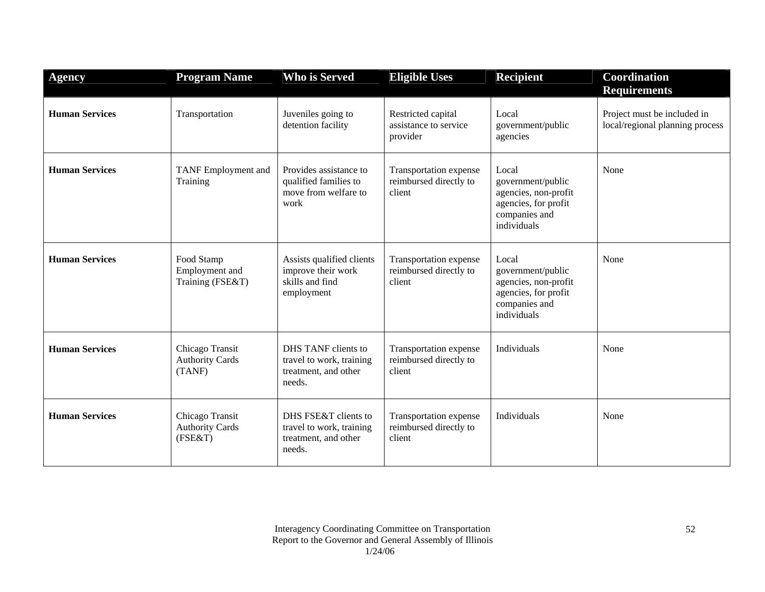| <b>Agency</b>         | <b>Program Name</b>                                  | <b>Who is Served</b>                                                               | <b>Eligible Uses</b>                                       | <b>Recipient</b>                                                                                           | Coordination<br><b>Requirements</b>                            |
|-----------------------|------------------------------------------------------|------------------------------------------------------------------------------------|------------------------------------------------------------|------------------------------------------------------------------------------------------------------------|----------------------------------------------------------------|
| <b>Human Services</b> | Transportation                                       | Juveniles going to<br>detention facility                                           | Restricted capital<br>assistance to service<br>provider    | Local<br>government/public<br>agencies                                                                     | Project must be included in<br>local/regional planning process |
| <b>Human Services</b> | TANF Employment and<br>Training                      | Provides assistance to<br>qualified families to<br>move from welfare to<br>work    | Transportation expense<br>reimbursed directly to<br>client | Local<br>government/public<br>agencies, non-profit<br>agencies, for profit<br>companies and<br>individuals | None                                                           |
| <b>Human Services</b> | Food Stamp<br>Employment and<br>Training (FSE&T)     | Assists qualified clients<br>improve their work<br>skills and find<br>employment   | Transportation expense<br>reimbursed directly to<br>client | Local<br>government/public<br>agencies, non-profit<br>agencies, for profit<br>companies and<br>individuals | None                                                           |
| <b>Human Services</b> | Chicago Transit<br><b>Authority Cards</b><br>(TANF)  | DHS TANF clients to<br>travel to work, training<br>treatment, and other<br>needs.  | Transportation expense<br>reimbursed directly to<br>client | Individuals                                                                                                | None                                                           |
| <b>Human Services</b> | Chicago Transit<br><b>Authority Cards</b><br>(FSE&T) | DHS FSE&T clients to<br>travel to work, training<br>treatment, and other<br>needs. | Transportation expense<br>reimbursed directly to<br>client | Individuals                                                                                                | None                                                           |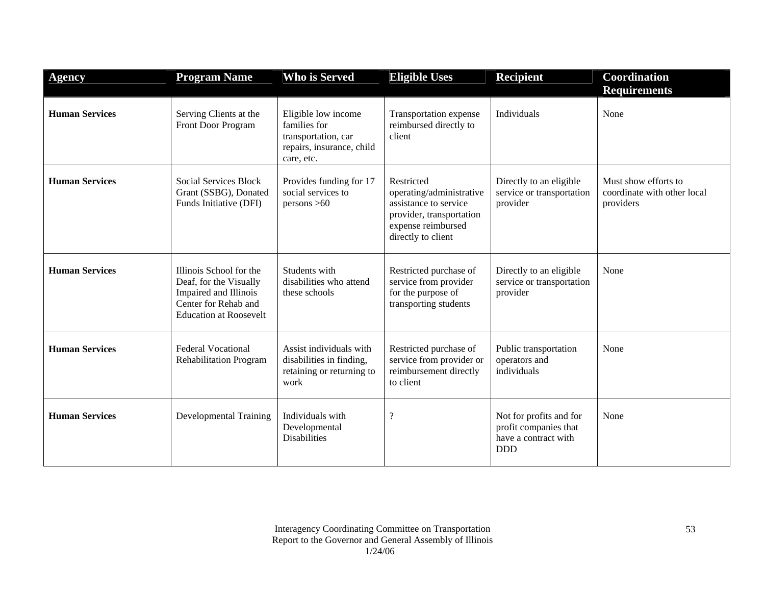| <b>Agency</b>         | <b>Program Name</b>                                                                                                                 | <b>Who is Served</b>                                                                                  | <b>Eligible Uses</b>                                                                                                                    | <b>Recipient</b>                                                                       | Coordination<br><b>Requirements</b>                              |
|-----------------------|-------------------------------------------------------------------------------------------------------------------------------------|-------------------------------------------------------------------------------------------------------|-----------------------------------------------------------------------------------------------------------------------------------------|----------------------------------------------------------------------------------------|------------------------------------------------------------------|
| <b>Human Services</b> | Serving Clients at the<br><b>Front Door Program</b>                                                                                 | Eligible low income<br>families for<br>transportation, car<br>repairs, insurance, child<br>care, etc. | Transportation expense<br>reimbursed directly to<br>client                                                                              | Individuals                                                                            | None                                                             |
| <b>Human Services</b> | <b>Social Services Block</b><br>Grant (SSBG), Donated<br>Funds Initiative (DFI)                                                     | Provides funding for 17<br>social services to<br>persons > 60                                         | Restricted<br>operating/administrative<br>assistance to service<br>provider, transportation<br>expense reimbursed<br>directly to client | Directly to an eligible<br>service or transportation<br>provider                       | Must show efforts to<br>coordinate with other local<br>providers |
| <b>Human Services</b> | Illinois School for the<br>Deaf, for the Visually<br>Impaired and Illinois<br>Center for Rehab and<br><b>Education at Roosevelt</b> | Students with<br>disabilities who attend<br>these schools                                             | Restricted purchase of<br>service from provider<br>for the purpose of<br>transporting students                                          | Directly to an eligible<br>service or transportation<br>provider                       | None                                                             |
| <b>Human Services</b> | <b>Federal Vocational</b><br><b>Rehabilitation Program</b>                                                                          | Assist individuals with<br>disabilities in finding,<br>retaining or returning to<br>work              | Restricted purchase of<br>service from provider or<br>reimbursement directly<br>to client                                               | Public transportation<br>operators and<br>individuals                                  | None                                                             |
| <b>Human Services</b> | <b>Developmental Training</b>                                                                                                       | Individuals with<br>Developmental<br><b>Disabilities</b>                                              | $\cdot$                                                                                                                                 | Not for profits and for<br>profit companies that<br>have a contract with<br><b>DDD</b> | None                                                             |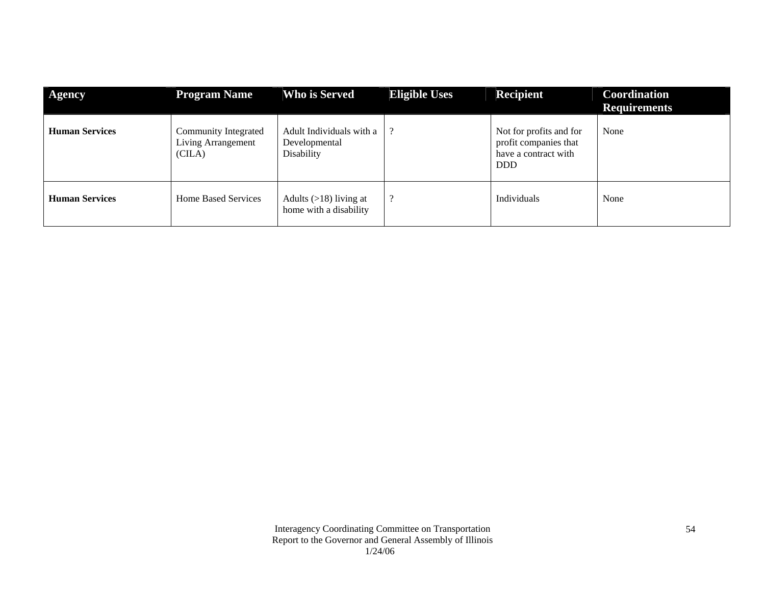| <b>Agency</b>         | <b>Program Name</b>                                         | Who is Served                                           | <b>Eligible Uses</b> | Recipient                                                                              | Coordination<br><b>Requirements</b> |
|-----------------------|-------------------------------------------------------------|---------------------------------------------------------|----------------------|----------------------------------------------------------------------------------------|-------------------------------------|
| <b>Human Services</b> | Community Integrated<br><b>Living Arrangement</b><br>(CILA) | Adult Individuals with a<br>Developmental<br>Disability |                      | Not for profits and for<br>profit companies that<br>have a contract with<br><b>DDD</b> | None                                |
| <b>Human Services</b> | <b>Home Based Services</b>                                  | Adults $(>18)$ living at<br>home with a disability      | റ                    | <b>Individuals</b>                                                                     | None                                |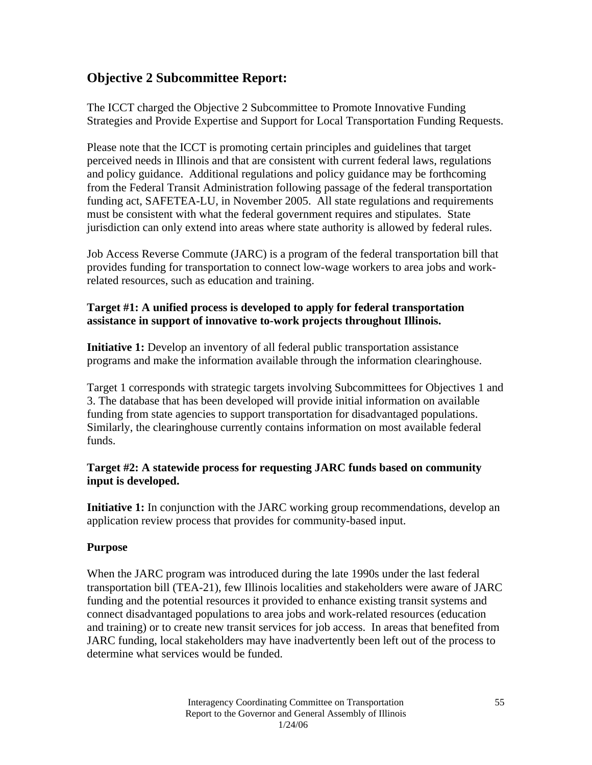# **Objective 2 Subcommittee Report:**

The ICCT charged the Objective 2 Subcommittee to Promote Innovative Funding Strategies and Provide Expertise and Support for Local Transportation Funding Requests.

Please note that the ICCT is promoting certain principles and guidelines that target perceived needs in Illinois and that are consistent with current federal laws, regulations and policy guidance. Additional regulations and policy guidance may be forthcoming from the Federal Transit Administration following passage of the federal transportation funding act, SAFETEA-LU, in November 2005. All state regulations and requirements must be consistent with what the federal government requires and stipulates. State jurisdiction can only extend into areas where state authority is allowed by federal rules.

Job Access Reverse Commute (JARC) is a program of the federal transportation bill that provides funding for transportation to connect low-wage workers to area jobs and workrelated resources, such as education and training.

## **Target #1: A unified process is developed to apply for federal transportation assistance in support of innovative to-work projects throughout Illinois.**

**Initiative 1:** Develop an inventory of all federal public transportation assistance programs and make the information available through the information clearinghouse.

Target 1 corresponds with strategic targets involving Subcommittees for Objectives 1 and 3. The database that has been developed will provide initial information on available funding from state agencies to support transportation for disadvantaged populations. Similarly, the clearinghouse currently contains information on most available federal funds.

#### **Target #2: A statewide process for requesting JARC funds based on community input is developed.**

**Initiative 1:** In conjunction with the JARC working group recommendations, develop an application review process that provides for community-based input.

## **Purpose**

When the JARC program was introduced during the late 1990s under the last federal transportation bill (TEA-21), few Illinois localities and stakeholders were aware of JARC funding and the potential resources it provided to enhance existing transit systems and connect disadvantaged populations to area jobs and work-related resources (education and training) or to create new transit services for job access. In areas that benefited from JARC funding, local stakeholders may have inadvertently been left out of the process to determine what services would be funded.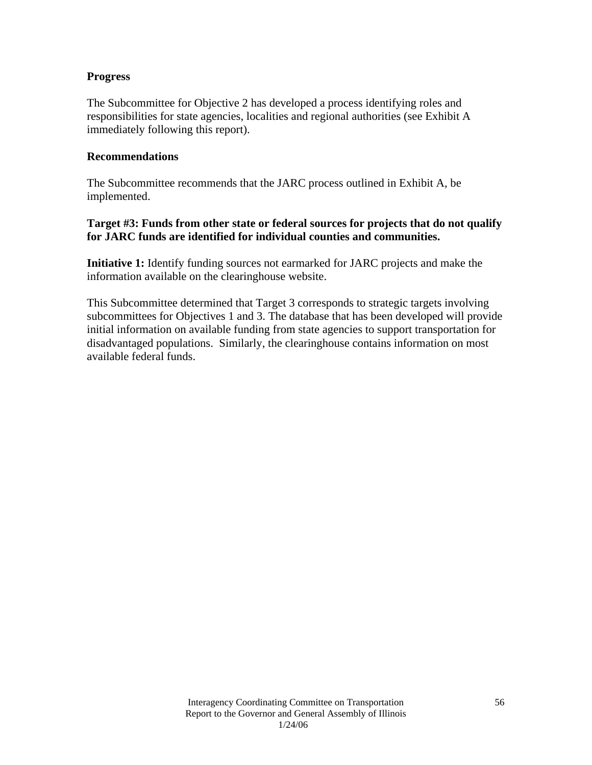#### **Progress**

The Subcommittee for Objective 2 has developed a process identifying roles and responsibilities for state agencies, localities and regional authorities (see Exhibit A immediately following this report).

#### **Recommendations**

The Subcommittee recommends that the JARC process outlined in Exhibit A, be implemented.

## **Target #3: Funds from other state or federal sources for projects that do not qualify for JARC funds are identified for individual counties and communities.**

**Initiative 1:** Identify funding sources not earmarked for JARC projects and make the information available on the clearinghouse website.

This Subcommittee determined that Target 3 corresponds to strategic targets involving subcommittees for Objectives 1 and 3. The database that has been developed will provide initial information on available funding from state agencies to support transportation for disadvantaged populations. Similarly, the clearinghouse contains information on most available federal funds.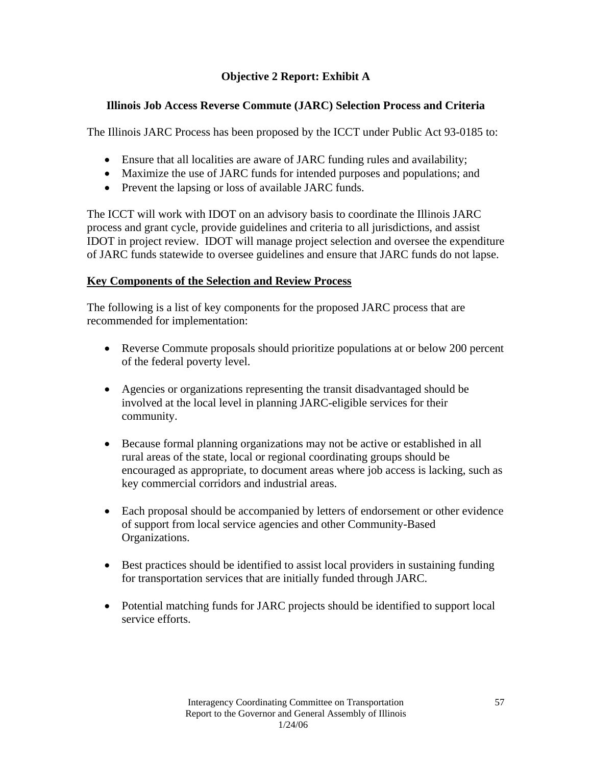# **Objective 2 Report: Exhibit A**

# **Illinois Job Access Reverse Commute (JARC) Selection Process and Criteria**

The Illinois JARC Process has been proposed by the ICCT under Public Act 93-0185 to:

- Ensure that all localities are aware of JARC funding rules and availability;
- Maximize the use of JARC funds for intended purposes and populations; and
- Prevent the lapsing or loss of available JARC funds.

The ICCT will work with IDOT on an advisory basis to coordinate the Illinois JARC process and grant cycle, provide guidelines and criteria to all jurisdictions, and assist IDOT in project review. IDOT will manage project selection and oversee the expenditure of JARC funds statewide to oversee guidelines and ensure that JARC funds do not lapse.

## **Key Components of the Selection and Review Process**

The following is a list of key components for the proposed JARC process that are recommended for implementation:

- Reverse Commute proposals should prioritize populations at or below 200 percent of the federal poverty level.
- Agencies or organizations representing the transit disadvantaged should be involved at the local level in planning JARC-eligible services for their community.
- Because formal planning organizations may not be active or established in all rural areas of the state, local or regional coordinating groups should be encouraged as appropriate, to document areas where job access is lacking, such as key commercial corridors and industrial areas.
- Each proposal should be accompanied by letters of endorsement or other evidence of support from local service agencies and other Community-Based Organizations.
- Best practices should be identified to assist local providers in sustaining funding for transportation services that are initially funded through JARC.
- Potential matching funds for JARC projects should be identified to support local service efforts.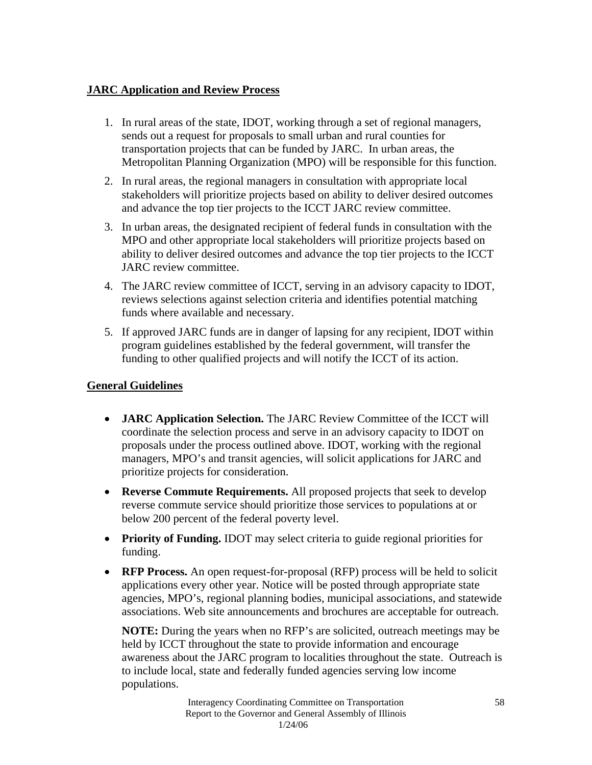# **JARC Application and Review Process**

- 1. In rural areas of the state, IDOT, working through a set of regional managers, sends out a request for proposals to small urban and rural counties for transportation projects that can be funded by JARC. In urban areas, the Metropolitan Planning Organization (MPO) will be responsible for this function.
- 2. In rural areas, the regional managers in consultation with appropriate local stakeholders will prioritize projects based on ability to deliver desired outcomes and advance the top tier projects to the ICCT JARC review committee.
- 3. In urban areas, the designated recipient of federal funds in consultation with the MPO and other appropriate local stakeholders will prioritize projects based on ability to deliver desired outcomes and advance the top tier projects to the ICCT JARC review committee.
- 4. The JARC review committee of ICCT, serving in an advisory capacity to IDOT, reviews selections against selection criteria and identifies potential matching funds where available and necessary.
- 5. If approved JARC funds are in danger of lapsing for any recipient, IDOT within program guidelines established by the federal government, will transfer the funding to other qualified projects and will notify the ICCT of its action.

# **General Guidelines**

- **JARC Application Selection.** The JARC Review Committee of the ICCT will coordinate the selection process and serve in an advisory capacity to IDOT on proposals under the process outlined above. IDOT, working with the regional managers, MPO's and transit agencies, will solicit applications for JARC and prioritize projects for consideration.
- **Reverse Commute Requirements.** All proposed projects that seek to develop reverse commute service should prioritize those services to populations at or below 200 percent of the federal poverty level.
- **Priority of Funding.** IDOT may select criteria to guide regional priorities for funding.
- **RFP Process.** An open request-for-proposal (RFP) process will be held to solicit applications every other year. Notice will be posted through appropriate state agencies, MPO's, regional planning bodies, municipal associations, and statewide associations. Web site announcements and brochures are acceptable for outreach.

**NOTE:** During the years when no RFP's are solicited, outreach meetings may be held by ICCT throughout the state to provide information and encourage awareness about the JARC program to localities throughout the state. Outreach is to include local, state and federally funded agencies serving low income populations.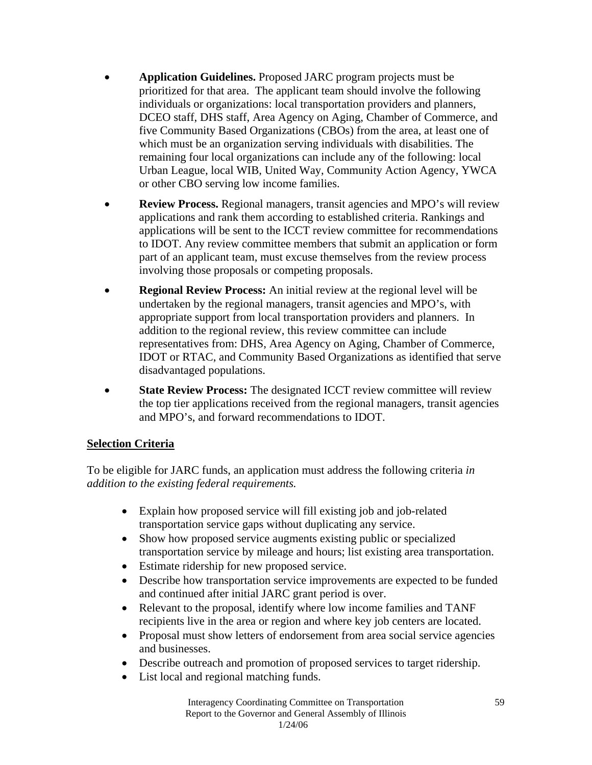- **Application Guidelines.** Proposed JARC program projects must be prioritized for that area. The applicant team should involve the following individuals or organizations: local transportation providers and planners, DCEO staff, DHS staff, Area Agency on Aging, Chamber of Commerce, and five Community Based Organizations (CBOs) from the area, at least one of which must be an organization serving individuals with disabilities. The remaining four local organizations can include any of the following: local Urban League, local WIB, United Way, Community Action Agency, YWCA or other CBO serving low income families.
- **Review Process.** Regional managers, transit agencies and MPO's will review applications and rank them according to established criteria. Rankings and applications will be sent to the ICCT review committee for recommendations to IDOT. Any review committee members that submit an application or form part of an applicant team, must excuse themselves from the review process involving those proposals or competing proposals.
- **Regional Review Process:** An initial review at the regional level will be undertaken by the regional managers, transit agencies and MPO's, with appropriate support from local transportation providers and planners. In addition to the regional review, this review committee can include representatives from: DHS, Area Agency on Aging, Chamber of Commerce, IDOT or RTAC, and Community Based Organizations as identified that serve disadvantaged populations.
- **State Review Process:** The designated ICCT review committee will review the top tier applications received from the regional managers, transit agencies and MPO's, and forward recommendations to IDOT.

## **Selection Criteria**

To be eligible for JARC funds, an application must address the following criteria *in addition to the existing federal requirements.* 

- Explain how proposed service will fill existing job and job-related transportation service gaps without duplicating any service.
- Show how proposed service augments existing public or specialized transportation service by mileage and hours; list existing area transportation.
- Estimate ridership for new proposed service.
- Describe how transportation service improvements are expected to be funded and continued after initial JARC grant period is over.
- Relevant to the proposal, identify where low income families and TANF recipients live in the area or region and where key job centers are located.
- Proposal must show letters of endorsement from area social service agencies and businesses.
- Describe outreach and promotion of proposed services to target ridership.
- List local and regional matching funds.

Interagency Coordinating Committee on Transportation Report to the Governor and General Assembly of Illinois 1/24/06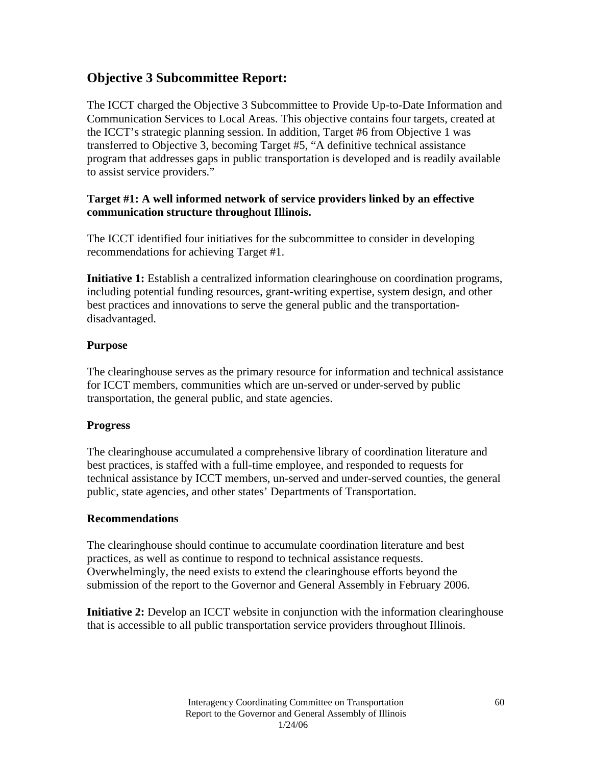# **Objective 3 Subcommittee Report:**

The ICCT charged the Objective 3 Subcommittee to Provide Up-to-Date Information and Communication Services to Local Areas. This objective contains four targets, created at the ICCT's strategic planning session. In addition, Target #6 from Objective 1 was transferred to Objective 3, becoming Target #5, "A definitive technical assistance program that addresses gaps in public transportation is developed and is readily available to assist service providers."

## **Target #1: A well informed network of service providers linked by an effective communication structure throughout Illinois.**

The ICCT identified four initiatives for the subcommittee to consider in developing recommendations for achieving Target #1.

**Initiative 1:** Establish a centralized information clearinghouse on coordination programs, including potential funding resources, grant-writing expertise, system design, and other best practices and innovations to serve the general public and the transportationdisadvantaged.

## **Purpose**

The clearinghouse serves as the primary resource for information and technical assistance for ICCT members, communities which are un-served or under-served by public transportation, the general public, and state agencies.

## **Progress**

The clearinghouse accumulated a comprehensive library of coordination literature and best practices, is staffed with a full-time employee, and responded to requests for technical assistance by ICCT members, un-served and under-served counties, the general public, state agencies, and other states' Departments of Transportation.

## **Recommendations**

The clearinghouse should continue to accumulate coordination literature and best practices, as well as continue to respond to technical assistance requests. Overwhelmingly, the need exists to extend the clearinghouse efforts beyond the submission of the report to the Governor and General Assembly in February 2006.

**Initiative 2:** Develop an ICCT website in conjunction with the information clearinghouse that is accessible to all public transportation service providers throughout Illinois.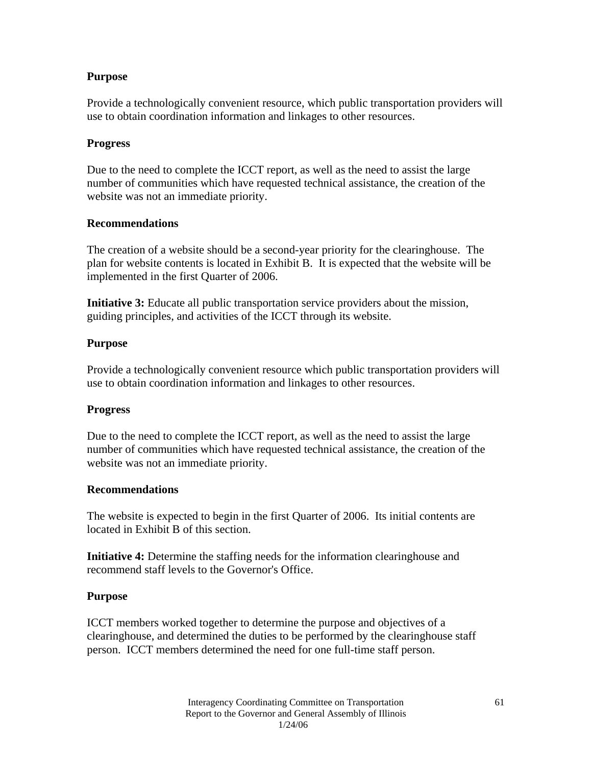Provide a technologically convenient resource, which public transportation providers will use to obtain coordination information and linkages to other resources.

#### **Progress**

Due to the need to complete the ICCT report, as well as the need to assist the large number of communities which have requested technical assistance, the creation of the website was not an immediate priority.

#### **Recommendations**

The creation of a website should be a second-year priority for the clearinghouse. The plan for website contents is located in Exhibit B. It is expected that the website will be implemented in the first Quarter of 2006.

**Initiative 3:** Educate all public transportation service providers about the mission, guiding principles, and activities of the ICCT through its website.

#### **Purpose**

Provide a technologically convenient resource which public transportation providers will use to obtain coordination information and linkages to other resources.

#### **Progress**

Due to the need to complete the ICCT report, as well as the need to assist the large number of communities which have requested technical assistance, the creation of the website was not an immediate priority.

#### **Recommendations**

The website is expected to begin in the first Quarter of 2006. Its initial contents are located in Exhibit B of this section.

**Initiative 4:** Determine the staffing needs for the information clearinghouse and recommend staff levels to the Governor's Office.

#### **Purpose**

ICCT members worked together to determine the purpose and objectives of a clearinghouse, and determined the duties to be performed by the clearinghouse staff person. ICCT members determined the need for one full-time staff person.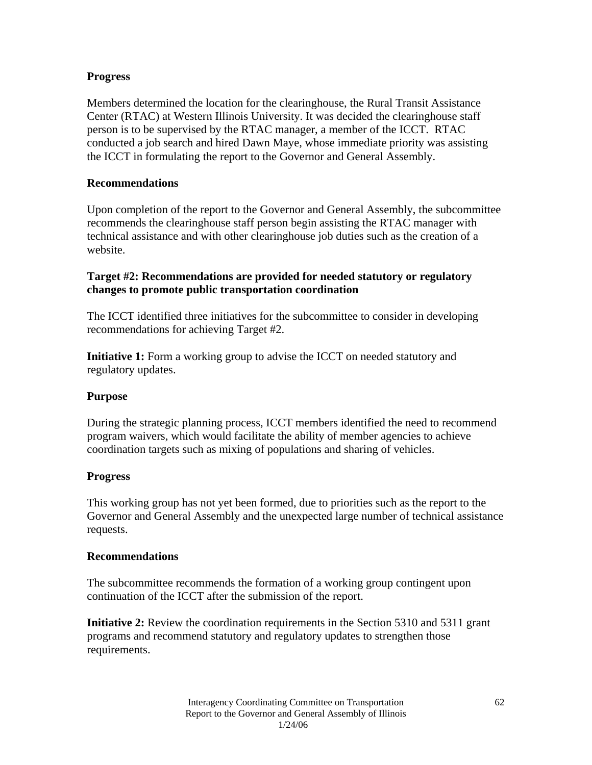## **Progress**

Members determined the location for the clearinghouse, the Rural Transit Assistance Center (RTAC) at Western Illinois University. It was decided the clearinghouse staff person is to be supervised by the RTAC manager, a member of the ICCT. RTAC conducted a job search and hired Dawn Maye, whose immediate priority was assisting the ICCT in formulating the report to the Governor and General Assembly.

#### **Recommendations**

Upon completion of the report to the Governor and General Assembly, the subcommittee recommends the clearinghouse staff person begin assisting the RTAC manager with technical assistance and with other clearinghouse job duties such as the creation of a website.

#### **Target #2: Recommendations are provided for needed statutory or regulatory changes to promote public transportation coordination**

The ICCT identified three initiatives for the subcommittee to consider in developing recommendations for achieving Target #2.

**Initiative 1:** Form a working group to advise the ICCT on needed statutory and regulatory updates.

#### **Purpose**

During the strategic planning process, ICCT members identified the need to recommend program waivers, which would facilitate the ability of member agencies to achieve coordination targets such as mixing of populations and sharing of vehicles.

#### **Progress**

This working group has not yet been formed, due to priorities such as the report to the Governor and General Assembly and the unexpected large number of technical assistance requests.

#### **Recommendations**

The subcommittee recommends the formation of a working group contingent upon continuation of the ICCT after the submission of the report.

**Initiative 2:** Review the coordination requirements in the Section 5310 and 5311 grant programs and recommend statutory and regulatory updates to strengthen those requirements.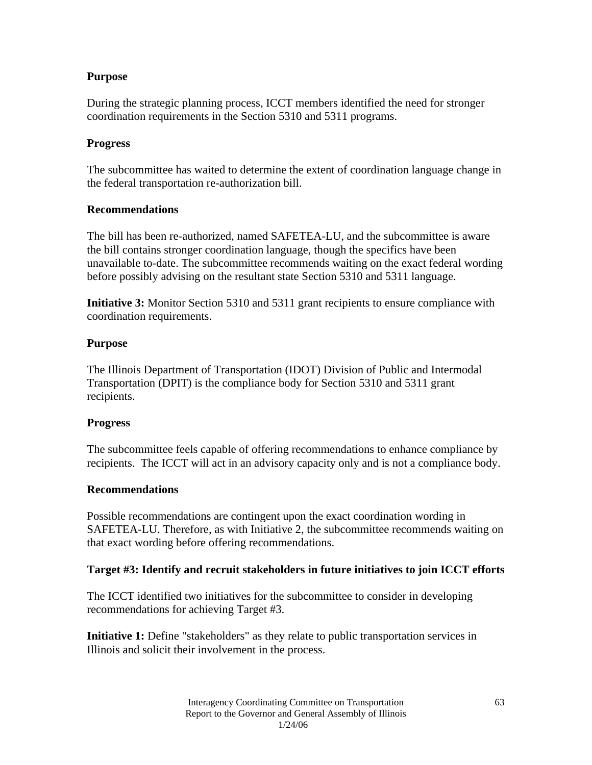During the strategic planning process, ICCT members identified the need for stronger coordination requirements in the Section 5310 and 5311 programs.

#### **Progress**

The subcommittee has waited to determine the extent of coordination language change in the federal transportation re-authorization bill.

#### **Recommendations**

The bill has been re-authorized, named SAFETEA-LU, and the subcommittee is aware the bill contains stronger coordination language, though the specifics have been unavailable to-date. The subcommittee recommends waiting on the exact federal wording before possibly advising on the resultant state Section 5310 and 5311 language.

**Initiative 3:** Monitor Section 5310 and 5311 grant recipients to ensure compliance with coordination requirements.

#### **Purpose**

The Illinois Department of Transportation (IDOT) Division of Public and Intermodal Transportation (DPIT) is the compliance body for Section 5310 and 5311 grant recipients.

#### **Progress**

The subcommittee feels capable of offering recommendations to enhance compliance by recipients. The ICCT will act in an advisory capacity only and is not a compliance body.

#### **Recommendations**

Possible recommendations are contingent upon the exact coordination wording in SAFETEA-LU. Therefore, as with Initiative 2, the subcommittee recommends waiting on that exact wording before offering recommendations.

#### **Target #3: Identify and recruit stakeholders in future initiatives to join ICCT efforts**

The ICCT identified two initiatives for the subcommittee to consider in developing recommendations for achieving Target #3.

**Initiative 1:** Define "stakeholders" as they relate to public transportation services in Illinois and solicit their involvement in the process.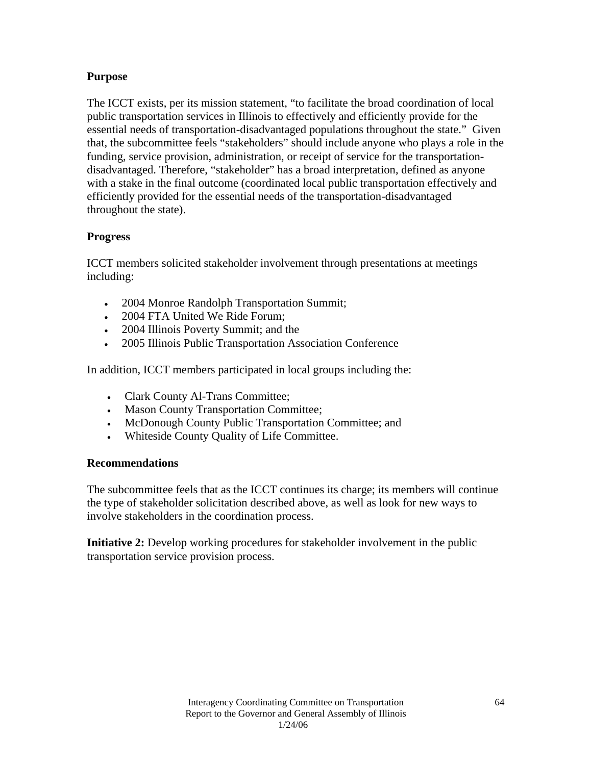The ICCT exists, per its mission statement, "to facilitate the broad coordination of local public transportation services in Illinois to effectively and efficiently provide for the essential needs of transportation-disadvantaged populations throughout the state." Given that, the subcommittee feels "stakeholders" should include anyone who plays a role in the funding, service provision, administration, or receipt of service for the transportationdisadvantaged. Therefore, "stakeholder" has a broad interpretation, defined as anyone with a stake in the final outcome (coordinated local public transportation effectively and efficiently provided for the essential needs of the transportation-disadvantaged throughout the state).

#### **Progress**

ICCT members solicited stakeholder involvement through presentations at meetings including:

- 2004 Monroe Randolph Transportation Summit;
- 2004 FTA United We Ride Forum;
- 2004 Illinois Poverty Summit; and the
- 2005 Illinois Public Transportation Association Conference

In addition, ICCT members participated in local groups including the:

- Clark County Al-Trans Committee;
- Mason County Transportation Committee;
- McDonough County Public Transportation Committee; and
- Whiteside County Quality of Life Committee.

#### **Recommendations**

The subcommittee feels that as the ICCT continues its charge; its members will continue the type of stakeholder solicitation described above, as well as look for new ways to involve stakeholders in the coordination process.

**Initiative 2:** Develop working procedures for stakeholder involvement in the public transportation service provision process.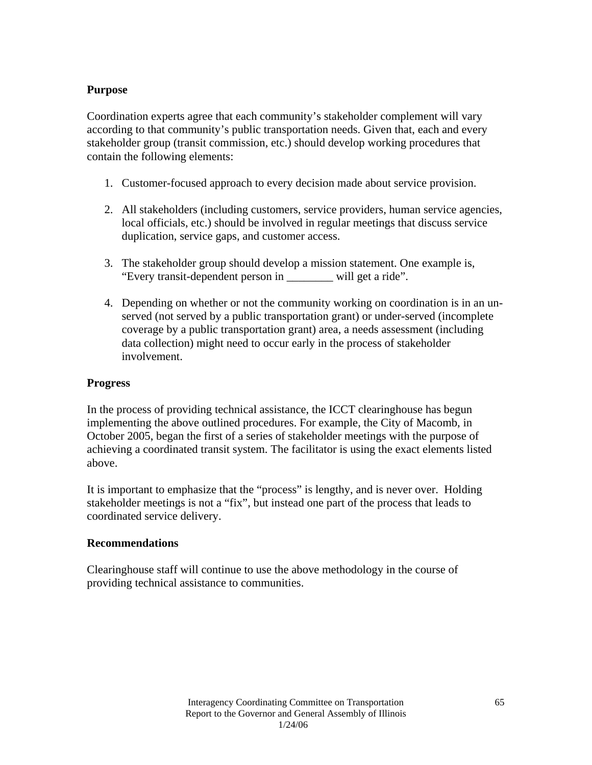Coordination experts agree that each community's stakeholder complement will vary according to that community's public transportation needs. Given that, each and every stakeholder group (transit commission, etc.) should develop working procedures that contain the following elements:

- 1. Customer-focused approach to every decision made about service provision.
- 2. All stakeholders (including customers, service providers, human service agencies, local officials, etc.) should be involved in regular meetings that discuss service duplication, service gaps, and customer access.
- 3. The stakeholder group should develop a mission statement. One example is, "Every transit-dependent person in \_\_\_\_\_\_\_\_ will get a ride".
- 4. Depending on whether or not the community working on coordination is in an unserved (not served by a public transportation grant) or under-served (incomplete coverage by a public transportation grant) area, a needs assessment (including data collection) might need to occur early in the process of stakeholder involvement.

#### **Progress**

In the process of providing technical assistance, the ICCT clearinghouse has begun implementing the above outlined procedures. For example, the City of Macomb, in October 2005, began the first of a series of stakeholder meetings with the purpose of achieving a coordinated transit system. The facilitator is using the exact elements listed above.

It is important to emphasize that the "process" is lengthy, and is never over. Holding stakeholder meetings is not a "fix", but instead one part of the process that leads to coordinated service delivery.

#### **Recommendations**

Clearinghouse staff will continue to use the above methodology in the course of providing technical assistance to communities.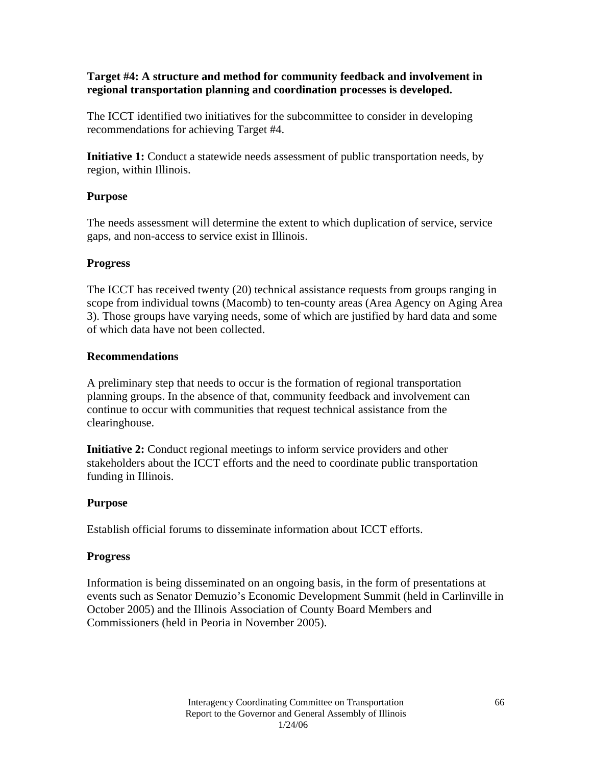#### **Target #4: A structure and method for community feedback and involvement in regional transportation planning and coordination processes is developed.**

The ICCT identified two initiatives for the subcommittee to consider in developing recommendations for achieving Target #4.

**Initiative 1:** Conduct a statewide needs assessment of public transportation needs, by region, within Illinois.

#### **Purpose**

The needs assessment will determine the extent to which duplication of service, service gaps, and non-access to service exist in Illinois.

#### **Progress**

The ICCT has received twenty (20) technical assistance requests from groups ranging in scope from individual towns (Macomb) to ten-county areas (Area Agency on Aging Area 3). Those groups have varying needs, some of which are justified by hard data and some of which data have not been collected.

#### **Recommendations**

A preliminary step that needs to occur is the formation of regional transportation planning groups. In the absence of that, community feedback and involvement can continue to occur with communities that request technical assistance from the clearinghouse.

**Initiative 2:** Conduct regional meetings to inform service providers and other stakeholders about the ICCT efforts and the need to coordinate public transportation funding in Illinois.

## **Purpose**

Establish official forums to disseminate information about ICCT efforts.

## **Progress**

Information is being disseminated on an ongoing basis, in the form of presentations at events such as Senator Demuzio's Economic Development Summit (held in Carlinville in October 2005) and the Illinois Association of County Board Members and Commissioners (held in Peoria in November 2005).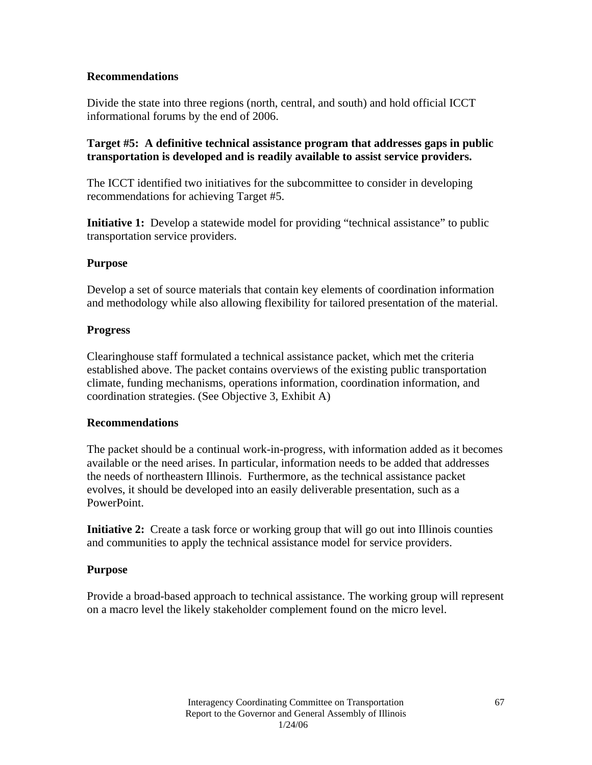## **Recommendations**

Divide the state into three regions (north, central, and south) and hold official ICCT informational forums by the end of 2006.

#### **Target #5: A definitive technical assistance program that addresses gaps in public transportation is developed and is readily available to assist service providers.**

The ICCT identified two initiatives for the subcommittee to consider in developing recommendations for achieving Target #5.

**Initiative 1:** Develop a statewide model for providing "technical assistance" to public transportation service providers.

#### **Purpose**

Develop a set of source materials that contain key elements of coordination information and methodology while also allowing flexibility for tailored presentation of the material.

#### **Progress**

Clearinghouse staff formulated a technical assistance packet, which met the criteria established above. The packet contains overviews of the existing public transportation climate, funding mechanisms, operations information, coordination information, and coordination strategies. (See Objective 3, Exhibit A)

#### **Recommendations**

The packet should be a continual work-in-progress, with information added as it becomes available or the need arises. In particular, information needs to be added that addresses the needs of northeastern Illinois. Furthermore, as the technical assistance packet evolves, it should be developed into an easily deliverable presentation, such as a PowerPoint.

**Initiative 2:** Create a task force or working group that will go out into Illinois counties and communities to apply the technical assistance model for service providers.

## **Purpose**

Provide a broad-based approach to technical assistance. The working group will represent on a macro level the likely stakeholder complement found on the micro level.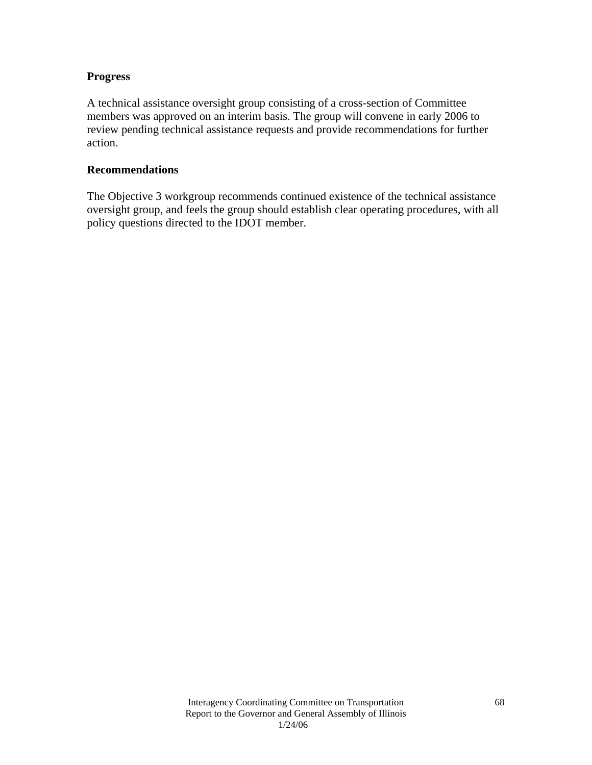#### **Progress**

A technical assistance oversight group consisting of a cross-section of Committee members was approved on an interim basis. The group will convene in early 2006 to review pending technical assistance requests and provide recommendations for further action.

#### **Recommendations**

The Objective 3 workgroup recommends continued existence of the technical assistance oversight group, and feels the group should establish clear operating procedures, with all policy questions directed to the IDOT member.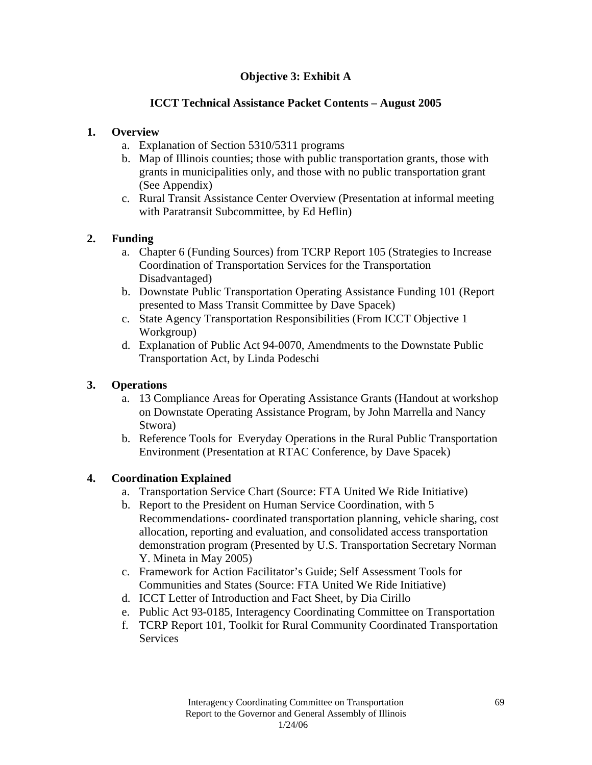# **Objective 3: Exhibit A**

## **ICCT Technical Assistance Packet Contents – August 2005**

## **1. Overview**

- a. Explanation of Section 5310/5311 programs
- b. Map of Illinois counties; those with public transportation grants, those with grants in municipalities only, and those with no public transportation grant (See Appendix)
- c. Rural Transit Assistance Center Overview (Presentation at informal meeting with Paratransit Subcommittee, by Ed Heflin)

# **2. Funding**

- a. Chapter 6 (Funding Sources) from TCRP Report 105 (Strategies to Increase Coordination of Transportation Services for the Transportation Disadvantaged)
- b. Downstate Public Transportation Operating Assistance Funding 101 (Report presented to Mass Transit Committee by Dave Spacek)
- c. State Agency Transportation Responsibilities (From ICCT Objective 1 Workgroup)
- d. Explanation of Public Act 94-0070, Amendments to the Downstate Public Transportation Act, by Linda Podeschi

# **3. Operations**

- a. 13 Compliance Areas for Operating Assistance Grants (Handout at workshop on Downstate Operating Assistance Program, by John Marrella and Nancy Stwora)
- b. Reference Tools for Everyday Operations in the Rural Public Transportation Environment (Presentation at RTAC Conference, by Dave Spacek)

## **4. Coordination Explained**

- a. Transportation Service Chart (Source: FTA United We Ride Initiative)
- b. Report to the President on Human Service Coordination, with 5 Recommendations- coordinated transportation planning, vehicle sharing, cost allocation, reporting and evaluation, and consolidated access transportation demonstration program (Presented by U.S. Transportation Secretary Norman Y. Mineta in May 2005)
- c. Framework for Action Facilitator's Guide; Self Assessment Tools for Communities and States (Source: FTA United We Ride Initiative)
- d. ICCT Letter of Introduction and Fact Sheet, by Dia Cirillo
- e. Public Act 93-0185, Interagency Coordinating Committee on Transportation
- f. TCRP Report 101, Toolkit for Rural Community Coordinated Transportation Services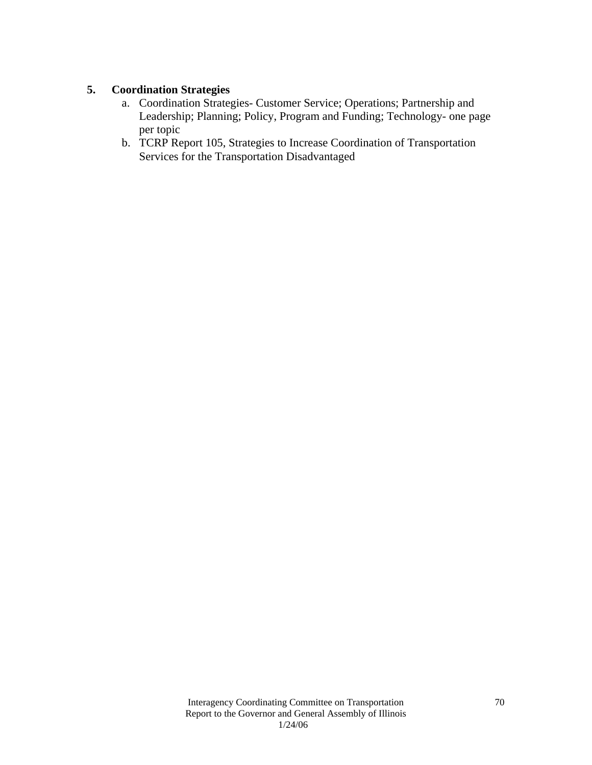## **5. Coordination Strategies**

- a. Coordination Strategies- Customer Service; Operations; Partnership and Leadership; Planning; Policy, Program and Funding; Technology- one page per topic
- b. TCRP Report 105, Strategies to Increase Coordination of Transportation Services for the Transportation Disadvantaged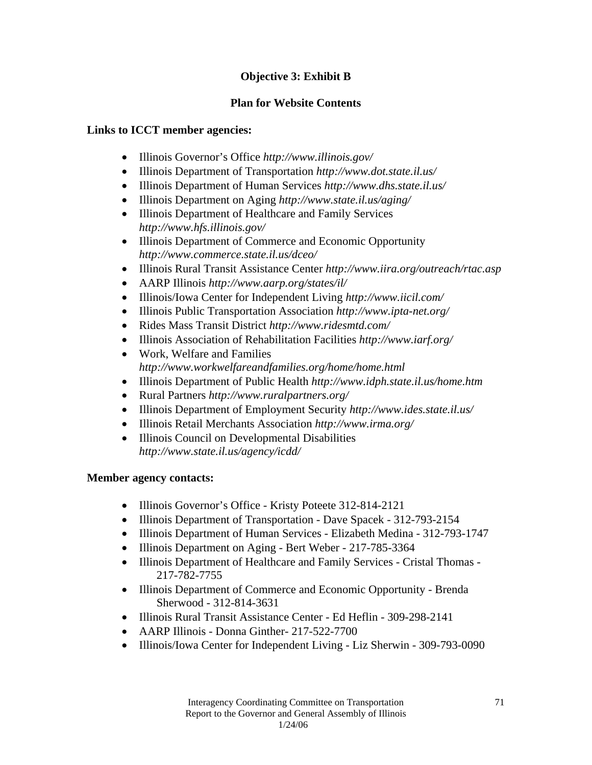# **Objective 3: Exhibit B**

# **Plan for Website Contents**

# **Links to ICCT member agencies:**

- Illinois Governor's Office *http://www.illinois.gov/*
- Illinois Department of Transportation *http://www.dot.state.il.us/*
- Illinois Department of Human Services *http://www.dhs.state.il.us/*
- Illinois Department on Aging *http://www.state.il.us/aging/*
- Illinois Department of Healthcare and Family Services *http://www.hfs.illinois.gov/*
- Illinois Department of Commerce and Economic Opportunity *http://www.commerce.state.il.us/dceo/*
- Illinois Rural Transit Assistance Center *http://www.iira.org/outreach/rtac.asp*
- AARP Illinois *http://www.aarp.org/states/il/*
- Illinois/Iowa Center for Independent Living *http://www.iicil.com/*
- Illinois Public Transportation Association *http://www.ipta-net.org/*
- Rides Mass Transit District *http://www.ridesmtd.com/*
- Illinois Association of Rehabilitation Facilities *http://www.iarf.org/*
- Work, Welfare and Families *http://www.workwelfareandfamilies.org/home/home.html*
- Illinois Department of Public Health *http://www.idph.state.il.us/home.htm*
- Rural Partners *http://www.ruralpartners.org/*
- Illinois Department of Employment Security *http://www.ides.state.il.us/*
- Illinois Retail Merchants Association *http://www.irma.org/*
- Illinois Council on Developmental Disabilities *http://www.state.il.us/agency/icdd/*

# **Member agency contacts:**

- Illinois Governor's Office Kristy Poteete 312-814-2121
- Illinois Department of Transportation Dave Spacek 312-793-2154
- Illinois Department of Human Services Elizabeth Medina 312-793-1747
- Illinois Department on Aging Bert Weber 217-785-3364
- Illinois Department of Healthcare and Family Services Cristal Thomas 217-782-7755
- Illinois Department of Commerce and Economic Opportunity Brenda Sherwood - 312-814-3631
- Illinois Rural Transit Assistance Center Ed Heflin 309-298-2141
- AARP Illinois Donna Ginther- 217-522-7700
- Illinois/Iowa Center for Independent Living Liz Sherwin 309-793-0090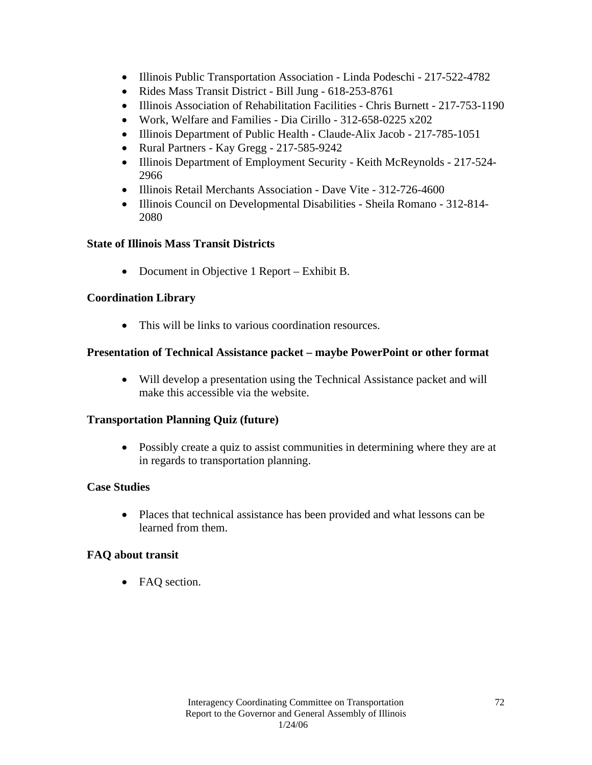- Illinois Public Transportation Association Linda Podeschi 217-522-4782
- Rides Mass Transit District Bill Jung 618-253-8761
- Illinois Association of Rehabilitation Facilities Chris Burnett 217-753-1190
- Work, Welfare and Families Dia Cirillo 312-658-0225 x202
- Illinois Department of Public Health Claude-Alix Jacob 217-785-1051
- Rural Partners Kay Gregg 217-585-9242
- Illinois Department of Employment Security Keith McReynolds 217-524-2966
- Illinois Retail Merchants Association Dave Vite 312-726-4600
- Illinois Council on Developmental Disabilities Sheila Romano 312-814- 2080

#### **State of Illinois Mass Transit Districts**

• Document in Objective 1 Report – Exhibit B.

#### **Coordination Library**

• This will be links to various coordination resources.

#### **Presentation of Technical Assistance packet – maybe PowerPoint or other format**

• Will develop a presentation using the Technical Assistance packet and will make this accessible via the website.

#### **Transportation Planning Quiz (future)**

• Possibly create a quiz to assist communities in determining where they are at in regards to transportation planning.

## **Case Studies**

• Places that technical assistance has been provided and what lessons can be learned from them.

## **FAQ about transit**

• FAQ section.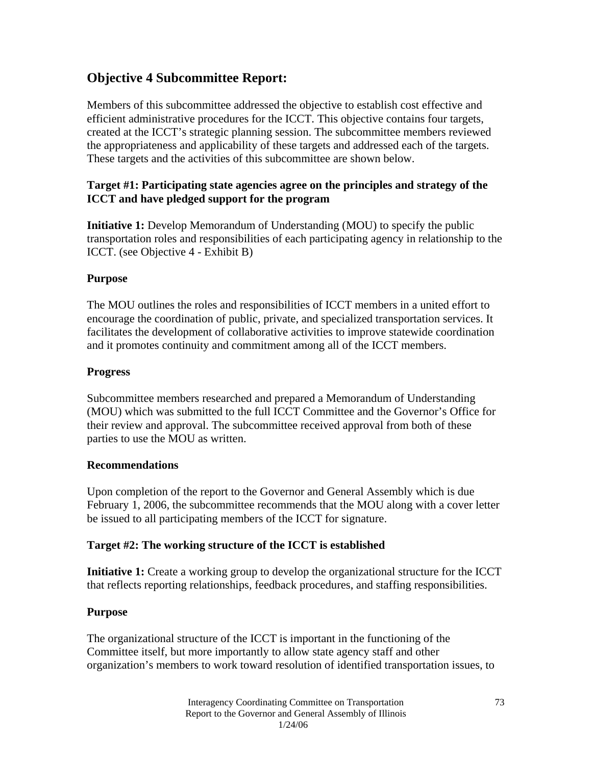## **Objective 4 Subcommittee Report:**

Members of this subcommittee addressed the objective to establish cost effective and efficient administrative procedures for the ICCT. This objective contains four targets, created at the ICCT's strategic planning session. The subcommittee members reviewed the appropriateness and applicability of these targets and addressed each of the targets. These targets and the activities of this subcommittee are shown below.

### **Target #1: Participating state agencies agree on the principles and strategy of the ICCT and have pledged support for the program**

**Initiative 1:** Develop Memorandum of Understanding (MOU) to specify the public transportation roles and responsibilities of each participating agency in relationship to the ICCT. (see Objective 4 - Exhibit B)

### **Purpose**

The MOU outlines the roles and responsibilities of ICCT members in a united effort to encourage the coordination of public, private, and specialized transportation services. It facilitates the development of collaborative activities to improve statewide coordination and it promotes continuity and commitment among all of the ICCT members.

### **Progress**

Subcommittee members researched and prepared a Memorandum of Understanding (MOU) which was submitted to the full ICCT Committee and the Governor's Office for their review and approval. The subcommittee received approval from both of these parties to use the MOU as written.

### **Recommendations**

Upon completion of the report to the Governor and General Assembly which is due February 1, 2006, the subcommittee recommends that the MOU along with a cover letter be issued to all participating members of the ICCT for signature.

### **Target #2: The working structure of the ICCT is established**

**Initiative 1:** Create a working group to develop the organizational structure for the ICCT that reflects reporting relationships, feedback procedures, and staffing responsibilities.

### **Purpose**

The organizational structure of the ICCT is important in the functioning of the Committee itself, but more importantly to allow state agency staff and other organization's members to work toward resolution of identified transportation issues, to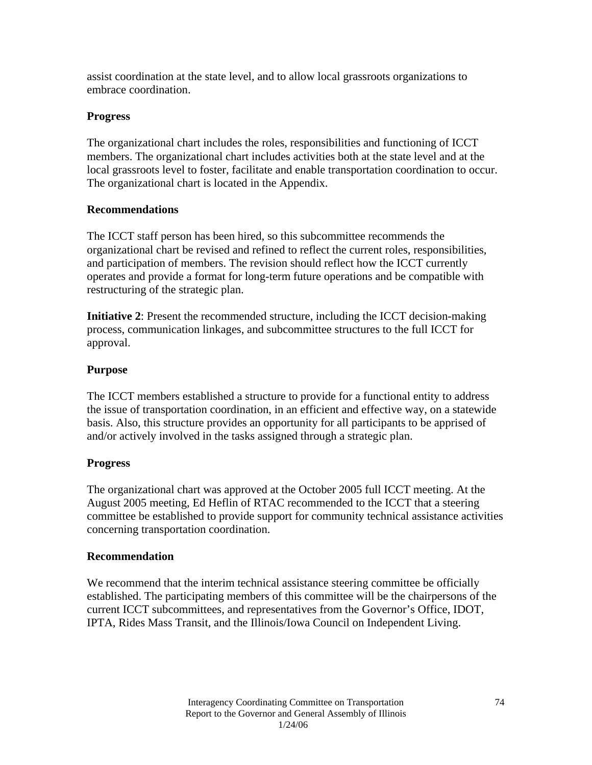assist coordination at the state level, and to allow local grassroots organizations to embrace coordination.

### **Progress**

The organizational chart includes the roles, responsibilities and functioning of ICCT members. The organizational chart includes activities both at the state level and at the local grassroots level to foster, facilitate and enable transportation coordination to occur. The organizational chart is located in the Appendix.

### **Recommendations**

The ICCT staff person has been hired, so this subcommittee recommends the organizational chart be revised and refined to reflect the current roles, responsibilities, and participation of members. The revision should reflect how the ICCT currently operates and provide a format for long-term future operations and be compatible with restructuring of the strategic plan.

**Initiative 2**: Present the recommended structure, including the ICCT decision-making process, communication linkages, and subcommittee structures to the full ICCT for approval.

### **Purpose**

The ICCT members established a structure to provide for a functional entity to address the issue of transportation coordination, in an efficient and effective way, on a statewide basis. Also, this structure provides an opportunity for all participants to be apprised of and/or actively involved in the tasks assigned through a strategic plan.

### **Progress**

The organizational chart was approved at the October 2005 full ICCT meeting. At the August 2005 meeting, Ed Heflin of RTAC recommended to the ICCT that a steering committee be established to provide support for community technical assistance activities concerning transportation coordination.

### **Recommendation**

We recommend that the interim technical assistance steering committee be officially established. The participating members of this committee will be the chairpersons of the current ICCT subcommittees, and representatives from the Governor's Office, IDOT, IPTA, Rides Mass Transit, and the Illinois/Iowa Council on Independent Living.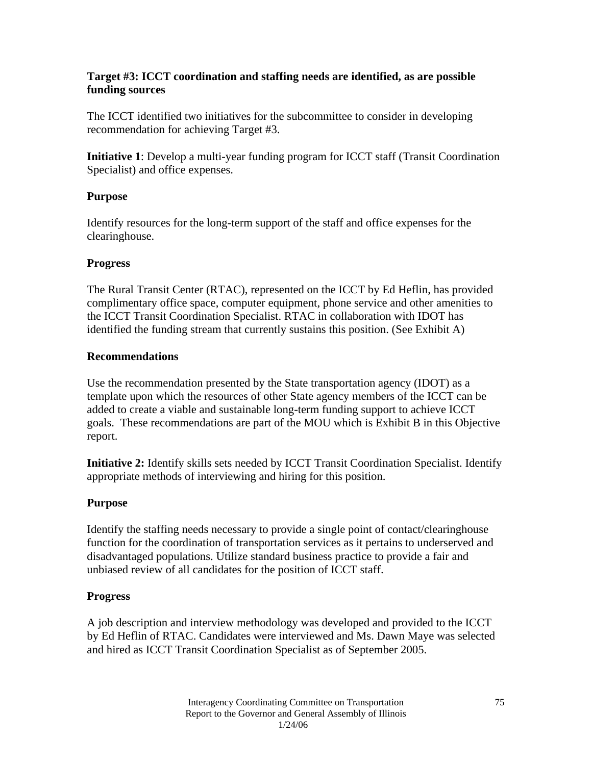### **Target #3: ICCT coordination and staffing needs are identified, as are possible funding sources**

The ICCT identified two initiatives for the subcommittee to consider in developing recommendation for achieving Target #3.

**Initiative 1**: Develop a multi-year funding program for ICCT staff (Transit Coordination Specialist) and office expenses.

### **Purpose**

Identify resources for the long-term support of the staff and office expenses for the clearinghouse.

### **Progress**

The Rural Transit Center (RTAC), represented on the ICCT by Ed Heflin, has provided complimentary office space, computer equipment, phone service and other amenities to the ICCT Transit Coordination Specialist. RTAC in collaboration with IDOT has identified the funding stream that currently sustains this position. (See Exhibit A)

### **Recommendations**

Use the recommendation presented by the State transportation agency (IDOT) as a template upon which the resources of other State agency members of the ICCT can be added to create a viable and sustainable long-term funding support to achieve ICCT goals. These recommendations are part of the MOU which is Exhibit B in this Objective report.

**Initiative 2:** Identify skills sets needed by ICCT Transit Coordination Specialist. Identify appropriate methods of interviewing and hiring for this position.

### **Purpose**

Identify the staffing needs necessary to provide a single point of contact/clearinghouse function for the coordination of transportation services as it pertains to underserved and disadvantaged populations. Utilize standard business practice to provide a fair and unbiased review of all candidates for the position of ICCT staff.

### **Progress**

A job description and interview methodology was developed and provided to the ICCT by Ed Heflin of RTAC. Candidates were interviewed and Ms. Dawn Maye was selected and hired as ICCT Transit Coordination Specialist as of September 2005.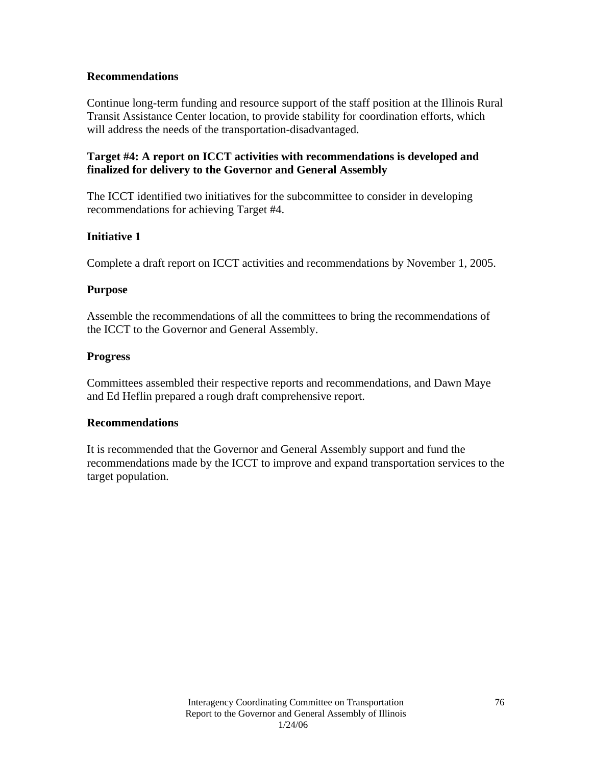### **Recommendations**

Continue long-term funding and resource support of the staff position at the Illinois Rural Transit Assistance Center location, to provide stability for coordination efforts, which will address the needs of the transportation-disadvantaged.

### **Target #4: A report on ICCT activities with recommendations is developed and finalized for delivery to the Governor and General Assembly**

The ICCT identified two initiatives for the subcommittee to consider in developing recommendations for achieving Target #4.

### **Initiative 1**

Complete a draft report on ICCT activities and recommendations by November 1, 2005.

### **Purpose**

Assemble the recommendations of all the committees to bring the recommendations of the ICCT to the Governor and General Assembly.

### **Progress**

Committees assembled their respective reports and recommendations, and Dawn Maye and Ed Heflin prepared a rough draft comprehensive report.

### **Recommendations**

It is recommended that the Governor and General Assembly support and fund the recommendations made by the ICCT to improve and expand transportation services to the target population.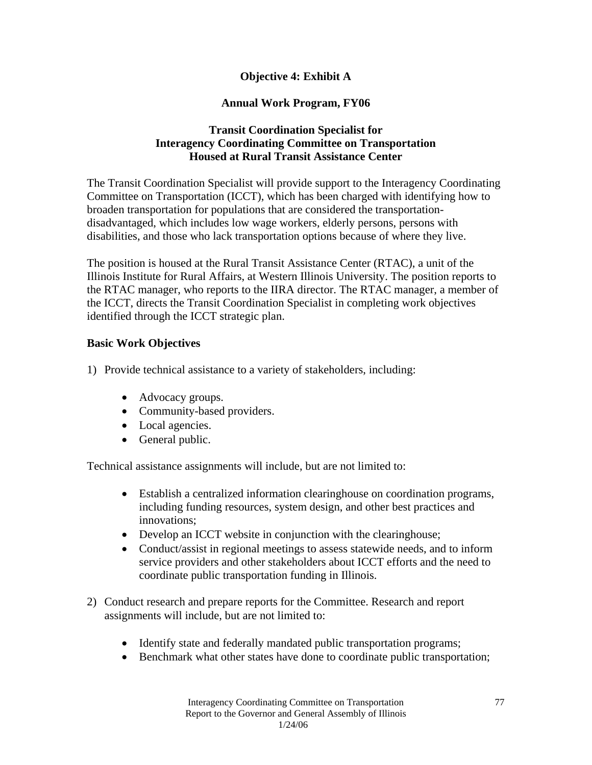### **Objective 4: Exhibit A**

### **Annual Work Program, FY06**

### **Transit Coordination Specialist for Interagency Coordinating Committee on Transportation Housed at Rural Transit Assistance Center**

The Transit Coordination Specialist will provide support to the Interagency Coordinating Committee on Transportation (ICCT), which has been charged with identifying how to broaden transportation for populations that are considered the transportationdisadvantaged, which includes low wage workers, elderly persons, persons with disabilities, and those who lack transportation options because of where they live.

The position is housed at the Rural Transit Assistance Center (RTAC), a unit of the Illinois Institute for Rural Affairs, at Western Illinois University. The position reports to the RTAC manager, who reports to the IIRA director. The RTAC manager, a member of the ICCT, directs the Transit Coordination Specialist in completing work objectives identified through the ICCT strategic plan.

### **Basic Work Objectives**

- 1) Provide technical assistance to a variety of stakeholders, including:
	- Advocacy groups.
	- Community-based providers.
	- Local agencies.
	- General public.

Technical assistance assignments will include, but are not limited to:

- Establish a centralized information clearinghouse on coordination programs, including funding resources, system design, and other best practices and innovations;
- Develop an ICCT website in conjunction with the clearinghouse;
- Conduct/assist in regional meetings to assess statewide needs, and to inform service providers and other stakeholders about ICCT efforts and the need to coordinate public transportation funding in Illinois.
- 2) Conduct research and prepare reports for the Committee. Research and report assignments will include, but are not limited to:
	- Identify state and federally mandated public transportation programs;
	- Benchmark what other states have done to coordinate public transportation;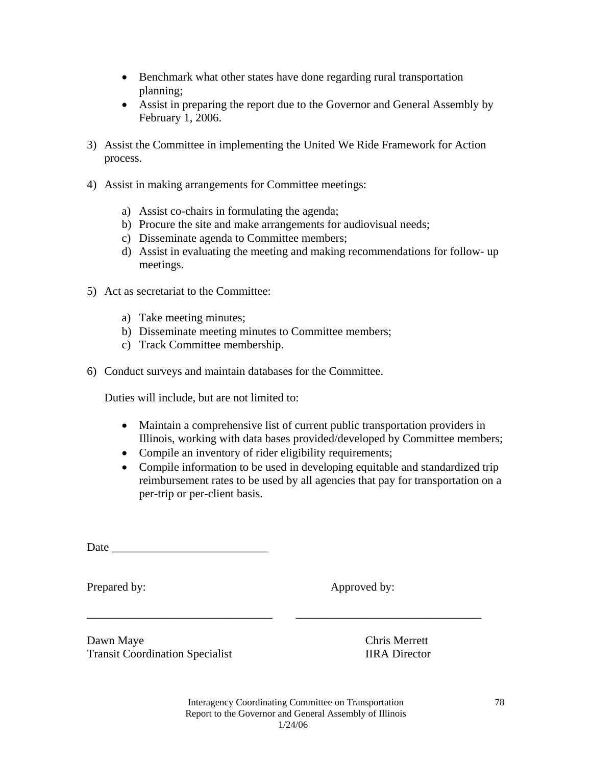- Benchmark what other states have done regarding rural transportation planning;
- Assist in preparing the report due to the Governor and General Assembly by February 1, 2006.
- 3) Assist the Committee in implementing the United We Ride Framework for Action process.
- 4) Assist in making arrangements for Committee meetings:
	- a) Assist co-chairs in formulating the agenda;
	- b) Procure the site and make arrangements for audiovisual needs;
	- c) Disseminate agenda to Committee members;
	- d) Assist in evaluating the meeting and making recommendations for follow- up meetings.
- 5) Act as secretariat to the Committee:
	- a) Take meeting minutes;
	- b) Disseminate meeting minutes to Committee members;
	- c) Track Committee membership.
- 6) Conduct surveys and maintain databases for the Committee.

Duties will include, but are not limited to:

- Maintain a comprehensive list of current public transportation providers in Illinois, working with data bases provided/developed by Committee members;
- Compile an inventory of rider eligibility requirements;
- Compile information to be used in developing equitable and standardized trip reimbursement rates to be used by all agencies that pay for transportation on a per-trip or per-client basis.

Prepared by: Approved by:

Dawn Maye Chris Merrett Transit Coordination Specialist **IIRA** Director

\_\_\_\_\_\_\_\_\_\_\_\_\_\_\_\_\_\_\_\_\_\_\_\_\_\_\_\_\_\_\_\_ \_\_\_\_\_\_\_\_\_\_\_\_\_\_\_\_\_\_\_\_\_\_\_\_\_\_\_\_\_\_\_\_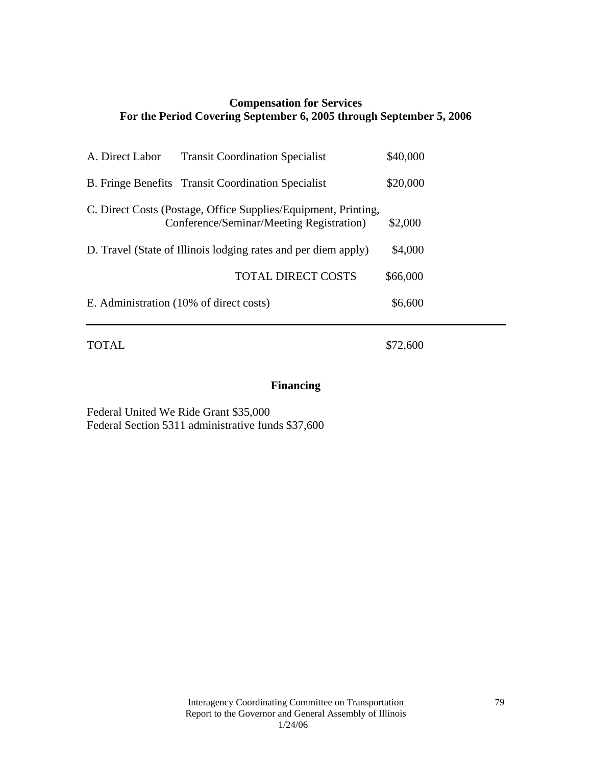### **Compensation for Services For the Period Covering September 6, 2005 through September 5, 2006**

| A. Direct Labor                                                | <b>Transit Coordination Specialist</b>                                                                     | \$40,000 |
|----------------------------------------------------------------|------------------------------------------------------------------------------------------------------------|----------|
|                                                                | <b>B.</b> Fringe Benefits Transit Coordination Specialist                                                  | \$20,000 |
|                                                                | C. Direct Costs (Postage, Office Supplies/Equipment, Printing,<br>Conference/Seminar/Meeting Registration) | \$2,000  |
| D. Travel (State of Illinois lodging rates and per diem apply) | \$4,000                                                                                                    |          |
|                                                                | <b>TOTAL DIRECT COSTS</b>                                                                                  | \$66,000 |
|                                                                | E. Administration (10% of direct costs)                                                                    | \$6,600  |
|                                                                |                                                                                                            |          |

TOTAL \$72,600

## **Financing**

Federal United We Ride Grant \$35,000 Federal Section 5311 administrative funds \$37,600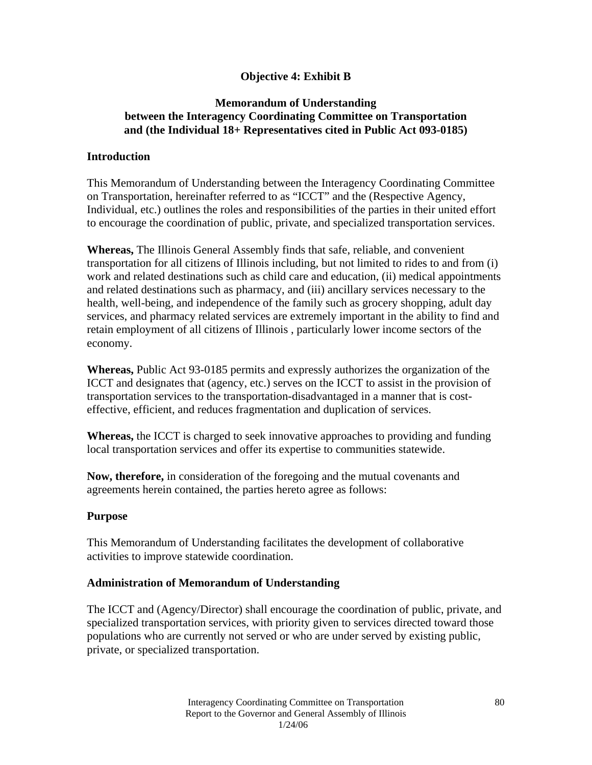### **Objective 4: Exhibit B**

### **Memorandum of Understanding between the Interagency Coordinating Committee on Transportation and (the Individual 18+ Representatives cited in Public Act 093-0185)**

### **Introduction**

This Memorandum of Understanding between the Interagency Coordinating Committee on Transportation, hereinafter referred to as "ICCT" and the (Respective Agency, Individual, etc.) outlines the roles and responsibilities of the parties in their united effort to encourage the coordination of public, private, and specialized transportation services.

**Whereas,** The Illinois General Assembly finds that safe, reliable, and convenient transportation for all citizens of Illinois including, but not limited to rides to and from (i) work and related destinations such as child care and education, (ii) medical appointments and related destinations such as pharmacy, and (iii) ancillary services necessary to the health, well-being, and independence of the family such as grocery shopping, adult day services, and pharmacy related services are extremely important in the ability to find and retain employment of all citizens of Illinois , particularly lower income sectors of the economy.

**Whereas,** Public Act 93-0185 permits and expressly authorizes the organization of the ICCT and designates that (agency, etc.) serves on the ICCT to assist in the provision of transportation services to the transportation-disadvantaged in a manner that is costeffective, efficient, and reduces fragmentation and duplication of services.

**Whereas,** the ICCT is charged to seek innovative approaches to providing and funding local transportation services and offer its expertise to communities statewide.

**Now, therefore,** in consideration of the foregoing and the mutual covenants and agreements herein contained, the parties hereto agree as follows:

### **Purpose**

This Memorandum of Understanding facilitates the development of collaborative activities to improve statewide coordination.

### **Administration of Memorandum of Understanding**

The ICCT and (Agency/Director) shall encourage the coordination of public, private, and specialized transportation services, with priority given to services directed toward those populations who are currently not served or who are under served by existing public, private, or specialized transportation.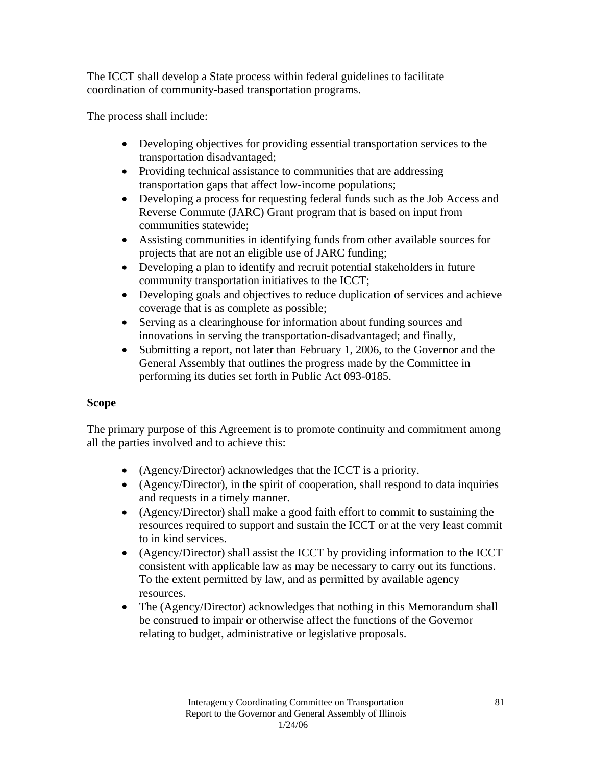The ICCT shall develop a State process within federal guidelines to facilitate coordination of community-based transportation programs.

The process shall include:

- Developing objectives for providing essential transportation services to the transportation disadvantaged;
- Providing technical assistance to communities that are addressing transportation gaps that affect low-income populations;
- Developing a process for requesting federal funds such as the Job Access and Reverse Commute (JARC) Grant program that is based on input from communities statewide;
- Assisting communities in identifying funds from other available sources for projects that are not an eligible use of JARC funding;
- Developing a plan to identify and recruit potential stakeholders in future community transportation initiatives to the ICCT;
- Developing goals and objectives to reduce duplication of services and achieve coverage that is as complete as possible;
- Serving as a clearinghouse for information about funding sources and innovations in serving the transportation-disadvantaged; and finally,
- Submitting a report, not later than February 1, 2006, to the Governor and the General Assembly that outlines the progress made by the Committee in performing its duties set forth in Public Act 093-0185.

### **Scope**

The primary purpose of this Agreement is to promote continuity and commitment among all the parties involved and to achieve this:

- (Agency/Director) acknowledges that the ICCT is a priority.
- (Agency/Director), in the spirit of cooperation, shall respond to data inquiries and requests in a timely manner.
- (Agency/Director) shall make a good faith effort to commit to sustaining the resources required to support and sustain the ICCT or at the very least commit to in kind services.
- (Agency/Director) shall assist the ICCT by providing information to the ICCT consistent with applicable law as may be necessary to carry out its functions. To the extent permitted by law, and as permitted by available agency resources.
- The (Agency/Director) acknowledges that nothing in this Memorandum shall be construed to impair or otherwise affect the functions of the Governor relating to budget, administrative or legislative proposals.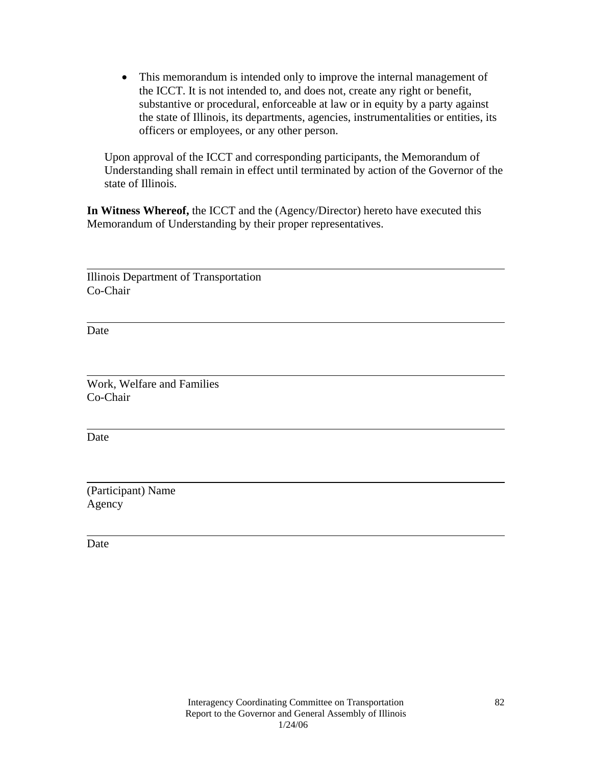• This memorandum is intended only to improve the internal management of the ICCT. It is not intended to, and does not, create any right or benefit, substantive or procedural, enforceable at law or in equity by a party against the state of Illinois, its departments, agencies, instrumentalities or entities, its officers or employees, or any other person.

Upon approval of the ICCT and corresponding participants, the Memorandum of Understanding shall remain in effect until terminated by action of the Governor of the state of Illinois.

**In Witness Whereof,** the ICCT and the (Agency/Director) hereto have executed this Memorandum of Understanding by their proper representatives.

Illinois Department of Transportation Co-Chair

Date

 $\overline{a}$ 

 $\overline{a}$ 

 $\overline{a}$ Work, Welfare and Families Co-Chair

Date

 $\overline{a}$ 

 $\overline{a}$ 

 $\overline{a}$ 

(Participant) Name Agency

Date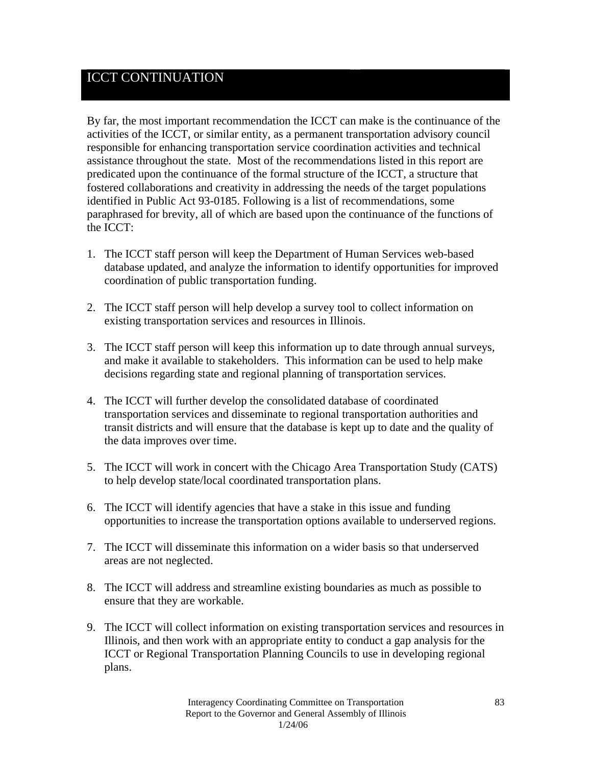## ICCT CONTINUATION

By far, the most important recommendation the ICCT can make is the continuance of the activities of the ICCT, or similar entity, as a permanent transportation advisory council responsible for enhancing transportation service coordination activities and technical assistance throughout the state. Most of the recommendations listed in this report are predicated upon the continuance of the formal structure of the ICCT, a structure that fostered collaborations and creativity in addressing the needs of the target populations identified in Public Act 93-0185. Following is a list of recommendations, some paraphrased for brevity, all of which are based upon the continuance of the functions of the ICCT:

- 1. The ICCT staff person will keep the Department of Human Services web-based database updated, and analyze the information to identify opportunities for improved coordination of public transportation funding.
- 2. The ICCT staff person will help develop a survey tool to collect information on existing transportation services and resources in Illinois.
- 3. The ICCT staff person will keep this information up to date through annual surveys, and make it available to stakeholders. This information can be used to help make decisions regarding state and regional planning of transportation services.
- 4. The ICCT will further develop the consolidated database of coordinated transportation services and disseminate to regional transportation authorities and transit districts and will ensure that the database is kept up to date and the quality of the data improves over time.
- 5. The ICCT will work in concert with the Chicago Area Transportation Study (CATS) to help develop state/local coordinated transportation plans.
- 6. The ICCT will identify agencies that have a stake in this issue and funding opportunities to increase the transportation options available to underserved regions.
- 7. The ICCT will disseminate this information on a wider basis so that underserved areas are not neglected.
- 8. The ICCT will address and streamline existing boundaries as much as possible to ensure that they are workable.
- 9. The ICCT will collect information on existing transportation services and resources in Illinois, and then work with an appropriate entity to conduct a gap analysis for the ICCT or Regional Transportation Planning Councils to use in developing regional plans.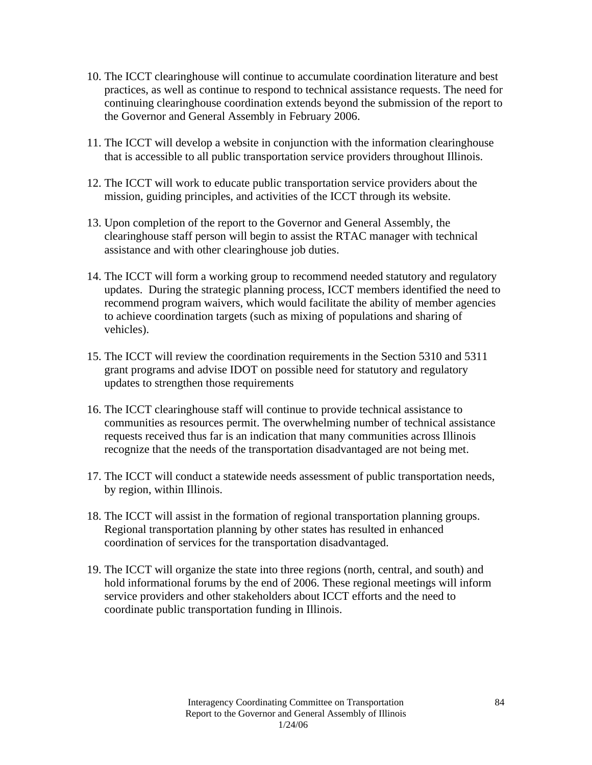- 10. The ICCT clearinghouse will continue to accumulate coordination literature and best practices, as well as continue to respond to technical assistance requests. The need for continuing clearinghouse coordination extends beyond the submission of the report to the Governor and General Assembly in February 2006.
- 11. The ICCT will develop a website in conjunction with the information clearinghouse that is accessible to all public transportation service providers throughout Illinois.
- 12. The ICCT will work to educate public transportation service providers about the mission, guiding principles, and activities of the ICCT through its website.
- 13. Upon completion of the report to the Governor and General Assembly, the clearinghouse staff person will begin to assist the RTAC manager with technical assistance and with other clearinghouse job duties.
- 14. The ICCT will form a working group to recommend needed statutory and regulatory updates. During the strategic planning process, ICCT members identified the need to recommend program waivers, which would facilitate the ability of member agencies to achieve coordination targets (such as mixing of populations and sharing of vehicles).
- 15. The ICCT will review the coordination requirements in the Section 5310 and 5311 grant programs and advise IDOT on possible need for statutory and regulatory updates to strengthen those requirements
- 16. The ICCT clearinghouse staff will continue to provide technical assistance to communities as resources permit. The overwhelming number of technical assistance requests received thus far is an indication that many communities across Illinois recognize that the needs of the transportation disadvantaged are not being met.
- 17. The ICCT will conduct a statewide needs assessment of public transportation needs, by region, within Illinois.
- 18. The ICCT will assist in the formation of regional transportation planning groups. Regional transportation planning by other states has resulted in enhanced coordination of services for the transportation disadvantaged.
- 19. The ICCT will organize the state into three regions (north, central, and south) and hold informational forums by the end of 2006. These regional meetings will inform service providers and other stakeholders about ICCT efforts and the need to coordinate public transportation funding in Illinois.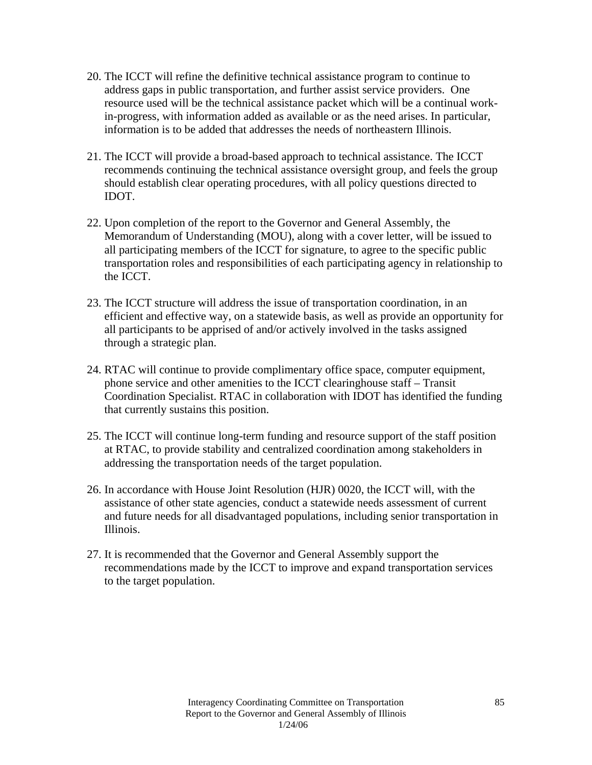- 20. The ICCT will refine the definitive technical assistance program to continue to address gaps in public transportation, and further assist service providers. One resource used will be the technical assistance packet which will be a continual workin-progress, with information added as available or as the need arises. In particular, information is to be added that addresses the needs of northeastern Illinois.
- 21. The ICCT will provide a broad-based approach to technical assistance. The ICCT recommends continuing the technical assistance oversight group, and feels the group should establish clear operating procedures, with all policy questions directed to IDOT.
- 22. Upon completion of the report to the Governor and General Assembly, the Memorandum of Understanding (MOU), along with a cover letter, will be issued to all participating members of the ICCT for signature, to agree to the specific public transportation roles and responsibilities of each participating agency in relationship to the ICCT.
- 23. The ICCT structure will address the issue of transportation coordination, in an efficient and effective way, on a statewide basis, as well as provide an opportunity for all participants to be apprised of and/or actively involved in the tasks assigned through a strategic plan.
- 24. RTAC will continue to provide complimentary office space, computer equipment, phone service and other amenities to the ICCT clearinghouse staff – Transit Coordination Specialist. RTAC in collaboration with IDOT has identified the funding that currently sustains this position.
- 25. The ICCT will continue long-term funding and resource support of the staff position at RTAC, to provide stability and centralized coordination among stakeholders in addressing the transportation needs of the target population.
- 26. In accordance with House Joint Resolution (HJR) 0020, the ICCT will, with the assistance of other state agencies, conduct a statewide needs assessment of current and future needs for all disadvantaged populations, including senior transportation in Illinois.
- 27. It is recommended that the Governor and General Assembly support the recommendations made by the ICCT to improve and expand transportation services to the target population.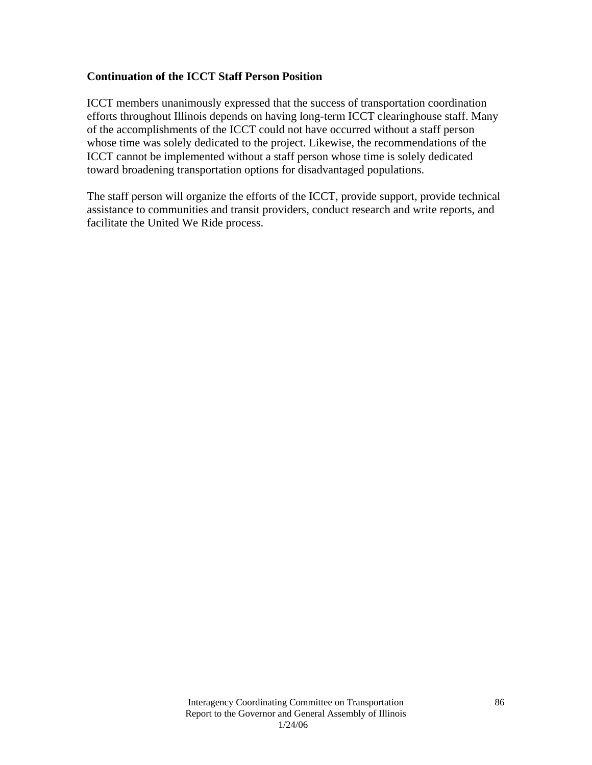### **Continuation of the ICCT Staff Person Position**

ICCT members unanimously expressed that the success of transportation coordination efforts throughout Illinois depends on having long-term ICCT clearinghouse staff. Many of the accomplishments of the ICCT could not have occurred without a staff person whose time was solely dedicated to the project. Likewise, the recommendations of the ICCT cannot be implemented without a staff person whose time is solely dedicated toward broadening transportation options for disadvantaged populations.

The staff person will organize the efforts of the ICCT, provide support, provide technical assistance to communities and transit providers, conduct research and write reports, and facilitate the United We Ride process.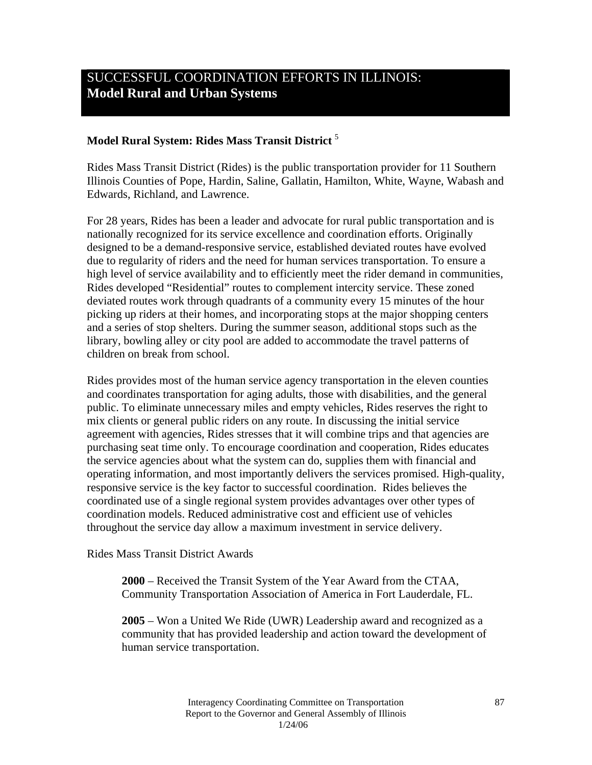### **Model Rural System: Rides Mass Transit District** <sup>5</sup>

Rides Mass Transit District (Rides) is the public transportation provider for 11 Southern Illinois Counties of Pope, Hardin, Saline, Gallatin, Hamilton, White, Wayne, Wabash and Edwards, Richland, and Lawrence.

For 28 years, Rides has been a leader and advocate for rural public transportation and is nationally recognized for its service excellence and coordination efforts. Originally designed to be a demand-responsive service, established deviated routes have evolved due to regularity of riders and the need for human services transportation. To ensure a high level of service availability and to efficiently meet the rider demand in communities, Rides developed "Residential" routes to complement intercity service. These zoned deviated routes work through quadrants of a community every 15 minutes of the hour picking up riders at their homes, and incorporating stops at the major shopping centers and a series of stop shelters. During the summer season, additional stops such as the library, bowling alley or city pool are added to accommodate the travel patterns of children on break from school.

Rides provides most of the human service agency transportation in the eleven counties and coordinates transportation for aging adults, those with disabilities, and the general public. To eliminate unnecessary miles and empty vehicles, Rides reserves the right to mix clients or general public riders on any route. In discussing the initial service agreement with agencies, Rides stresses that it will combine trips and that agencies are purchasing seat time only. To encourage coordination and cooperation, Rides educates the service agencies about what the system can do, supplies them with financial and operating information, and most importantly delivers the services promised. High-quality, responsive service is the key factor to successful coordination. Rides believes the coordinated use of a single regional system provides advantages over other types of coordination models. Reduced administrative cost and efficient use of vehicles throughout the service day allow a maximum investment in service delivery.

### Rides Mass Transit District Awards

**2000** – Received the Transit System of the Year Award from the CTAA, Community Transportation Association of America in Fort Lauderdale, FL.

**2005** – Won a United We Ride (UWR) Leadership award and recognized as a community that has provided leadership and action toward the development of human service transportation.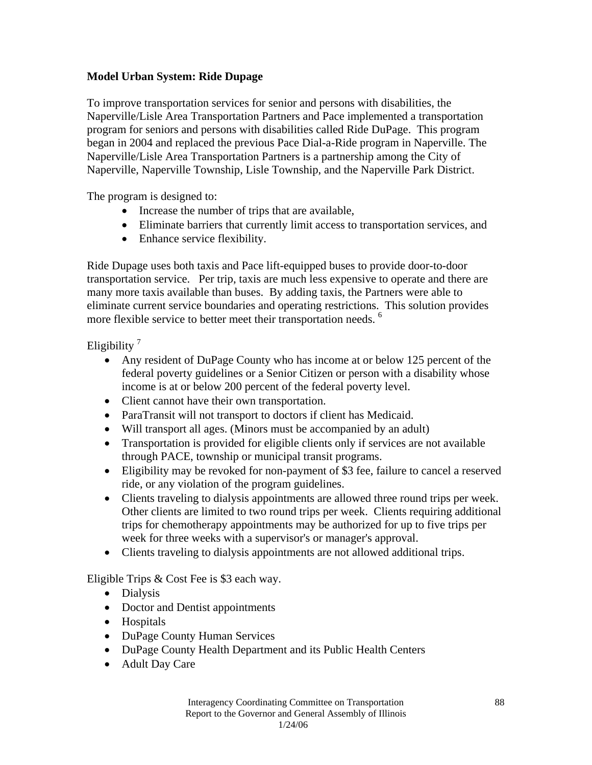### **Model Urban System: Ride Dupage**

To improve transportation services for senior and persons with disabilities, the Naperville/Lisle Area Transportation Partners and Pace implemented a transportation program for seniors and persons with disabilities called Ride DuPage. This program began in 2004 and replaced the previous Pace Dial-a-Ride program in Naperville. The Naperville/Lisle Area Transportation Partners is a partnership among the City of Naperville, Naperville Township, Lisle Township, and the Naperville Park District.

The program is designed to:

- Increase the number of trips that are available,
- Eliminate barriers that currently limit access to transportation services, and
- Enhance service flexibility.

Ride Dupage uses both taxis and Pace lift-equipped buses to provide door-to-door transportation service. Per trip, taxis are much less expensive to operate and there are many more taxis available than buses. By adding taxis, the Partners were able to eliminate current service boundaries and operating restrictions. This solution provides more flexible service to better meet their transportation needs.<sup>6</sup>

Eligibility<sup>7</sup>

- Any resident of DuPage County who has income at or below 125 percent of the federal poverty guidelines or a Senior Citizen or person with a disability whose income is at or below 200 percent of the federal poverty level.
- Client cannot have their own transportation.
- ParaTransit will not transport to doctors if client has Medicaid.
- Will transport all ages. (Minors must be accompanied by an adult)
- Transportation is provided for eligible clients only if services are not available through PACE, township or municipal transit programs.
- Eligibility may be revoked for non-payment of \$3 fee, failure to cancel a reserved ride, or any violation of the program guidelines.
- Clients traveling to dialysis appointments are allowed three round trips per week. Other clients are limited to two round trips per week. Clients requiring additional trips for chemotherapy appointments may be authorized for up to five trips per week for three weeks with a supervisor's or manager's approval.
- Clients traveling to dialysis appointments are not allowed additional trips.

Eligible Trips & Cost Fee is \$3 each way.

- Dialysis
- Doctor and Dentist appointments
- Hospitals
- DuPage County Human Services
- DuPage County Health Department and its Public Health Centers
- Adult Day Care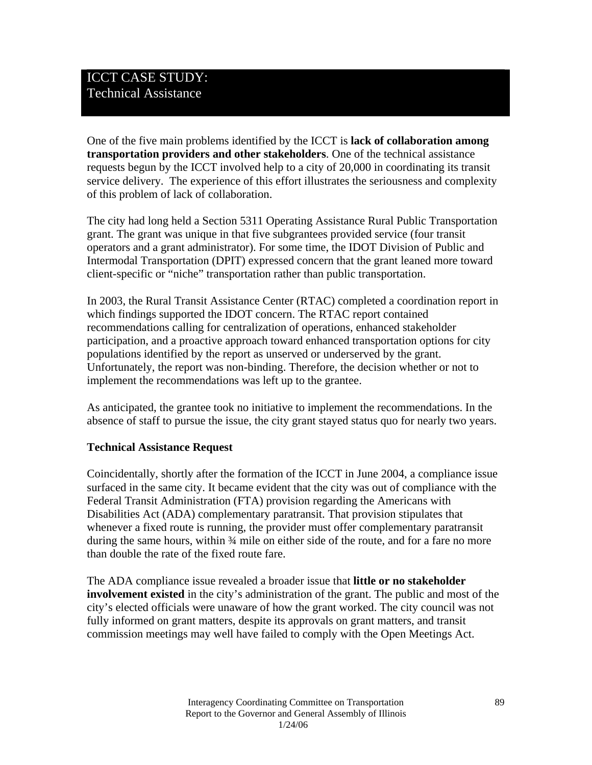One of the five main problems identified by the ICCT is **lack of collaboration among transportation providers and other stakeholders**. One of the technical assistance requests begun by the ICCT involved help to a city of 20,000 in coordinating its transit service delivery. The experience of this effort illustrates the seriousness and complexity of this problem of lack of collaboration.

The city had long held a Section 5311 Operating Assistance Rural Public Transportation grant. The grant was unique in that five subgrantees provided service (four transit operators and a grant administrator). For some time, the IDOT Division of Public and Intermodal Transportation (DPIT) expressed concern that the grant leaned more toward client-specific or "niche" transportation rather than public transportation.

In 2003, the Rural Transit Assistance Center (RTAC) completed a coordination report in which findings supported the IDOT concern. The RTAC report contained recommendations calling for centralization of operations, enhanced stakeholder participation, and a proactive approach toward enhanced transportation options for city populations identified by the report as unserved or underserved by the grant. Unfortunately, the report was non-binding. Therefore, the decision whether or not to implement the recommendations was left up to the grantee.

As anticipated, the grantee took no initiative to implement the recommendations. In the absence of staff to pursue the issue, the city grant stayed status quo for nearly two years.

### **Technical Assistance Request**

Coincidentally, shortly after the formation of the ICCT in June 2004, a compliance issue surfaced in the same city. It became evident that the city was out of compliance with the Federal Transit Administration (FTA) provision regarding the Americans with Disabilities Act (ADA) complementary paratransit. That provision stipulates that whenever a fixed route is running, the provider must offer complementary paratransit during the same hours, within ¾ mile on either side of the route, and for a fare no more than double the rate of the fixed route fare.

The ADA compliance issue revealed a broader issue that **little or no stakeholder involvement existed** in the city's administration of the grant. The public and most of the city's elected officials were unaware of how the grant worked. The city council was not fully informed on grant matters, despite its approvals on grant matters, and transit commission meetings may well have failed to comply with the Open Meetings Act.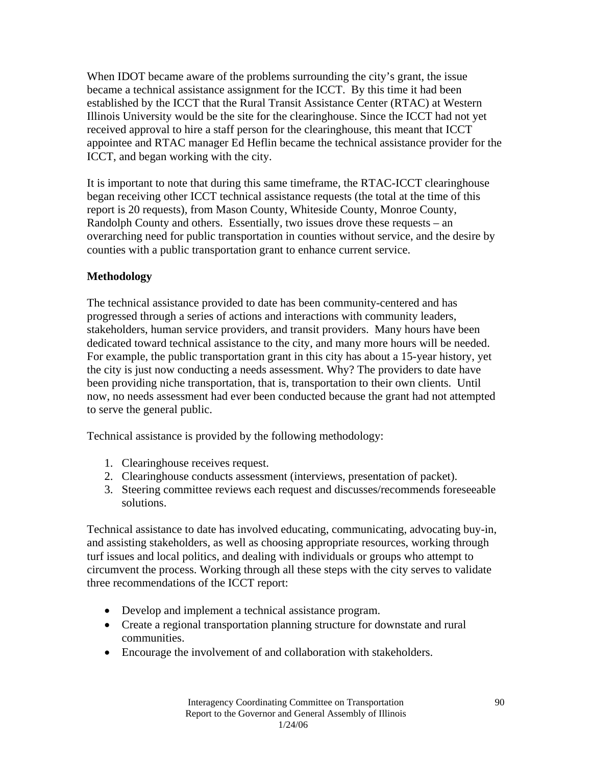When IDOT became aware of the problems surrounding the city's grant, the issue became a technical assistance assignment for the ICCT. By this time it had been established by the ICCT that the Rural Transit Assistance Center (RTAC) at Western Illinois University would be the site for the clearinghouse. Since the ICCT had not yet received approval to hire a staff person for the clearinghouse, this meant that ICCT appointee and RTAC manager Ed Heflin became the technical assistance provider for the ICCT, and began working with the city.

It is important to note that during this same timeframe, the RTAC-ICCT clearinghouse began receiving other ICCT technical assistance requests (the total at the time of this report is 20 requests), from Mason County, Whiteside County, Monroe County, Randolph County and others. Essentially, two issues drove these requests – an overarching need for public transportation in counties without service, and the desire by counties with a public transportation grant to enhance current service.

### **Methodology**

The technical assistance provided to date has been community-centered and has progressed through a series of actions and interactions with community leaders, stakeholders, human service providers, and transit providers. Many hours have been dedicated toward technical assistance to the city, and many more hours will be needed. For example, the public transportation grant in this city has about a 15-year history, yet the city is just now conducting a needs assessment. Why? The providers to date have been providing niche transportation, that is, transportation to their own clients. Until now, no needs assessment had ever been conducted because the grant had not attempted to serve the general public.

Technical assistance is provided by the following methodology:

- 1. Clearinghouse receives request.
- 2. Clearinghouse conducts assessment (interviews, presentation of packet).
- 3. Steering committee reviews each request and discusses/recommends foreseeable solutions.

Technical assistance to date has involved educating, communicating, advocating buy-in, and assisting stakeholders, as well as choosing appropriate resources, working through turf issues and local politics, and dealing with individuals or groups who attempt to circumvent the process. Working through all these steps with the city serves to validate three recommendations of the ICCT report:

- Develop and implement a technical assistance program.
- Create a regional transportation planning structure for downstate and rural communities.
- Encourage the involvement of and collaboration with stakeholders.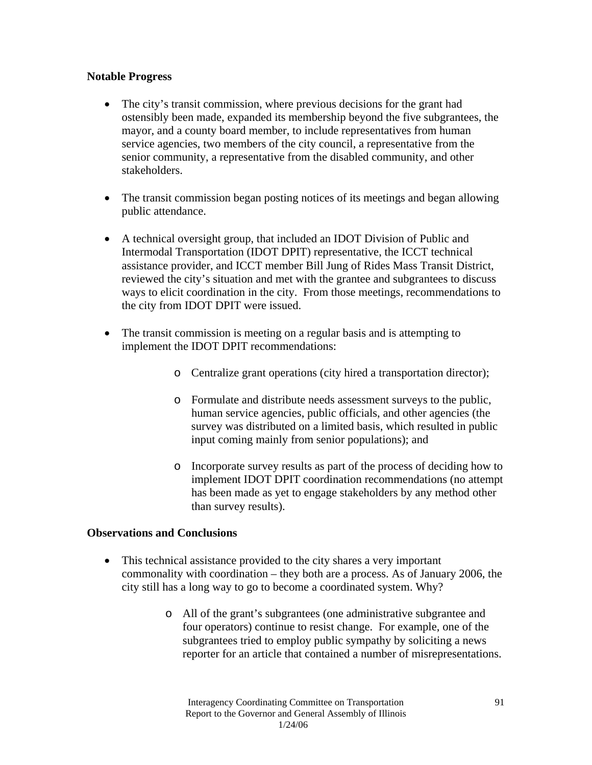### **Notable Progress**

- The city's transit commission, where previous decisions for the grant had ostensibly been made, expanded its membership beyond the five subgrantees, the mayor, and a county board member, to include representatives from human service agencies, two members of the city council, a representative from the senior community, a representative from the disabled community, and other stakeholders.
- The transit commission began posting notices of its meetings and began allowing public attendance.
- A technical oversight group, that included an IDOT Division of Public and Intermodal Transportation (IDOT DPIT) representative, the ICCT technical assistance provider, and ICCT member Bill Jung of Rides Mass Transit District, reviewed the city's situation and met with the grantee and subgrantees to discuss ways to elicit coordination in the city. From those meetings, recommendations to the city from IDOT DPIT were issued.
- The transit commission is meeting on a regular basis and is attempting to implement the IDOT DPIT recommendations:
	- o Centralize grant operations (city hired a transportation director);
	- o Formulate and distribute needs assessment surveys to the public, human service agencies, public officials, and other agencies (the survey was distributed on a limited basis, which resulted in public input coming mainly from senior populations); and
	- o Incorporate survey results as part of the process of deciding how to implement IDOT DPIT coordination recommendations (no attempt has been made as yet to engage stakeholders by any method other than survey results).

### **Observations and Conclusions**

- This technical assistance provided to the city shares a very important commonality with coordination – they both are a process. As of January 2006, the city still has a long way to go to become a coordinated system. Why?
	- o All of the grant's subgrantees (one administrative subgrantee and four operators) continue to resist change. For example, one of the subgrantees tried to employ public sympathy by soliciting a news reporter for an article that contained a number of misrepresentations.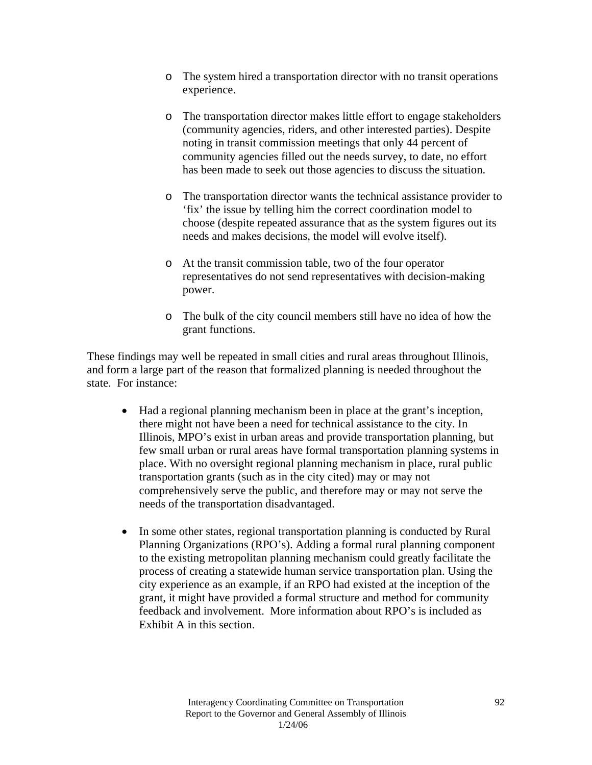- o The system hired a transportation director with no transit operations experience.
- o The transportation director makes little effort to engage stakeholders (community agencies, riders, and other interested parties). Despite noting in transit commission meetings that only 44 percent of community agencies filled out the needs survey, to date, no effort has been made to seek out those agencies to discuss the situation.
- o The transportation director wants the technical assistance provider to 'fix' the issue by telling him the correct coordination model to choose (despite repeated assurance that as the system figures out its needs and makes decisions, the model will evolve itself).
- o At the transit commission table, two of the four operator representatives do not send representatives with decision-making power.
- o The bulk of the city council members still have no idea of how the grant functions.

These findings may well be repeated in small cities and rural areas throughout Illinois, and form a large part of the reason that formalized planning is needed throughout the state. For instance:

- Had a regional planning mechanism been in place at the grant's inception, there might not have been a need for technical assistance to the city. In Illinois, MPO's exist in urban areas and provide transportation planning, but few small urban or rural areas have formal transportation planning systems in place. With no oversight regional planning mechanism in place, rural public transportation grants (such as in the city cited) may or may not comprehensively serve the public, and therefore may or may not serve the needs of the transportation disadvantaged.
- In some other states, regional transportation planning is conducted by Rural Planning Organizations (RPO's). Adding a formal rural planning component to the existing metropolitan planning mechanism could greatly facilitate the process of creating a statewide human service transportation plan. Using the city experience as an example, if an RPO had existed at the inception of the grant, it might have provided a formal structure and method for community feedback and involvement. More information about RPO's is included as Exhibit A in this section.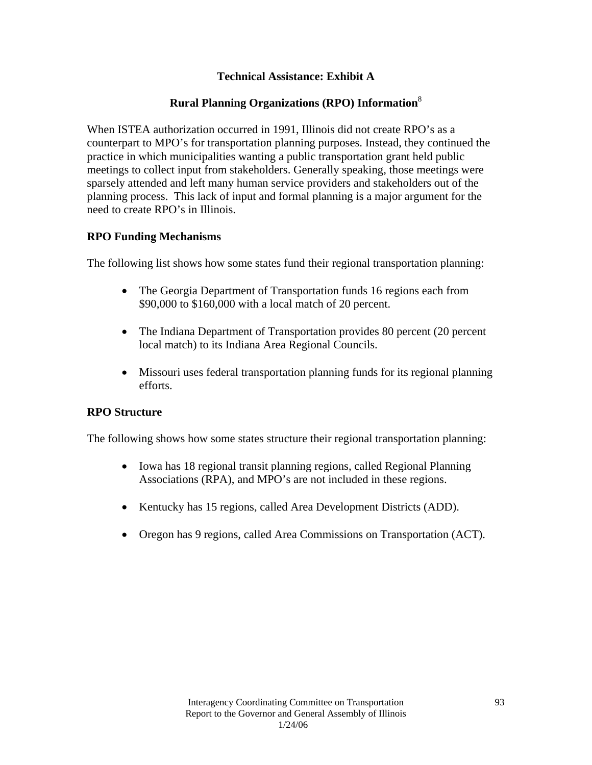### **Technical Assistance: Exhibit A**

### **Rural Planning Organizations (RPO) Information**<sup>8</sup>

When ISTEA authorization occurred in 1991, Illinois did not create RPO's as a counterpart to MPO's for transportation planning purposes. Instead, they continued the practice in which municipalities wanting a public transportation grant held public meetings to collect input from stakeholders. Generally speaking, those meetings were sparsely attended and left many human service providers and stakeholders out of the planning process. This lack of input and formal planning is a major argument for the need to create RPO's in Illinois.

### **RPO Funding Mechanisms**

The following list shows how some states fund their regional transportation planning:

- The Georgia Department of Transportation funds 16 regions each from \$90,000 to \$160,000 with a local match of 20 percent.
- The Indiana Department of Transportation provides 80 percent (20 percent local match) to its Indiana Area Regional Councils.
- Missouri uses federal transportation planning funds for its regional planning efforts.

### **RPO Structure**

The following shows how some states structure their regional transportation planning:

- Iowa has 18 regional transit planning regions, called Regional Planning Associations (RPA), and MPO's are not included in these regions.
- Kentucky has 15 regions, called Area Development Districts (ADD).
- Oregon has 9 regions, called Area Commissions on Transportation (ACT).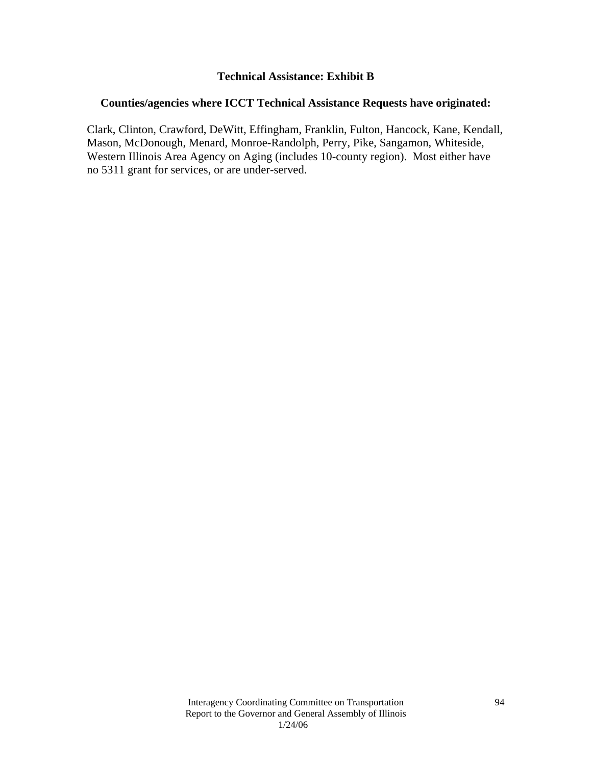### **Technical Assistance: Exhibit B**

### **Counties/agencies where ICCT Technical Assistance Requests have originated:**

Clark, Clinton, Crawford, DeWitt, Effingham, Franklin, Fulton, Hancock, Kane, Kendall, Mason, McDonough, Menard, Monroe-Randolph, Perry, Pike, Sangamon, Whiteside, Western Illinois Area Agency on Aging (includes 10-county region). Most either have no 5311 grant for services, or are under-served.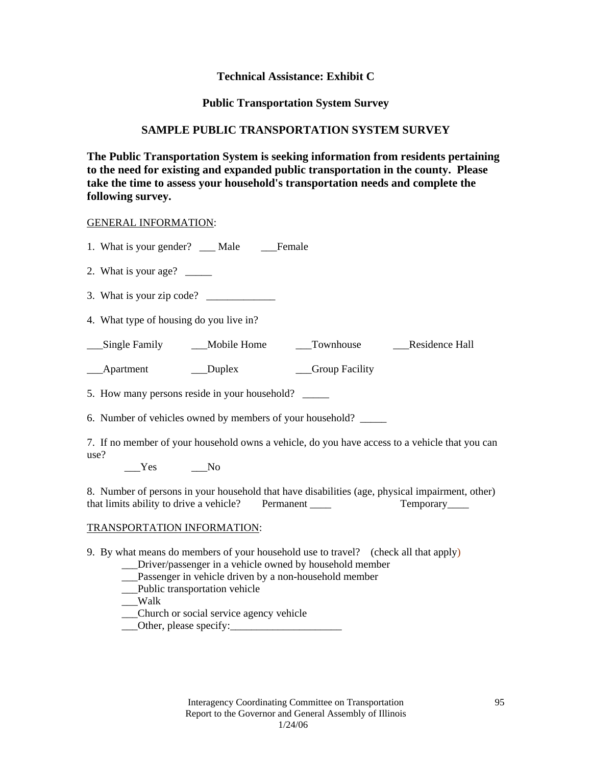### **Technical Assistance: Exhibit C**

### **Public Transportation System Survey**

### **SAMPLE PUBLIC TRANSPORTATION SYSTEM SURVEY**

**The Public Transportation System is seeking information from residents pertaining to the need for existing and expanded public transportation in the county. Please take the time to assess your household's transportation needs and complete the following survey.** 

### GENERAL INFORMATION:

| 1. What is your gender? __ Male _____Female                                                                                                                                                                                                                                                            |  |  |  |  |  |
|--------------------------------------------------------------------------------------------------------------------------------------------------------------------------------------------------------------------------------------------------------------------------------------------------------|--|--|--|--|--|
| 2. What is your age? $\_\_$                                                                                                                                                                                                                                                                            |  |  |  |  |  |
|                                                                                                                                                                                                                                                                                                        |  |  |  |  |  |
| 4. What type of housing do you live in?                                                                                                                                                                                                                                                                |  |  |  |  |  |
| __Single Family ______Mobile Home _______Townhouse _________Residence Hall                                                                                                                                                                                                                             |  |  |  |  |  |
| ____Apartment ____________Duplex ___________Group Facility                                                                                                                                                                                                                                             |  |  |  |  |  |
| 5. How many persons reside in your household?                                                                                                                                                                                                                                                          |  |  |  |  |  |
| 6. Number of vehicles owned by members of your household?                                                                                                                                                                                                                                              |  |  |  |  |  |
| 7. If no member of your household owns a vehicle, do you have access to a vehicle that you can<br>use?<br>$Yes$ No                                                                                                                                                                                     |  |  |  |  |  |
| 8. Number of persons in your household that have disabilities (age, physical impairment, other)<br>that limits ability to drive a vehicle? Permanent ______<br>Temporary____                                                                                                                           |  |  |  |  |  |
| TRANSPORTATION INFORMATION:                                                                                                                                                                                                                                                                            |  |  |  |  |  |
| 9. By what means do members of your household use to travel? (check all that apply)<br>__Driver/passenger in a vehicle owned by household member<br>__Passenger in vehicle driven by a non-household member<br>_Public transportation vehicle<br>__Walk<br>____Church or social service agency vehicle |  |  |  |  |  |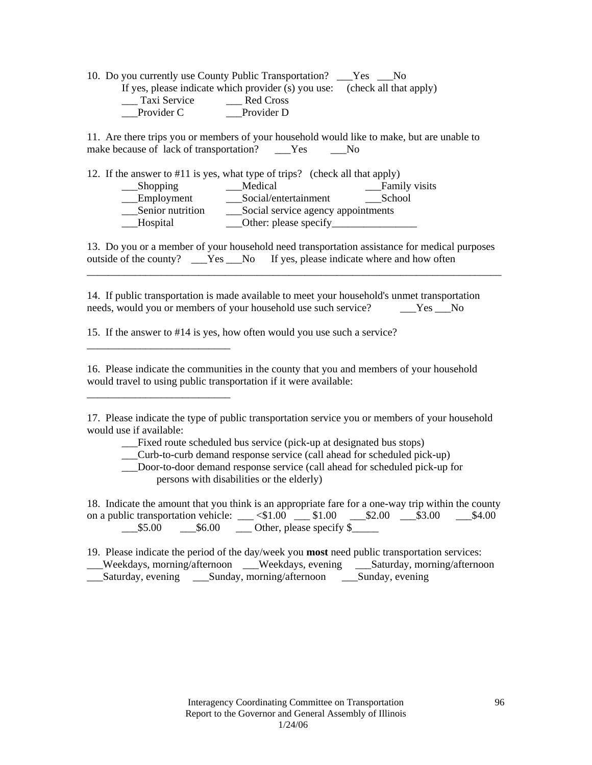10. Do you currently use County Public Transportation? \_\_\_Yes \_\_\_No If yes, please indicate which provider (s) you use: (check all that apply) \_\_\_ Taxi Service \_\_\_ Red Cross \_\_\_Provider C \_\_\_Provider D

11. Are there trips you or members of your household would like to make, but are unable to make because of lack of transportation? \_\_\_Yes \_\_\_No

| 12. If the answer to #11 is yes, what type of trips? (check all that apply) |                                    |  |               |  |
|-----------------------------------------------------------------------------|------------------------------------|--|---------------|--|
| $\_\_$ Shopping                                                             | Medical                            |  | Family visits |  |
| _Employment                                                                 | Social/entertainment               |  | School        |  |
| Senior nutrition                                                            | Social service agency appointments |  |               |  |
| _Hospital                                                                   | Other: please specify              |  |               |  |

13. Do you or a member of your household need transportation assistance for medical purposes outside of the county? \_\_\_Yes \_\_No If yes, please indicate where and how often

\_\_\_\_\_\_\_\_\_\_\_\_\_\_\_\_\_\_\_\_\_\_\_\_\_\_\_\_\_\_\_\_\_\_\_\_\_\_\_\_\_\_\_\_\_\_\_\_\_\_\_\_\_\_\_\_\_\_\_\_\_\_\_\_\_\_\_\_\_\_\_\_\_\_\_\_\_\_

14. If public transportation is made available to meet your household's unmet transportation needs, would you or members of your household use such service? The Society of the No

15. If the answer to #14 is yes, how often would you use such a service?

\_\_\_\_\_\_\_\_\_\_\_\_\_\_\_\_\_\_\_\_\_\_\_\_\_\_\_

\_\_\_\_\_\_\_\_\_\_\_\_\_\_\_\_\_\_\_\_\_\_\_\_\_\_\_

16. Please indicate the communities in the county that you and members of your household would travel to using public transportation if it were available:

17. Please indicate the type of public transportation service you or members of your household would use if available:

\_\_\_Fixed route scheduled bus service (pick-up at designated bus stops)

\_\_\_Curb-to-curb demand response service (call ahead for scheduled pick-up)

 \_\_\_Door-to-door demand response service (call ahead for scheduled pick-up for persons with disabilities or the elderly)

18. Indicate the amount that you think is an appropriate fare for a one-way trip within the county on a public transportation vehicle: \_\_\_ <\$1.00 \_\_\_ \$1.00 \_\_\_ \$2.00 \_\_\_ \$3.00 \_\_\_ \$4.00  $\text{\textsterling}5.00$   $\text{\textsterling}6.00$   $\text{\textsterling}6.00$   $\text{\textsterling}6.00$   $\text{\textsterling}6.00$   $\text{\textsterling}6.00$   $\text{\textsterling}7.00$   $\text{\textsterling}7.00$   $\text{\textsterling}7.00$   $\text{\textsterling}7.00$   $\text{\textsterling}7.00$   $\text{\textsterling}7.00$   $\text{\textsterling}7.00$   $\text{\textsterling}7.00$   $\text{\textsterling}7.00$   $\text{\textsterling}7.0$ 

19. Please indicate the period of the day/week you **most** need public transportation services: \_\_\_Weekdays, morning/afternoon \_\_\_Weekdays, evening \_\_\_Saturday, morning/afternoon \_\_\_Saturday, evening \_\_\_Sunday, morning/afternoon \_\_\_Sunday, evening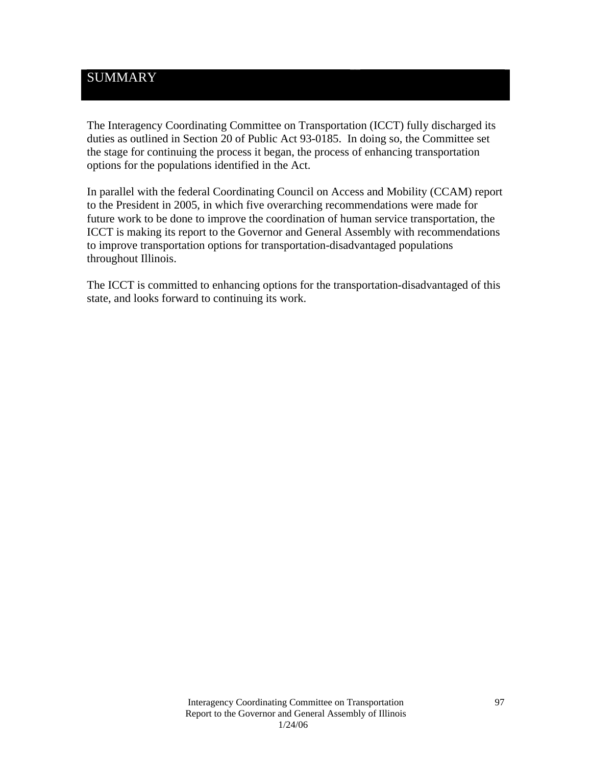## **SUMMARY**

The Interagency Coordinating Committee on Transportation (ICCT) fully discharged its duties as outlined in Section 20 of Public Act 93-0185. In doing so, the Committee set the stage for continuing the process it began, the process of enhancing transportation options for the populations identified in the Act.

In parallel with the federal Coordinating Council on Access and Mobility (CCAM) report to the President in 2005, in which five overarching recommendations were made for future work to be done to improve the coordination of human service transportation, the ICCT is making its report to the Governor and General Assembly with recommendations to improve transportation options for transportation-disadvantaged populations throughout Illinois.

The ICCT is committed to enhancing options for the transportation-disadvantaged of this state, and looks forward to continuing its work.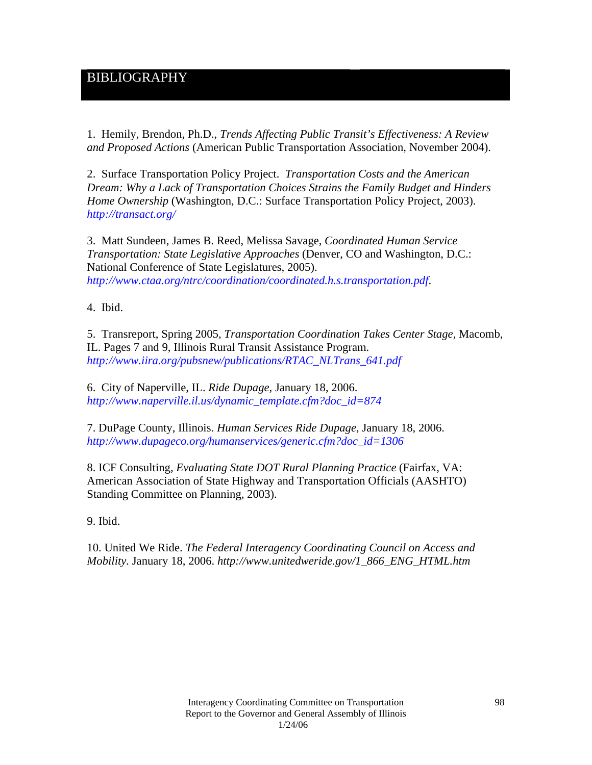## BIBLIOGRAPHY

1. Hemily, Brendon, Ph.D., *Trends Affecting Public Transit's Effectiveness: A Review and Proposed Actions* (American Public Transportation Association, November 2004).

2. Surface Transportation Policy Project. *Transportation Costs and the American Dream: Why a Lack of Transportation Choices Strains the Family Budget and Hinders Home Ownership* (Washington, D.C.: Surface Transportation Policy Project, 2003). *http://transact.org/*

3. Matt Sundeen, James B. Reed, Melissa Savage, *Coordinated Human Service Transportation: State Legislative Approaches* (Denver, CO and Washington, D.C.: National Conference of State Legislatures, 2005). *http://www.ctaa.org/ntrc/coordination/coordinated.h.s.transportation.pdf*.

4. Ibid.

5. Transreport, Spring 2005, *Transportation Coordination Takes Center Stage,* Macomb, IL. Pages 7 and 9, Illinois Rural Transit Assistance Program. *http://www.iira.org/pubsnew/publications/RTAC\_NLTrans\_641.pdf*

6. City of Naperville, IL. *Ride Dupage,* January 18, 2006. *http://www.naperville.il.us/dynamic\_template.cfm?doc\_id=874*

7. DuPage County, Illinois. *Human Services Ride Dupage*, January 18, 2006. *http://www.dupageco.org/humanservices/generic.cfm?doc\_id=1306*

8. ICF Consulting, *Evaluating State DOT Rural Planning Practice* (Fairfax, VA: American Association of State Highway and Transportation Officials (AASHTO) Standing Committee on Planning, 2003).

9. Ibid.

10. United We Ride. *The Federal Interagency Coordinating Council on Access and Mobility.* January 18, 2006. *http://www.unitedweride.gov/1\_866\_ENG\_HTML.htm*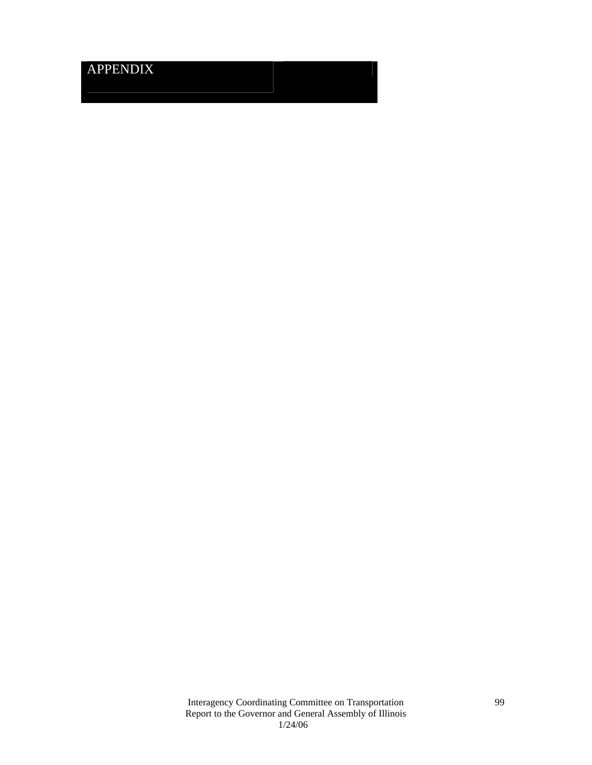# APPENDIX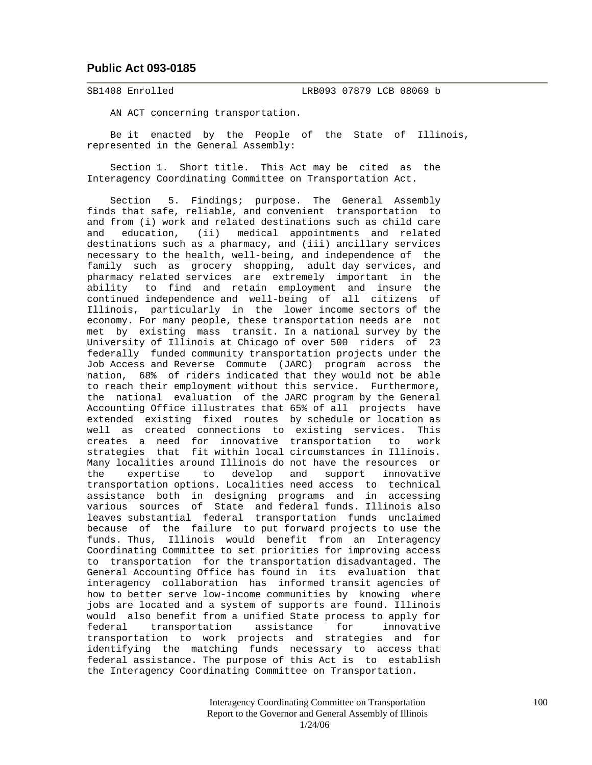#### **Public Act 093-0185**

SB1408 Enrolled LRB093 07879 LCB 08069 b

AN ACT concerning transportation.

 Be it enacted by the People of the State of Illinois, represented in the General Assembly:

 Section 1. Short title. This Act may be cited as the Interagency Coordinating Committee on Transportation Act.

 Section 5. Findings; purpose. The General Assembly finds that safe, reliable, and convenient transportation to and from (i) work and related destinations such as child care and education, (ii) medical appointments and related destinations such as a pharmacy, and (iii) ancillary services necessary to the health, well-being, and independence of the family such as grocery shopping, adult day services, and pharmacy related services are extremely important in the ability to find and retain employment and insure the continued independence and well-being of all citizens of Illinois, particularly in the lower income sectors of the economy. For many people, these transportation needs are not met by existing mass transit. In a national survey by the University of Illinois at Chicago of over 500 riders of 23 federally funded community transportation projects under the Job Access and Reverse Commute (JARC) program across the nation, 68% of riders indicated that they would not be able to reach their employment without this service. Furthermore, the national evaluation of the JARC program by the General Accounting Office illustrates that 65% of all projects have extended existing fixed routes by schedule or location as well as created connections to existing services. This creates a need for innovative transportation to work strategies that fit within local circumstances in Illinois. Many localities around Illinois do not have the resources or the expertise to develop and support innovative transportation options. Localities need access to technical assistance both in designing programs and in accessing various sources of State and federal funds. Illinois also leaves substantial federal transportation funds unclaimed because of the failure to put forward projects to use the funds. Thus, Illinois would benefit from an Interagency Coordinating Committee to set priorities for improving access to transportation for the transportation disadvantaged. The General Accounting Office has found in its evaluation that interagency collaboration has informed transit agencies of how to better serve low-income communities by knowing where jobs are located and a system of supports are found. Illinois would also benefit from a unified State process to apply for federal transportation assistance for innovative transportation to work projects and strategies and for identifying the matching funds necessary to access that federal assistance. The purpose of this Act is to establish the Interagency Coordinating Committee on Transportation.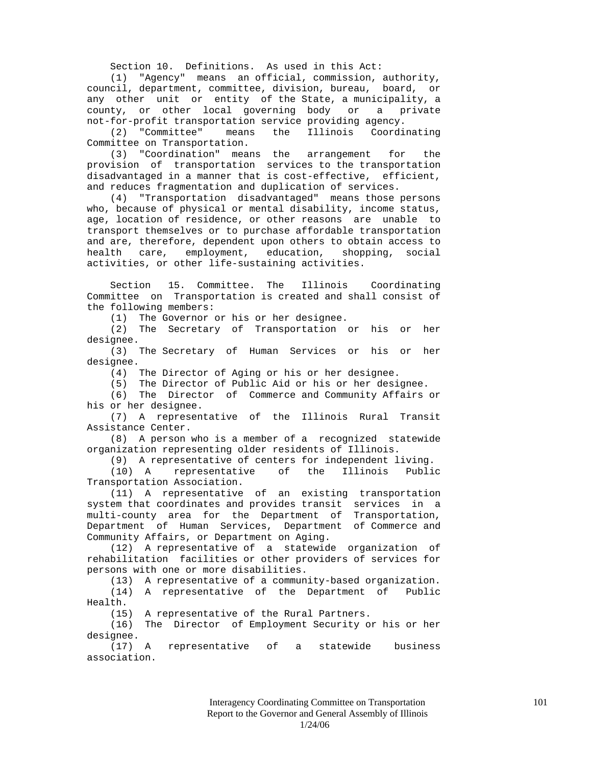Section 10. Definitions. As used in this Act:

 (1) "Agency" means an official, commission, authority, council, department, committee, division, bureau, board, or any other unit or entity of the State, a municipality, a county, or other local governing body or a private not-for-profit transportation service providing agency.

 (2) "Committee" means the Illinois Coordinating Committee on Transportation.

 (3) "Coordination" means the arrangement for the provision of transportation services to the transportation disadvantaged in a manner that is cost-effective, efficient, and reduces fragmentation and duplication of services.

 (4) "Transportation disadvantaged" means those persons who, because of physical or mental disability, income status, age, location of residence, or other reasons are unable to transport themselves or to purchase affordable transportation and are, therefore, dependent upon others to obtain access to health care, employment, education, shopping, social activities, or other life-sustaining activities.

 Section 15. Committee. The Illinois Coordinating Committee on Transportation is created and shall consist of the following members:

(1) The Governor or his or her designee.

 (2) The Secretary of Transportation or his or her designee.

 (3) The Secretary of Human Services or his or her designee.

(4) The Director of Aging or his or her designee.

(5) The Director of Public Aid or his or her designee.

 (6) The Director of Commerce and Community Affairs or his or her designee.

 (7) A representative of the Illinois Rural Transit Assistance Center.

 (8) A person who is a member of a recognized statewide organization representing older residents of Illinois.

(9) A representative of centers for independent living.

 (10) A representative of the Illinois Public Transportation Association.

 (11) A representative of an existing transportation system that coordinates and provides transit services in a multi-county area for the Department of Transportation, Department of Human Services, Department of Commerce and Community Affairs, or Department on Aging.

 (12) A representative of a statewide organization of rehabilitation facilities or other providers of services for persons with one or more disabilities.

(13) A representative of a community-based organization.

 (14) A representative of the Department of Public Health.

(15) A representative of the Rural Partners.

 (16) The Director of Employment Security or his or her designee.

 (17) A representative of a statewide business association.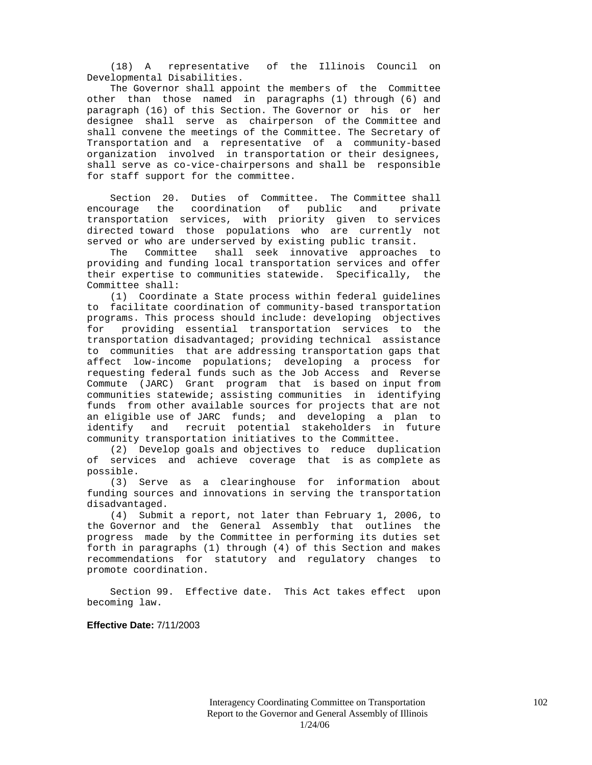(18) A representative of the Illinois Council on Developmental Disabilities.

 The Governor shall appoint the members of the Committee other than those named in paragraphs (1) through (6) and paragraph (16) of this Section. The Governor or his or her designee shall serve as chairperson of the Committee and shall convene the meetings of the Committee. The Secretary of Transportation and a representative of a community-based organization involved in transportation or their designees, shall serve as co-vice-chairpersons and shall be responsible for staff support for the committee.

 Section 20. Duties of Committee. The Committee shall encourage the coordination of public and private transportation services, with priority given to services directed toward those populations who are currently not served or who are underserved by existing public transit.

 The Committee shall seek innovative approaches to providing and funding local transportation services and offer their expertise to communities statewide. Specifically, the Committee shall:

 (1) Coordinate a State process within federal guidelines to facilitate coordination of community-based transportation programs. This process should include: developing objectives for providing essential transportation services to the transportation disadvantaged; providing technical assistance to communities that are addressing transportation gaps that affect low-income populations; developing a process for requesting federal funds such as the Job Access and Reverse Commute (JARC) Grant program that is based on input from communities statewide; assisting communities in identifying funds from other available sources for projects that are not an eligible use of JARC funds; and developing a plan to identify and recruit potential stakeholders in future community transportation initiatives to the Committee.

 (2) Develop goals and objectives to reduce duplication of services and achieve coverage that is as complete as possible.

 (3) Serve as a clearinghouse for information about funding sources and innovations in serving the transportation disadvantaged.

 (4) Submit a report, not later than February 1, 2006, to the Governor and the General Assembly that outlines the progress made by the Committee in performing its duties set forth in paragraphs (1) through (4) of this Section and makes recommendations for statutory and regulatory changes to promote coordination.

 Section 99. Effective date. This Act takes effect upon becoming law.

**Effective Date:** 7/11/2003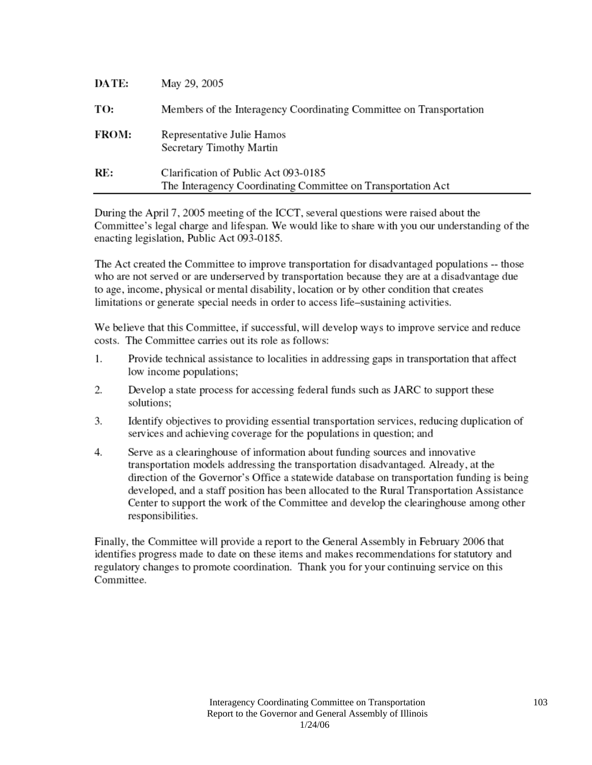| DATE:        | May 29, 2005                                                                                         |
|--------------|------------------------------------------------------------------------------------------------------|
| TO:          | Members of the Interagency Coordinating Committee on Transportation                                  |
| <b>FROM:</b> | Representative Julie Hamos<br>Secretary Timothy Martin                                               |
| RE:          | Clarification of Public Act 093-0185<br>The Interagency Coordinating Committee on Transportation Act |

During the April 7, 2005 meeting of the ICCT, several questions were raised about the Committee's legal charge and lifespan. We would like to share with you our understanding of the enacting legislation, Public Act 093-0185.

The Act created the Committee to improve transportation for disadvantaged populations -- those who are not served or are underserved by transportation because they are at a disadvantage due to age, income, physical or mental disability, location or by other condition that creates limitations or generate special needs in order to access life-sustaining activities.

We believe that this Committee, if successful, will develop ways to improve service and reduce costs. The Committee carries out its role as follows:

- $1<sub>1</sub>$ Provide technical assistance to localities in addressing gaps in transportation that affect low income populations;
- $2.$ Develop a state process for accessing federal funds such as JARC to support these solutions:
- 3. Identify objectives to providing essential transportation services, reducing duplication of services and achieving coverage for the populations in question; and
- $4.$ Serve as a clearinghouse of information about funding sources and innovative transportation models addressing the transportation disadvantaged. Already, at the direction of the Governor's Office a statewide database on transportation funding is being developed, and a staff position has been allocated to the Rural Transportation Assistance Center to support the work of the Committee and develop the clearinghouse among other responsibilities.

Finally, the Committee will provide a report to the General Assembly in February 2006 that identifies progress made to date on these items and makes recommendations for statutory and regulatory changes to promote coordination. Thank you for your continuing service on this Committee.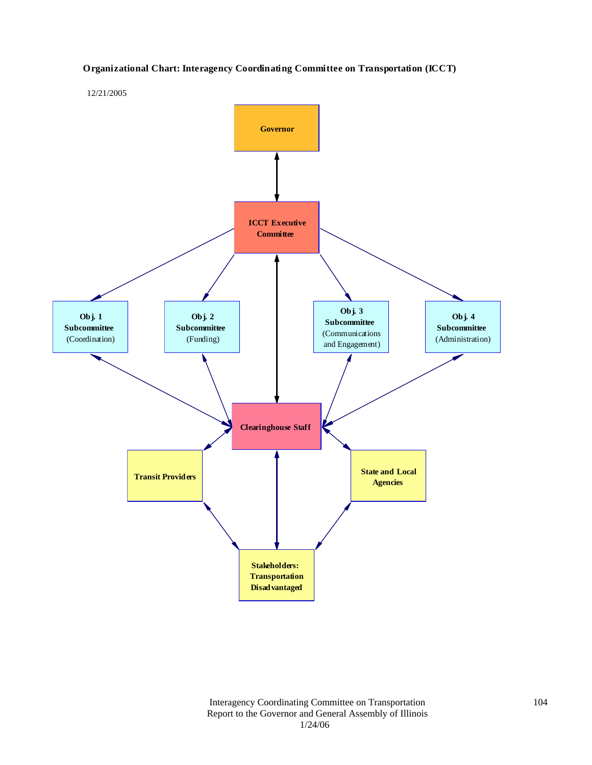#### **Organizational Chart: Interagency Coordinating Committee on Transportation (ICCT)**



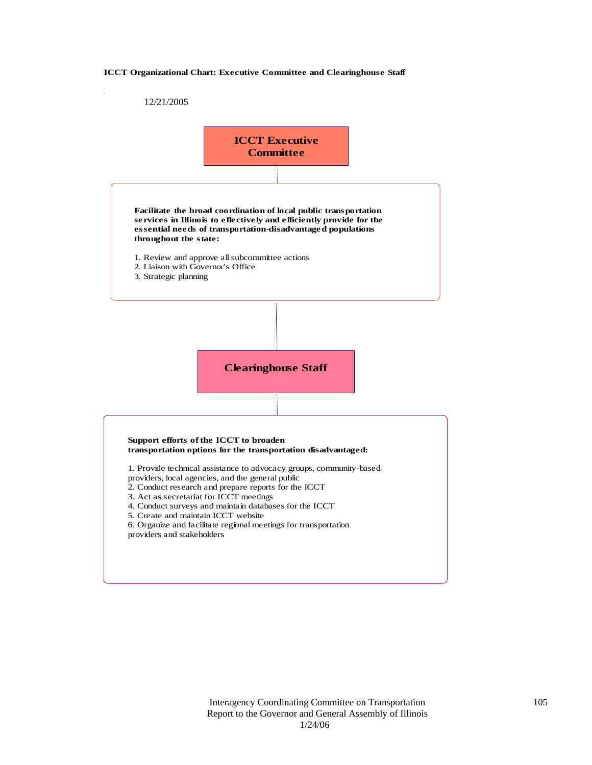#### **ICCT Organizational Chart: Executive Committee and Clearinghouse Staff**

#### 12/21/2005

Draft 10/4/05

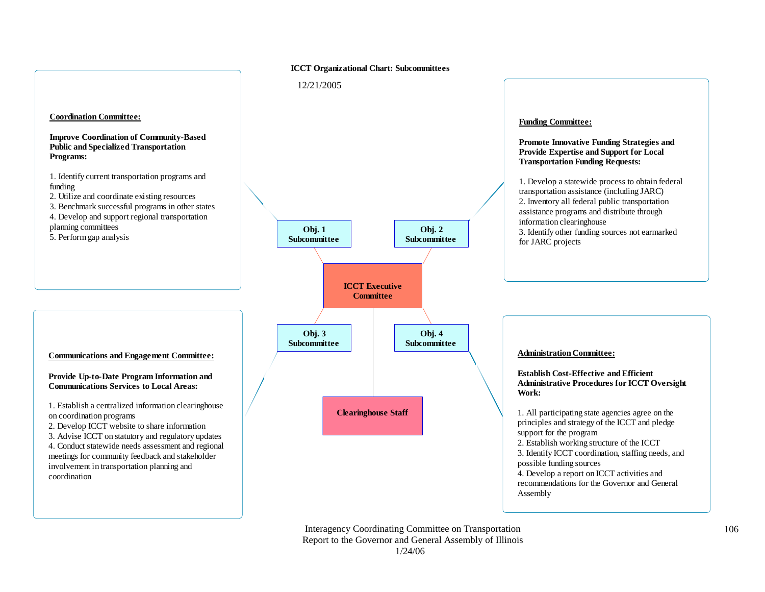#### **ICCT Organizational Chart: Subcommittees**

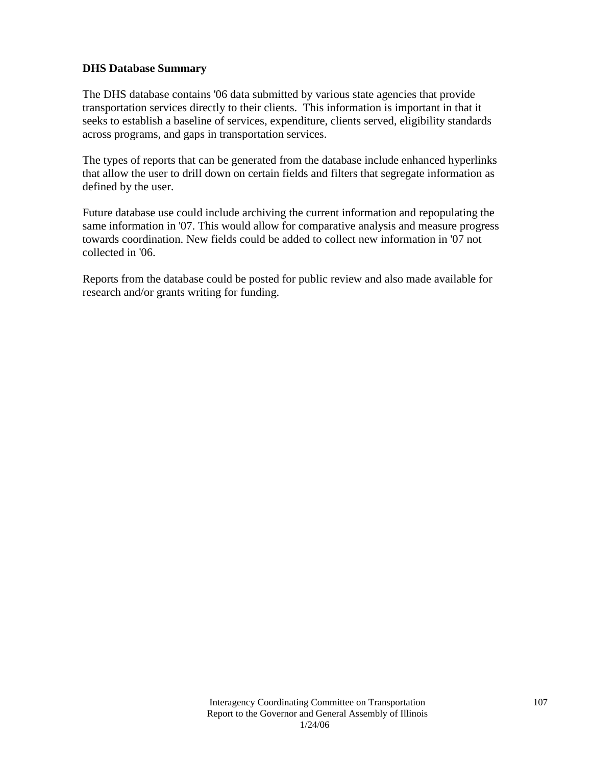### **DHS Database Summary**

The DHS database contains '06 data submitted by various state agencies that provide transportation services directly to their clients. This information is important in that it seeks to establish a baseline of services, expenditure, clients served, eligibility standards across programs, and gaps in transportation services.

The types of reports that can be generated from the database include enhanced hyperlinks that allow the user to drill down on certain fields and filters that segregate information as defined by the user.

Future database use could include archiving the current information and repopulating the same information in '07. This would allow for comparative analysis and measure progress towards coordination. New fields could be added to collect new information in '07 not collected in '06.

Reports from the database could be posted for public review and also made available for research and/or grants writing for funding.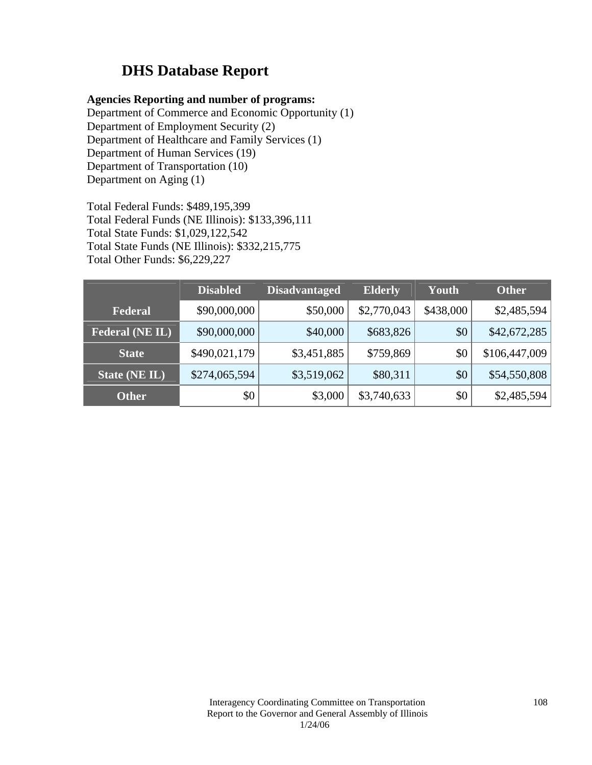# **DHS Database Report**

### **Agencies Reporting and number of programs:**

Department of Commerce and Economic Opportunity (1) Department of Employment Security (2) Department of Healthcare and Family Services (1) Department of Human Services (19) Department of Transportation (10) Department on Aging (1)

Total Federal Funds: \$489,195,399 Total Federal Funds (NE Illinois): \$133,396,111 Total State Funds: \$1,029,122,542 Total State Funds (NE Illinois): \$332,215,775 Total Other Funds: \$6,229,227

|                        | <b>Disabled</b> | <b>Disadvantaged</b> | <b>Elderly</b> | Youth     | <b>Other</b>  |
|------------------------|-----------------|----------------------|----------------|-----------|---------------|
| Federal                | \$90,000,000    | \$50,000             | \$2,770,043    | \$438,000 | \$2,485,594   |
| <b>Federal (NE IL)</b> | \$90,000,000    | \$40,000             | \$683,826      | \$0       | \$42,672,285  |
| <b>State</b>           | \$490,021,179   | \$3,451,885          | \$759,869      | \$0       | \$106,447,009 |
| State (NE IL)          | \$274,065,594   | \$3,519,062          | \$80,311       | \$0       | \$54,550,808  |
| <b>Other</b>           | \$0             | \$3,000              | \$3,740,633    | \$0       | \$2,485,594   |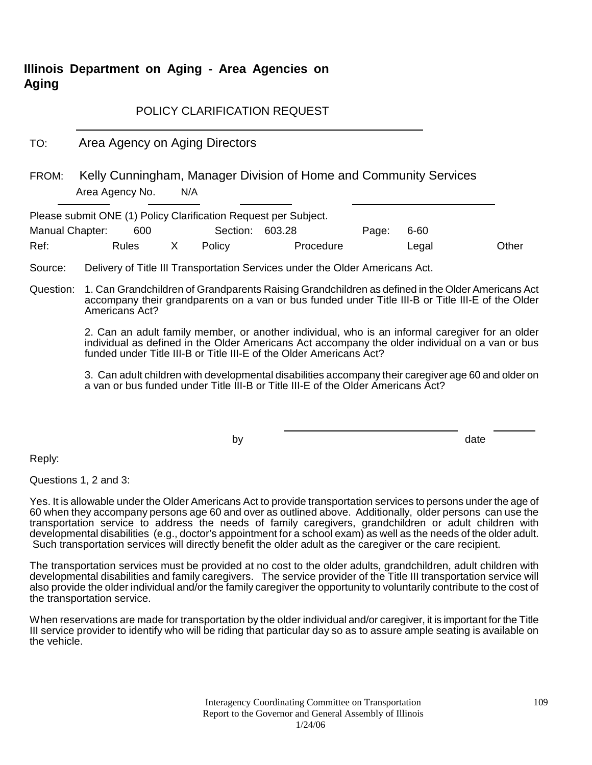# **Illinois Department on Aging - Area Agencies on Aging**

#### POLICY CLARIFICATION REQUEST

TO: Area Agency on Aging Directors

FROM: Kelly Cunningham, Manager Division of Home and Community Services Area Agency No. N/A

Please submit ONE (1) Policy Clarification Request per Subject.

| Manual Chapter: | 600   | Section: 603.28 |           | Page: | 6-60  |       |
|-----------------|-------|-----------------|-----------|-------|-------|-------|
| Ref:            | Rules | Policy          | Procedure |       | Legal | Other |

Source: Delivery of Title III Transportation Services under the Older Americans Act.

Question: 1. Can Grandchildren of Grandparents Raising Grandchildren as defined in the Older Americans Act accompany their grandparents on a van or bus funded under Title III-B or Title III-E of the Older Americans Act?

> 2. Can an adult family member, or another individual, who is an informal caregiver for an older individual as defined in the Older Americans Act accompany the older individual on a van or bus funded under Title III-B or Title III-E of the Older Americans Act?

> 3. Can adult children with developmental disabilities accompany their caregiver age 60 and older on a van or bus funded under Title III-B or Title III-E of the Older Americans Act?

by the contract of the contract of the contract of the contract of the contract of the contract of the contract of the contract of the contract of the contract of the contract of the contract of the contract of the contrac

Reply:

Questions 1, 2 and 3:

Yes. It is allowable under the Older Americans Act to provide transportation services to persons under the age of 60 when they accompany persons age 60 and over as outlined above. Additionally, older persons can use the transportation service to address the needs of family caregivers, grandchildren or adult children with developmental disabilities (e.g., doctor's appointment for a school exam) as well as the needs of the older adult. Such transportation services will directly benefit the older adult as the caregiver or the care recipient.

The transportation services must be provided at no cost to the older adults, grandchildren, adult children with developmental disabilities and family caregivers. The service provider of the Title III transportation service will also provide the older individual and/or the family caregiver the opportunity to voluntarily contribute to the cost of the transportation service.

When reservations are made for transportation by the older individual and/or caregiver, it is important for the Title III service provider to identify who will be riding that particular day so as to assure ample seating is available on the vehicle.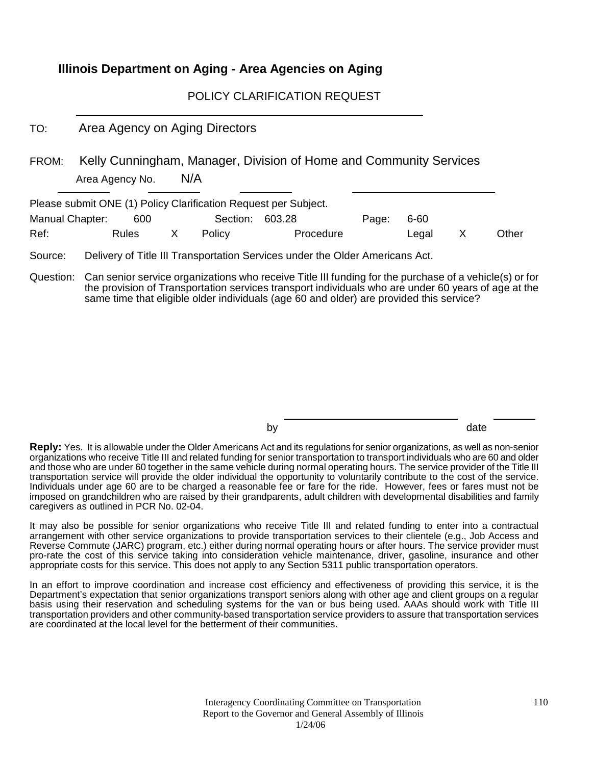### **Illinois Department on Aging - Area Agencies on Aging**

POLICY CLARIFICATION REQUEST

TO: Area Agency on Aging Directors

FROM: Kelly Cunningham, Manager, Division of Home and Community Services Area Agency No. N/A

| Please submit ONE (1) Policy Clarification Request per Subject. |       |              |                 |           |       |         |       |
|-----------------------------------------------------------------|-------|--------------|-----------------|-----------|-------|---------|-------|
| Manual Chapter:                                                 | 600   |              | Section: 603.28 |           | Page: | 6-60    |       |
| Ref:                                                            | Rules | $\mathsf{X}$ | Policy          | Procedure |       | Legal X | Other |

Source: Delivery of Title III Transportation Services under the Older Americans Act.

Question: Can senior service organizations who receive Title III funding for the purchase of a vehicle(s) or for the provision of Transportation services transport individuals who are under 60 years of age at the same time that eligible older individuals (age 60 and older) are provided this service?

by date and the date of the date

**Reply:** Yes. It is allowable under the Older Americans Act and its regulations for senior organizations, as well as non-senior organizations who receive Title III and related funding for senior transportation to transport individuals who are 60 and older and those who are under 60 together in the same vehicle during normal operating hours. The service provider of the Title III transportation service will provide the older individual the opportunity to voluntarily contribute to the cost of the service. Individuals under age 60 are to be charged a reasonable fee or fare for the ride. However, fees or fares must not be imposed on grandchildren who are raised by their grandparents, adult children with developmental disabilities and family caregivers as outlined in PCR No. 02-04.

It may also be possible for senior organizations who receive Title III and related funding to enter into a contractual arrangement with other service organizations to provide transportation services to their clientele (e.g., Job Access and Reverse Commute (JARC) program, etc.) either during normal operating hours or after hours. The service provider must pro-rate the cost of this service taking into consideration vehicle maintenance, driver, gasoline, insurance and other appropriate costs for this service. This does not apply to any Section 5311 public transportation operators.

In an effort to improve coordination and increase cost efficiency and effectiveness of providing this service, it is the Department's expectation that senior organizations transport seniors along with other age and client groups on a regular basis using their reservation and scheduling systems for the van or bus being used. AAAs should work with Title III transportation providers and other community-based transportation service providers to assure that transportation services are coordinated at the local level for the betterment of their communities.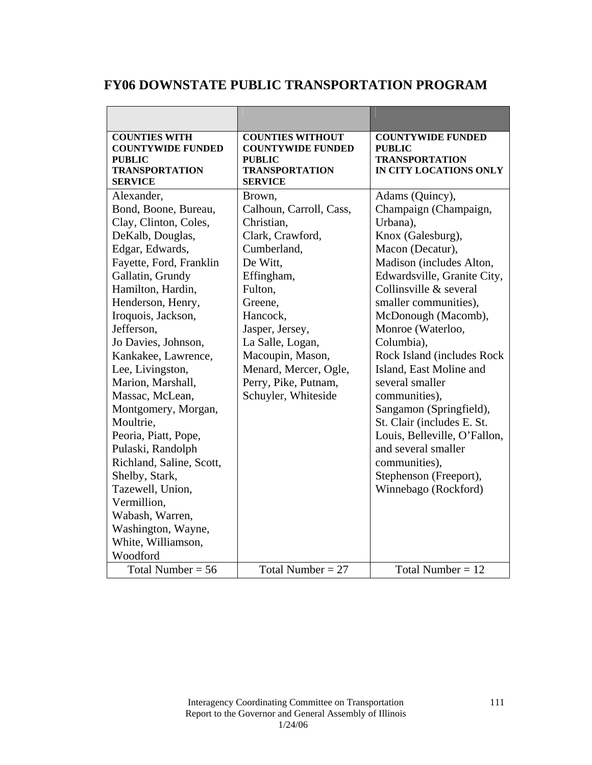## **FY06 DOWNSTATE PUBLIC TRANSPORTATION PROGRAM**

| <b>COUNTIES WITH</b><br><b>COUNTYWIDE FUNDED</b><br><b>PUBLIC</b><br><b>TRANSPORTATION</b><br><b>SERVICE</b>                                                                                                                                                                                                                                                                                                                                                                                                                                                               | <b>COUNTIES WITHOUT</b><br><b>COUNTYWIDE FUNDED</b><br><b>PUBLIC</b><br><b>TRANSPORTATION</b><br><b>SERVICE</b>                                                                                                                                                                   | <b>COUNTYWIDE FUNDED</b><br><b>PUBLIC</b><br><b>TRANSPORTATION</b><br>IN CITY LOCATIONS ONLY                                                                                                                                                                                                                                                                                                                                                                                                                                                          |
|----------------------------------------------------------------------------------------------------------------------------------------------------------------------------------------------------------------------------------------------------------------------------------------------------------------------------------------------------------------------------------------------------------------------------------------------------------------------------------------------------------------------------------------------------------------------------|-----------------------------------------------------------------------------------------------------------------------------------------------------------------------------------------------------------------------------------------------------------------------------------|-------------------------------------------------------------------------------------------------------------------------------------------------------------------------------------------------------------------------------------------------------------------------------------------------------------------------------------------------------------------------------------------------------------------------------------------------------------------------------------------------------------------------------------------------------|
| Alexander,<br>Bond, Boone, Bureau,<br>Clay, Clinton, Coles,<br>DeKalb, Douglas,<br>Edgar, Edwards,<br>Fayette, Ford, Franklin<br>Gallatin, Grundy<br>Hamilton, Hardin,<br>Henderson, Henry,<br>Iroquois, Jackson,<br>Jefferson,<br>Jo Davies, Johnson,<br>Kankakee, Lawrence,<br>Lee, Livingston,<br>Marion, Marshall,<br>Massac, McLean,<br>Montgomery, Morgan,<br>Moultrie,<br>Peoria, Piatt, Pope,<br>Pulaski, Randolph<br>Richland, Saline, Scott,<br>Shelby, Stark,<br>Tazewell, Union,<br>Vermillion,<br>Wabash, Warren,<br>Washington, Wayne,<br>White, Williamson, | Brown,<br>Calhoun, Carroll, Cass,<br>Christian,<br>Clark, Crawford,<br>Cumberland,<br>De Witt.<br>Effingham,<br>Fulton,<br>Greene,<br>Hancock,<br>Jasper, Jersey,<br>La Salle, Logan,<br>Macoupin, Mason,<br>Menard, Mercer, Ogle,<br>Perry, Pike, Putnam,<br>Schuyler, Whiteside | Adams (Quincy),<br>Champaign (Champaign,<br>Urbana),<br>Knox (Galesburg),<br>Macon (Decatur),<br>Madison (includes Alton,<br>Edwardsville, Granite City,<br>Collinsville & several<br>smaller communities),<br>McDonough (Macomb),<br>Monroe (Waterloo,<br>Columbia),<br>Rock Island (includes Rock<br>Island, East Moline and<br>several smaller<br>communities),<br>Sangamon (Springfield),<br>St. Clair (includes E. St.<br>Louis, Belleville, O'Fallon,<br>and several smaller<br>communities),<br>Stephenson (Freeport),<br>Winnebago (Rockford) |
| Woodford<br>Total Number = $56$                                                                                                                                                                                                                                                                                                                                                                                                                                                                                                                                            | Total Number = $27$                                                                                                                                                                                                                                                               | Total Number = $12$                                                                                                                                                                                                                                                                                                                                                                                                                                                                                                                                   |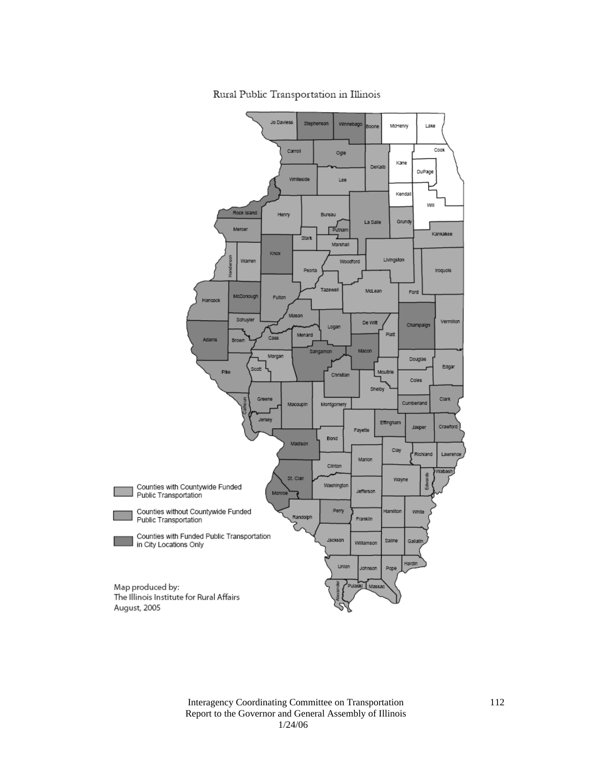

Rural Public Transportation in Illinois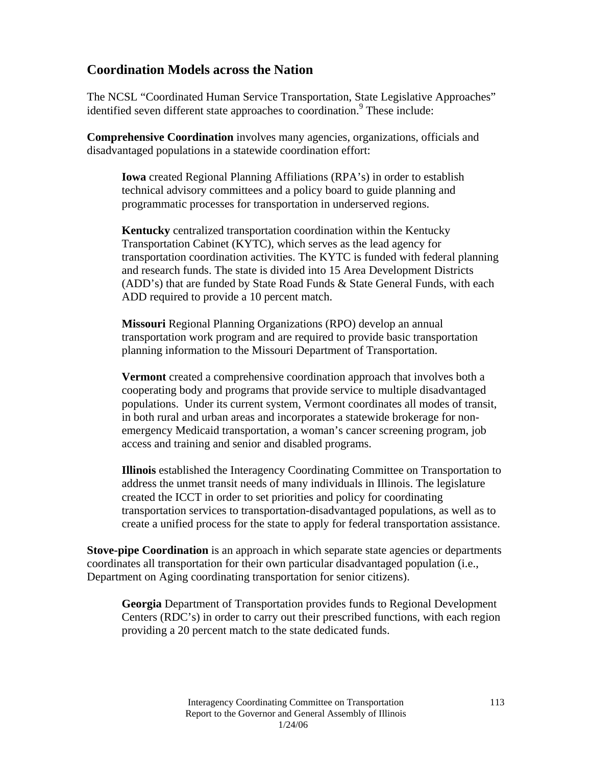## **Coordination Models across the Nation**

The NCSL "Coordinated Human Service Transportation, State Legislative Approaches" identified seven different state approaches to coordination.<sup>9</sup> These include:

**Comprehensive Coordination** involves many agencies, organizations, officials and disadvantaged populations in a statewide coordination effort:

**Iowa** created Regional Planning Affiliations (RPA's) in order to establish technical advisory committees and a policy board to guide planning and programmatic processes for transportation in underserved regions.

**Kentucky** centralized transportation coordination within the Kentucky Transportation Cabinet (KYTC), which serves as the lead agency for transportation coordination activities. The KYTC is funded with federal planning and research funds. The state is divided into 15 Area Development Districts (ADD's) that are funded by State Road Funds & State General Funds, with each ADD required to provide a 10 percent match.

**Missouri** Regional Planning Organizations (RPO) develop an annual transportation work program and are required to provide basic transportation planning information to the Missouri Department of Transportation.

**Vermont** created a comprehensive coordination approach that involves both a cooperating body and programs that provide service to multiple disadvantaged populations. Under its current system, Vermont coordinates all modes of transit, in both rural and urban areas and incorporates a statewide brokerage for nonemergency Medicaid transportation, a woman's cancer screening program, job access and training and senior and disabled programs.

**Illinois** established the Interagency Coordinating Committee on Transportation to address the unmet transit needs of many individuals in Illinois. The legislature created the ICCT in order to set priorities and policy for coordinating transportation services to transportation-disadvantaged populations, as well as to create a unified process for the state to apply for federal transportation assistance.

**Stove-pipe Coordination** is an approach in which separate state agencies or departments coordinates all transportation for their own particular disadvantaged population (i.e., Department on Aging coordinating transportation for senior citizens).

**Georgia** Department of Transportation provides funds to Regional Development Centers (RDC's) in order to carry out their prescribed functions, with each region providing a 20 percent match to the state dedicated funds.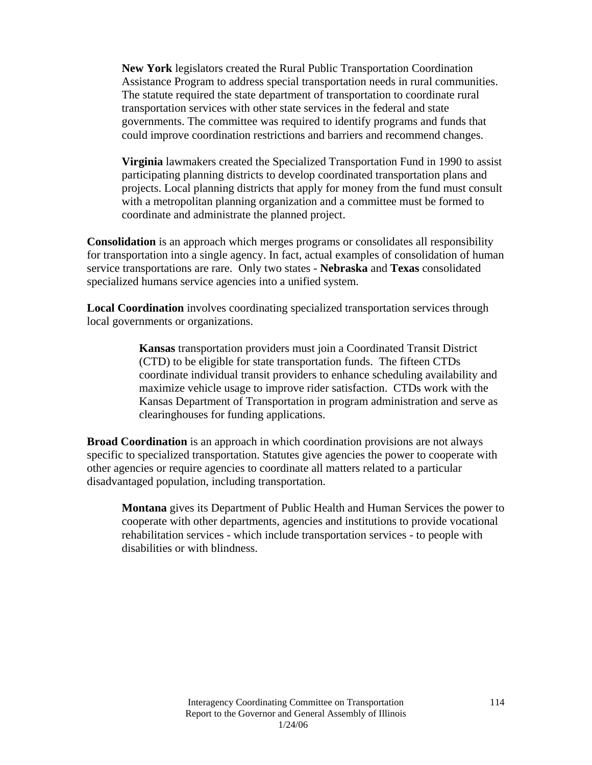**New York** legislators created the Rural Public Transportation Coordination Assistance Program to address special transportation needs in rural communities. The statute required the state department of transportation to coordinate rural transportation services with other state services in the federal and state governments. The committee was required to identify programs and funds that could improve coordination restrictions and barriers and recommend changes.

**Virginia** lawmakers created the Specialized Transportation Fund in 1990 to assist participating planning districts to develop coordinated transportation plans and projects. Local planning districts that apply for money from the fund must consult with a metropolitan planning organization and a committee must be formed to coordinate and administrate the planned project.

**Consolidation** is an approach which merges programs or consolidates all responsibility for transportation into a single agency. In fact, actual examples of consolidation of human service transportations are rare. Only two states - **Nebraska** and **Texas** consolidated specialized humans service agencies into a unified system.

**Local Coordination** involves coordinating specialized transportation services through local governments or organizations.

> **Kansas** transportation providers must join a Coordinated Transit District (CTD) to be eligible for state transportation funds. The fifteen CTDs coordinate individual transit providers to enhance scheduling availability and maximize vehicle usage to improve rider satisfaction. CTDs work with the Kansas Department of Transportation in program administration and serve as clearinghouses for funding applications.

**Broad Coordination** is an approach in which coordination provisions are not always specific to specialized transportation. Statutes give agencies the power to cooperate with other agencies or require agencies to coordinate all matters related to a particular disadvantaged population, including transportation.

**Montana** gives its Department of Public Health and Human Services the power to cooperate with other departments, agencies and institutions to provide vocational rehabilitation services - which include transportation services - to people with disabilities or with blindness.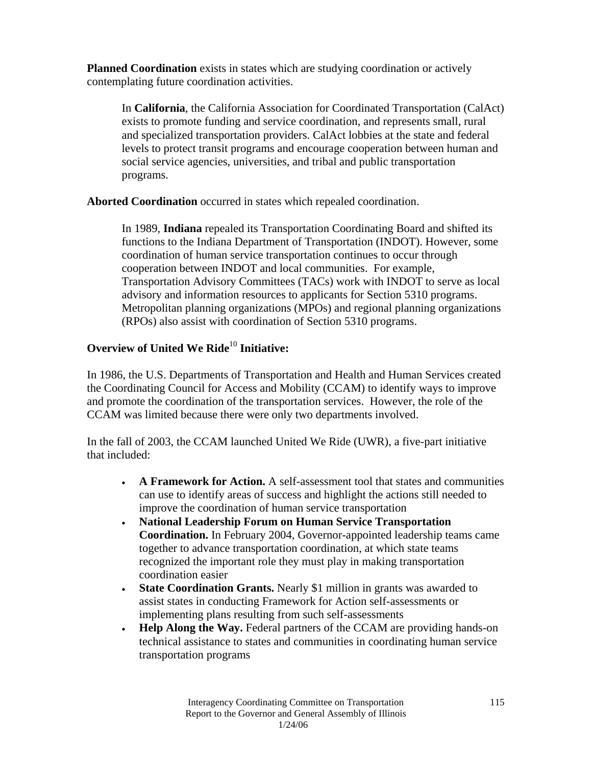**Planned Coordination** exists in states which are studying coordination or actively contemplating future coordination activities.

In **California**, the California Association for Coordinated Transportation (CalAct) exists to promote funding and service coordination, and represents small, rural and specialized transportation providers. CalAct lobbies at the state and federal levels to protect transit programs and encourage cooperation between human and social service agencies, universities, and tribal and public transportation programs.

**Aborted Coordination** occurred in states which repealed coordination.

In 1989, **Indiana** repealed its Transportation Coordinating Board and shifted its functions to the Indiana Department of Transportation (INDOT). However, some coordination of human service transportation continues to occur through cooperation between INDOT and local communities. For example, Transportation Advisory Committees (TACs) work with INDOT to serve as local advisory and information resources to applicants for Section 5310 programs. Metropolitan planning organizations (MPOs) and regional planning organizations (RPOs) also assist with coordination of Section 5310 programs.

### **Overview of United We Ride**<sup>10</sup> Initiative:

In 1986, the U.S. Departments of Transportation and Health and Human Services created the Coordinating Council for Access and Mobility (CCAM) to identify ways to improve and promote the coordination of the transportation services. However, the role of the CCAM was limited because there were only two departments involved.

In the fall of 2003, the CCAM launched United We Ride (UWR), a five-part initiative that included:

- **A Framework for Action.** A self-assessment tool that states and communities can use to identify areas of success and highlight the actions still needed to improve the coordination of human service transportation
- **National Leadership Forum on Human Service Transportation Coordination.** In February 2004, Governor-appointed leadership teams came together to advance transportation coordination, at which state teams recognized the important role they must play in making transportation coordination easier
- **State Coordination Grants.** Nearly \$1 million in grants was awarded to assist states in conducting Framework for Action self-assessments or implementing plans resulting from such self-assessments
- **Help Along the Way.** Federal partners of the CCAM are providing hands-on technical assistance to states and communities in coordinating human service transportation programs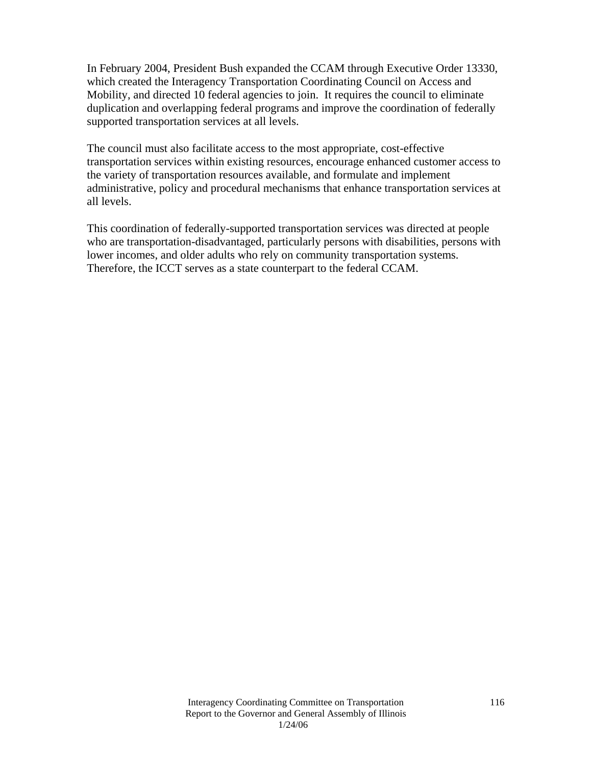In February 2004, President Bush expanded the CCAM through Executive Order 13330, which created the Interagency Transportation Coordinating Council on Access and Mobility, and directed 10 federal agencies to join. It requires the council to eliminate duplication and overlapping federal programs and improve the coordination of federally supported transportation services at all levels.

The council must also facilitate access to the most appropriate, cost-effective transportation services within existing resources, encourage enhanced customer access to the variety of transportation resources available, and formulate and implement administrative, policy and procedural mechanisms that enhance transportation services at all levels.

This coordination of federally-supported transportation services was directed at people who are transportation-disadvantaged, particularly persons with disabilities, persons with lower incomes, and older adults who rely on community transportation systems. Therefore, the ICCT serves as a state counterpart to the federal CCAM.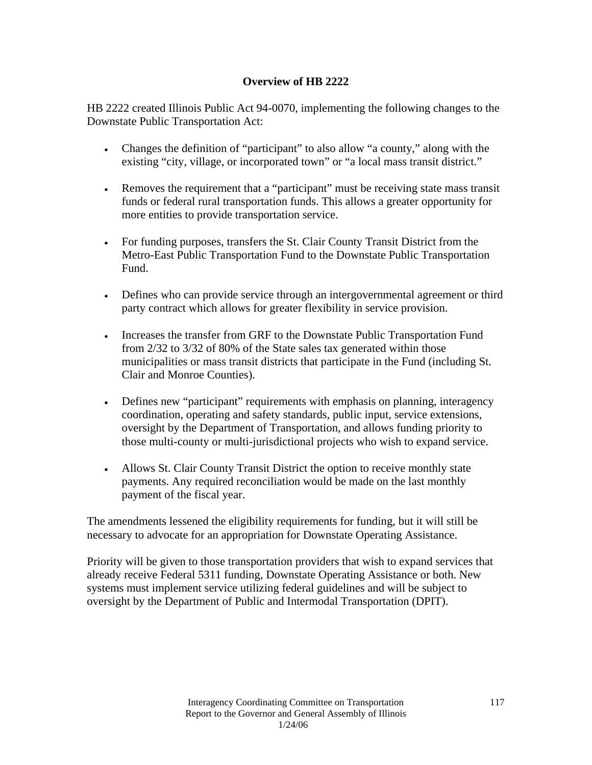#### **Overview of HB 2222**

HB 2222 created Illinois Public Act 94-0070, implementing the following changes to the Downstate Public Transportation Act:

- Changes the definition of "participant" to also allow "a county," along with the existing "city, village, or incorporated town" or "a local mass transit district."
- Removes the requirement that a "participant" must be receiving state mass transit funds or federal rural transportation funds. This allows a greater opportunity for more entities to provide transportation service.
- For funding purposes, transfers the St. Clair County Transit District from the Metro-East Public Transportation Fund to the Downstate Public Transportation Fund.
- Defines who can provide service through an intergovernmental agreement or third party contract which allows for greater flexibility in service provision.
- Increases the transfer from GRF to the Downstate Public Transportation Fund from 2/32 to 3/32 of 80% of the State sales tax generated within those municipalities or mass transit districts that participate in the Fund (including St. Clair and Monroe Counties).
- Defines new "participant" requirements with emphasis on planning, interagency coordination, operating and safety standards, public input, service extensions, oversight by the Department of Transportation, and allows funding priority to those multi-county or multi-jurisdictional projects who wish to expand service.
- Allows St. Clair County Transit District the option to receive monthly state payments. Any required reconciliation would be made on the last monthly payment of the fiscal year.

The amendments lessened the eligibility requirements for funding, but it will still be necessary to advocate for an appropriation for Downstate Operating Assistance.

Priority will be given to those transportation providers that wish to expand services that already receive Federal 5311 funding, Downstate Operating Assistance or both. New systems must implement service utilizing federal guidelines and will be subject to oversight by the Department of Public and Intermodal Transportation (DPIT).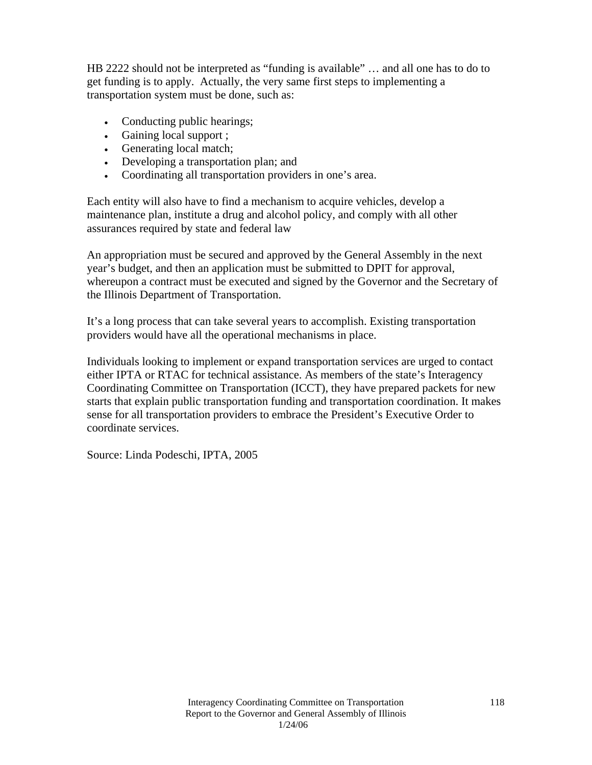HB 2222 should not be interpreted as "funding is available" … and all one has to do to get funding is to apply. Actually, the very same first steps to implementing a transportation system must be done, such as:

- Conducting public hearings;
- Gaining local support ;
- Generating local match;
- Developing a transportation plan; and
- Coordinating all transportation providers in one's area.

Each entity will also have to find a mechanism to acquire vehicles, develop a maintenance plan, institute a drug and alcohol policy, and comply with all other assurances required by state and federal law

An appropriation must be secured and approved by the General Assembly in the next year's budget, and then an application must be submitted to DPIT for approval, whereupon a contract must be executed and signed by the Governor and the Secretary of the Illinois Department of Transportation.

It's a long process that can take several years to accomplish. Existing transportation providers would have all the operational mechanisms in place.

Individuals looking to implement or expand transportation services are urged to contact either IPTA or RTAC for technical assistance. As members of the state's Interagency Coordinating Committee on Transportation (ICCT), they have prepared packets for new starts that explain public transportation funding and transportation coordination. It makes sense for all transportation providers to embrace the President's Executive Order to coordinate services.

Source: Linda Podeschi, IPTA, 2005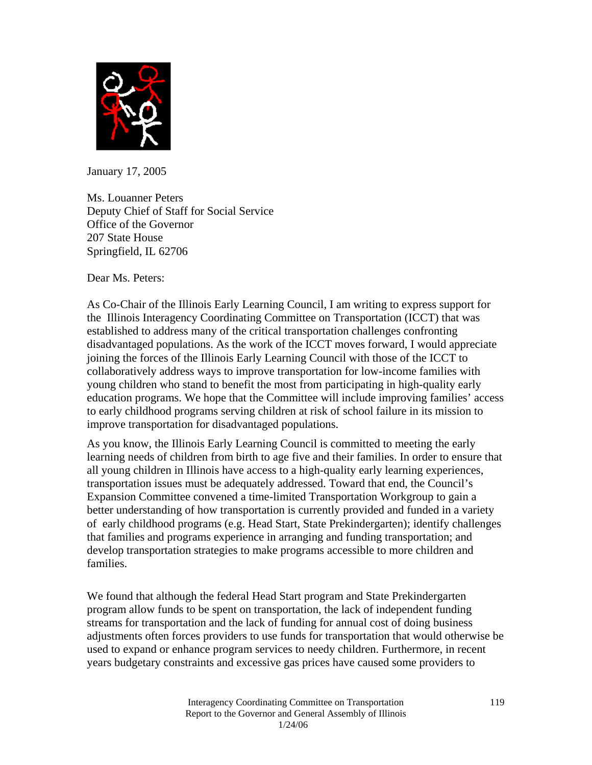

January 17, 2005

Ms. Louanner Peters Deputy Chief of Staff for Social Service Office of the Governor 207 State House Springfield, IL 62706

Dear Ms. Peters:

As Co-Chair of the Illinois Early Learning Council, I am writing to express support for the Illinois Interagency Coordinating Committee on Transportation (ICCT) that was established to address many of the critical transportation challenges confronting disadvantaged populations. As the work of the ICCT moves forward, I would appreciate joining the forces of the Illinois Early Learning Council with those of the ICCT to collaboratively address ways to improve transportation for low-income families with young children who stand to benefit the most from participating in high-quality early education programs. We hope that the Committee will include improving families' access to early childhood programs serving children at risk of school failure in its mission to improve transportation for disadvantaged populations.

As you know, the Illinois Early Learning Council is committed to meeting the early learning needs of children from birth to age five and their families. In order to ensure that all young children in Illinois have access to a high-quality early learning experiences, transportation issues must be adequately addressed. Toward that end, the Council's Expansion Committee convened a time-limited Transportation Workgroup to gain a better understanding of how transportation is currently provided and funded in a variety of early childhood programs (e.g. Head Start, State Prekindergarten); identify challenges that families and programs experience in arranging and funding transportation; and develop transportation strategies to make programs accessible to more children and families.

We found that although the federal Head Start program and State Prekindergarten program allow funds to be spent on transportation, the lack of independent funding streams for transportation and the lack of funding for annual cost of doing business adjustments often forces providers to use funds for transportation that would otherwise be used to expand or enhance program services to needy children. Furthermore, in recent years budgetary constraints and excessive gas prices have caused some providers to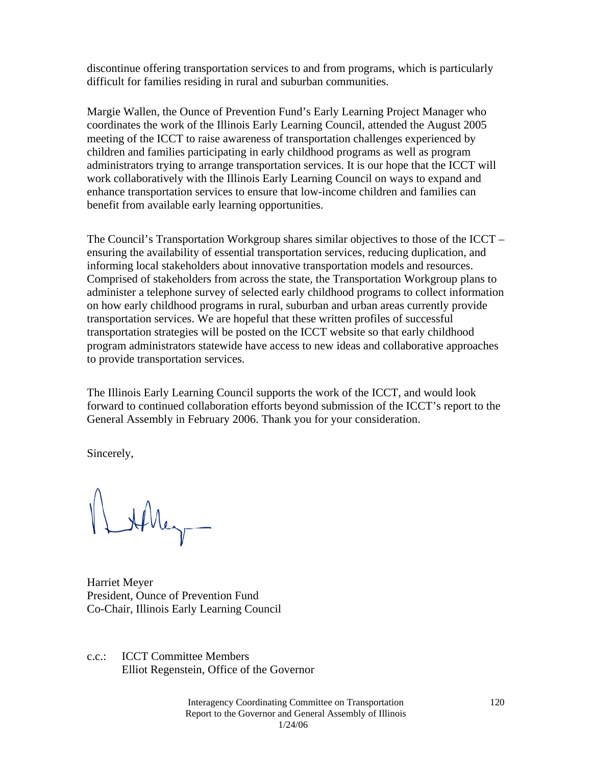discontinue offering transportation services to and from programs, which is particularly difficult for families residing in rural and suburban communities.

Margie Wallen, the Ounce of Prevention Fund's Early Learning Project Manager who coordinates the work of the Illinois Early Learning Council, attended the August 2005 meeting of the ICCT to raise awareness of transportation challenges experienced by children and families participating in early childhood programs as well as program administrators trying to arrange transportation services. It is our hope that the ICCT will work collaboratively with the Illinois Early Learning Council on ways to expand and enhance transportation services to ensure that low-income children and families can benefit from available early learning opportunities.

The Council's Transportation Workgroup shares similar objectives to those of the ICCT – ensuring the availability of essential transportation services, reducing duplication, and informing local stakeholders about innovative transportation models and resources. Comprised of stakeholders from across the state, the Transportation Workgroup plans to administer a telephone survey of selected early childhood programs to collect information on how early childhood programs in rural, suburban and urban areas currently provide transportation services. We are hopeful that these written profiles of successful transportation strategies will be posted on the ICCT website so that early childhood program administrators statewide have access to new ideas and collaborative approaches to provide transportation services.

The Illinois Early Learning Council supports the work of the ICCT, and would look forward to continued collaboration efforts beyond submission of the ICCT's report to the General Assembly in February 2006. Thank you for your consideration.

Sincerely,

LAMey-

Harriet Meyer President, Ounce of Prevention Fund Co-Chair, Illinois Early Learning Council

c.c.: ICCT Committee Members Elliot Regenstein, Office of the Governor

> Interagency Coordinating Committee on Transportation Report to the Governor and General Assembly of Illinois 1/24/06